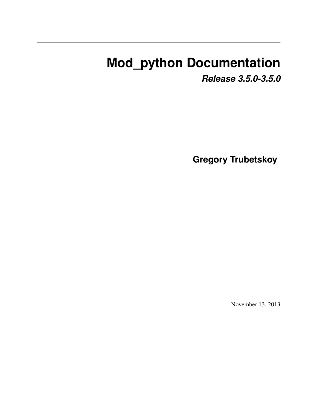# **Mod\_python Documentation**

*Release 3.5.0-3.5.0*

**Gregory Trubetskoy**

November 13, 2013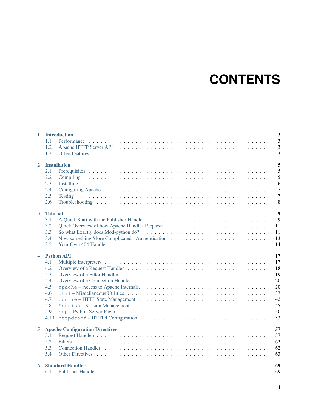# **CONTENTS**

| $\mathbf{1}$            | <b>Introduction</b><br>1.1<br>1.2<br>1.3                                                 | 3<br>3<br>3<br>3                                               |
|-------------------------|------------------------------------------------------------------------------------------|----------------------------------------------------------------|
| $\overline{2}$          | <b>Installation</b><br>2.1<br>2.2<br>2.3<br>2.4<br>2.5<br>2.6                            | 5<br>5<br>5<br>6<br>$\overline{7}$<br>$\overline{7}$<br>8      |
| 3                       | <b>Tutorial</b><br>3.1<br>3.2<br>3.3<br>3.4<br>3.5                                       | 9<br>9<br>11<br>11<br>13<br>14                                 |
| $\overline{\mathbf{4}}$ | <b>Python API</b><br>4.1<br>4.2<br>4.3<br>4.4<br>4.5<br>4.6<br>4.7<br>4.8<br>4.9<br>4.10 | 17<br>17<br>18<br>19<br>20<br>20<br>37<br>42<br>45<br>50<br>53 |
| 5                       | <b>Apache Configuration Directives</b><br>5.1<br>5.2<br>5.3<br>5.4                       | 57<br>57<br>62<br>62<br>63                                     |
| 6                       | <b>Standard Handlers</b><br>6.1                                                          | 69<br>69                                                       |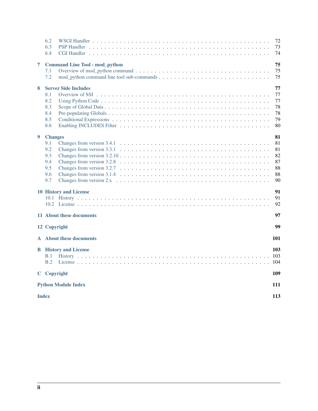|              | 6.2                                   | 72  |  |
|--------------|---------------------------------------|-----|--|
|              | 6.3<br><b>PSP Handler</b>             | 73  |  |
|              | 6.4<br><b>CGI Handler</b>             | 74  |  |
| 7            | <b>Command Line Tool - mod_python</b> | 75  |  |
|              | 7.1                                   | 75  |  |
|              | 7.2                                   | 75  |  |
|              | <b>Server Side Includes</b>           | 77  |  |
| 8            | 8.1                                   | 77  |  |
|              | 8.2                                   | 77  |  |
|              | 8.3                                   | 78  |  |
|              | 8.4                                   | 78  |  |
|              | 8.5                                   | 79  |  |
|              | 8.6                                   | 80  |  |
|              |                                       |     |  |
| 9            | <b>Changes</b>                        | 81  |  |
|              | 9.1                                   | 81  |  |
|              | 9.2                                   | 81  |  |
|              | 9.3                                   | 82  |  |
|              | 9.4                                   | 87  |  |
|              | 9.5                                   | 88  |  |
|              | 9.6                                   | 88  |  |
|              | 9.7                                   | 90  |  |
|              | <b>10 History and License</b>         | 91  |  |
|              |                                       | 91  |  |
|              |                                       | 92  |  |
|              |                                       |     |  |
|              | 11 About these documents              | 97  |  |
|              | 12 Copyright                          | 99  |  |
|              | A About these documents               | 101 |  |
| B            | <b>History and License</b>            | 103 |  |
|              | B.1                                   | 103 |  |
|              | B.2                                   | 104 |  |
|              |                                       | 109 |  |
|              | C Copyright                           |     |  |
|              | <b>Python Module Index</b>            | 111 |  |
| <b>Index</b> |                                       |     |  |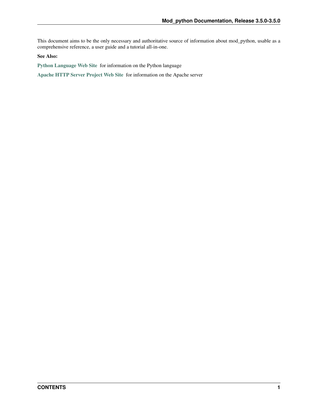This document aims to be the only necessary and authoritative source of information about mod\_python, usable as a comprehensive reference, a user guide and a tutorial all-in-one.

## See Also:

[Python Language Web Site](http://www.python.org/) for information on the Python language

[Apache HTTP Server Project Web Site](http://httpd.apache.org/) for information on the Apache server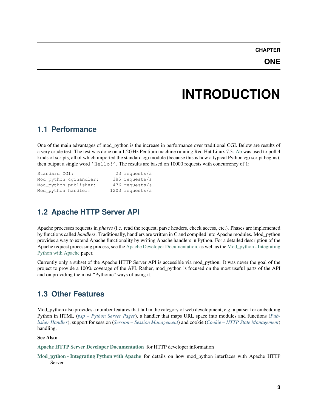# **INTRODUCTION**

# <span id="page-6-1"></span><span id="page-6-0"></span>**1.1 Performance**

One of the main advantages of mod\_python is the increase in performance over traditional CGI. Below are results of a very crude test. The test was done on a 1.2GHz Pentium machine running Red Hat Linux 7.3. [Ab](http://httpd.apache.org/docs-2.0/programs/ab.html) was used to poll 4 kinds of scripts, all of which imported the standard cgi module (because this is how a typical Python cgi script begins), then output a single word 'Hello!'. The results are based on 10000 requests with concurrency of 1:

| Standard CGI:       |                        | 23 requests/s   |
|---------------------|------------------------|-----------------|
|                     | Mod_python cqihandler: | 385 requests/s  |
|                     | Mod python publisher:  | 476 requests/s  |
| Mod_python handler: |                        | 1203 requests/s |

# <span id="page-6-2"></span>**1.2 Apache HTTP Server API**

Apache processes requests in *phases* (i.e. read the request, parse headers, check access, etc.). Phases are implemented by functions called *handlers*. Traditionally, handlers are written in C and compiled into Apache modules. Mod\_python provides a way to extend Apache functionality by writing Apache handlers in Python. For a detailed description of the Apache request processing process, see the [Apache Developer Documentation,](http://httpd.apache.org/docs/2.4/developer/) as well as the [Mod\\_python - Integrating](http://www.modpython.org/python10/) [Python with Apache](http://www.modpython.org/python10/) paper.

Currently only a subset of the Apache HTTP Server API is accessible via mod\_python. It was never the goal of the project to provide a 100% coverage of the API. Rather, mod\_python is focused on the most useful parts of the API and on providing the most "Pythonic" ways of using it.

# <span id="page-6-3"></span>**1.3 Other Features**

Mod python also provides a number features that fall in the category of web development, e.g. a parser for embedding Python in HTML (*[psp – Python Server Pager](#page-53-0)*), a handler that maps URL space into modules and functions (*[Pub](#page-72-1)[lisher Handler](#page-72-1)*), support for session (*[Session – Session Management](#page-48-0)*) and cookie (*[Cookie – HTTP State Management](#page-45-0)*) handling.

See Also:

[Apache HTTP Server Developer Documentation](http://httpd.apache.org/docs/2.4/developer/) for HTTP developer information

[Mod\\_python - Integrating Python with Apache](http://www.modpython.org/python10/) for details on how mod\_python interfaces with Apache HTTP Server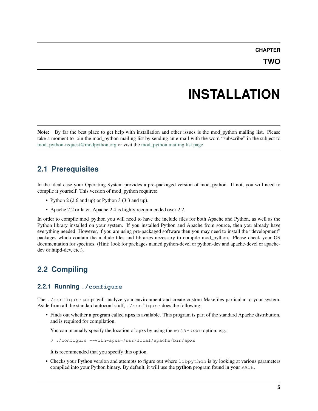# **INSTALLATION**

<span id="page-8-0"></span>Note: By far the best place to get help with installation and other issues is the mod-python mailing list. Please take a moment to join the mod\_python mailing list by sending an e-mail with the word "subscribe" in the subject to [mod\\_python-request@modpython.org](mailto:mod_python-request@modpython.org) or visit the [mod\\_python mailing list page](http://mailman.modpython.org/mailman/listinfo/mod_python)

# <span id="page-8-1"></span>**2.1 Prerequisites**

In the ideal case your Operating System provides a pre-packaged version of mod\_python. If not, you will need to compile it yourself. This version of mod\_python requires:

- Python 2 (2.6 and up) or Python 3 (3.3 and up).
- Apache 2.2 or later. Apache 2.4 is highly recommended over 2.2.

In order to compile mod python you will need to have the include files for both Apache and Python, as well as the Python library installed on your system. If you installed Python and Apache from source, then you already have everything needed. However, if you are using pre-packaged software then you may need to install the "development" packages which contain the include files and libraries necessary to compile mod\_python. Please check your OS documentation for specifics. (Hint: look for packages named python-devel or python-dev and apache-devel or apachedev or httpd-dev, etc.).

# <span id="page-8-2"></span>**2.2 Compiling**

## **2.2.1 Running ./configure**

The ./configure script will analyze your environment and create custom Makefiles particular to your system. Aside from all the standard autoconf stuff, . / configure does the following:

• Finds out whether a program called **apxs** is available. This program is part of the standard Apache distribution, and is required for compilation.

You can manually specify the location of apxs by using the  $with$ - $apxs$  option, e.g.:

\$ ./configure --with-apxs=/usr/local/apache/bin/apxs

It is recommended that you specify this option.

• Checks your Python version and attempts to figure out where libpython is by looking at various parameters compiled into your Python binary. By default, it will use the python program found in your PATH.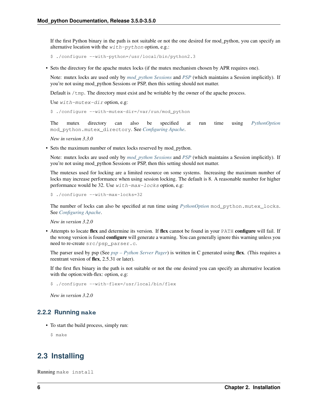If the first Python binary in the path is not suitable or not the one desired for mod\_python, you can specify an alternative location with the  $with$ -python option, e.g.:

\$ ./configure --with-python=/usr/local/bin/python2.3

• Sets the directory for the apache mutex locks (if the mutex mechanism chosen by APR requires one).

Note: mutex locks are used only by *[mod\\_python Sessions](#page-48-0)* and *[PSP](#page-76-0)* (which maintains a Session implicitly). If you're not using mod\_python Sessions or PSP, then this setting should not matter.

Default is /tmp. The directory must exist and be writable by the owner of the apache process.

Use  $with-mutex-dir$  option, e.g:

\$ ./configure --with-mutex-dir=/var/run/mod\_python

The mutex directory can also be specified at run time using *[PythonOption](#page-68-0)* mod\_python.mutex\_directory. See *[Configuring Apache](#page-10-0)*.

*New in version 3.3.0*

• Sets the maximum number of mutex locks reserved by mod\_python.

Note: mutex locks are used only by *[mod\\_python Sessions](#page-48-0)* and *[PSP](#page-76-0)* (which maintains a Session implicitly). If you're not using mod\_python Sessions or PSP, then this setting should not matter.

The mutexes used for locking are a limited resource on some systems. Increasing the maximum number of locks may increase performance when using session locking. The default is 8. A reasonable number for higher performance would be 32. Use with-max-locks option, e.g:

\$ ./configure --with-max-locks=32

The number of locks can also be specified at run time using *[PythonOption](#page-68-0)* mod\_python.mutex\_locks. See *[Configuring Apache](#page-10-0)*.

*New in version 3.2.0*

• Attempts to locate flex and determine its version. If flex cannot be found in your PATH configure will fail. If the wrong version is found **configure** will generate a warning. You can generally ignore this warning unless you need to re-create src/psp\_parser.c.

The parser used by psp (See *[psp – Python Server Pager](#page-53-0)*) is written in C generated using flex. (This requires a reentrant version of flex, 2.5.31 or later).

If the first flex binary in the path is not suitable or not the one desired you can specify an alternative location with the option:with-flex: option, e.g:

\$ ./configure --with-flex=/usr/local/bin/flex

*New in version 3.2.0*

## **2.2.2 Running make**

• To start the build process, simply run:

\$ make

# <span id="page-9-0"></span>**2.3 Installing**

Running make install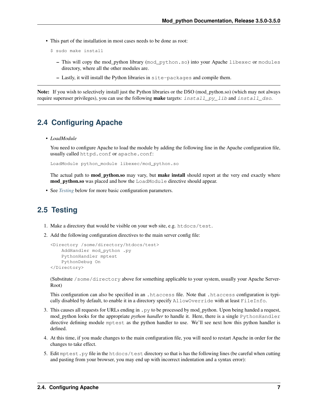- This part of the installation in most cases needs to be done as root:
	- \$ sudo make install
		- This will copy the mod\_python library (mod\_python.so) into your Apache libexec or modules directory, where all the other modules are.
		- Lastly, it will install the Python libraries in site-packages and compile them.

Note: If you wish to selectively install just the Python libraries or the DSO (mod\_python.so) (which may not always require superuser privileges), you can use the following **make** targets: install\_py\_lib and install\_dso.

# <span id="page-10-0"></span>**2.4 Configuring Apache**

• *LoadModule*

You need to configure Apache to load the module by adding the following line in the Apache configuration file, usually called httpd.conf or apache.conf:

LoadModule python\_module libexec/mod\_python.so

The actual path to **mod python.so** may vary, but **make install** should report at the very end exactly where mod\_python.so was placed and how the LoadModule directive should appear.

• See *[Testing](#page-10-1)* below for more basic configuration parameters.

# <span id="page-10-1"></span>**2.5 Testing**

- 1. Make a directory that would be visible on your web site, e.g. htdocs/test.
- 2. Add the following configuration directives to the main server config file:

```
<Directory /some/directory/htdocs/test>
    AddHandler mod_python .py
    PythonHandler mptest
    PythonDebug On
</Directory>
```
(Substitute /some/directory above for something applicable to your system, usually your Apache Server-Root)

This configuration can also be specified in an .htaccess file. Note that .htaccess configuration is typically disabled by default, to enable it in a directory specify AllowOverride with at least FileInfo.

- 3. This causes all requests for URLs ending in .py to be processed by mod\_python. Upon being handed a request, mod\_python looks for the appropriate *python handler* to handle it. Here, there is a single PythonHandler directive defining module mptest as the python handler to use. We'll see next how this python handler is defined.
- 4. At this time, if you made changes to the main configuration file, you will need to restart Apache in order for the changes to take effect.
- 5. Edit mptest.py file in the htdocs/test directory so that is has the following lines (be careful when cutting and pasting from your browser, you may end up with incorrect indentation and a syntax error):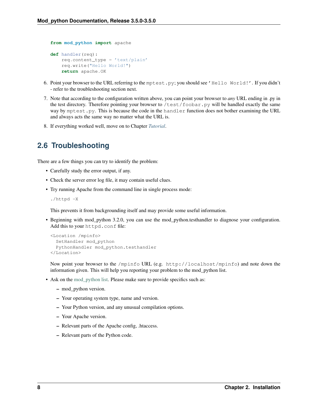```
from mod_python import apache
def handler(req):
    req.content_type = 'text/plain'
    req.write("Hello World!")
    return apache.OK
```
- 6. Point your browser to the URL referring to the mptest.py; you should see 'Hello World!'. If you didn't - refer to the troubleshooting section next.
- 7. Note that according to the configuration written above, you can point your browser to *any* URL ending in .py in the test directory. Therefore pointing your browser to /test/foobar.py will be handled exactly the same way by mptest.py. This is because the code in the handler function does not bother examining the URL and always acts the same way no matter what the URL is.
- 8. If everything worked well, move on to Chapter *[Tutorial](#page-12-0)*.

# <span id="page-11-0"></span>**2.6 Troubleshooting**

There are a few things you can try to identify the problem:

- Carefully study the error output, if any.
- Check the server error log file, it may contain useful clues.
- Try running Apache from the command line in single process mode:

./httpd -X

This prevents it from backgrounding itself and may provide some useful information.

• Beginning with mod\_python 3.2.0, you can use the mod\_python.testhandler to diagnose your configuration. Add this to your httpd.conf file:

```
<Location /mpinfo>
  SetHandler mod_python
  PythonHandler mod_python.testhandler
</Location>
```
Now point your browser to the /mpinfo URL (e.g. http://localhost/mpinfo) and note down the information given. This will help you reporting your problem to the mod\_python list.

- Ask on the [mod\\_python list.](http://mailman.modpython.org/mailman/listinfo/mod_python) Please make sure to provide specifics such as:
	- mod\_python version.
	- Your operating system type, name and version.
	- Your Python version, and any unusual compilation options.
	- Your Apache version.
	- Relevant parts of the Apache config, .htaccess.
	- Relevant parts of the Python code.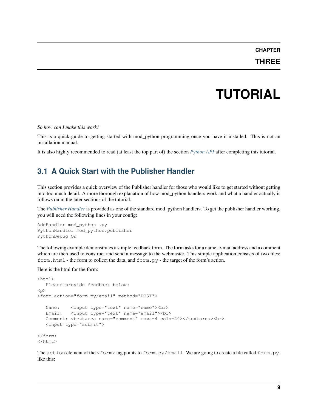# **TUTORIAL**

<span id="page-12-0"></span>*So how can I make this work?*

This is a quick guide to getting started with mod\_python programming once you have it installed. This is not an installation manual.

It is also highly recommended to read (at least the top part of) the section *[Python API](#page-20-0)* after completing this tutorial.

# <span id="page-12-1"></span>**3.1 A Quick Start with the Publisher Handler**

This section provides a quick overview of the Publisher handler for those who would like to get started without getting into too much detail. A more thorough explanation of how mod\_python handlers work and what a handler actually is follows on in the later sections of the tutorial.

The *[Publisher Handler](#page-72-1)* is provided as one of the standard mod\_python handlers. To get the publisher handler working, you will need the following lines in your config:

```
AddHandler mod_python .py
PythonHandler mod_python.publisher
PythonDebug On
```
The following example demonstrates a simple feedback form. The form asks for a name, e-mail address and a comment which are then used to construct and send a message to the webmaster. This simple application consists of two files: form.html - the form to collect the data, and form.py - the target of the form's action.

Here is the html for the form:

```
<html>
  Please provide feedback below:
< p ><form action="form.py/email" method="POST">
   Name: \langleinput type="text" name="name"><br>
   Email: <input type="text" name="email"><br>
   Comment: <textarea name="comment" rows=4 cols=20></textarea><br>
   <input type="submit">
</form>
\langle/html>
```
The action element of the  $\leq$  form> tag points to form.py/email. We are going to create a file called form.py, like this: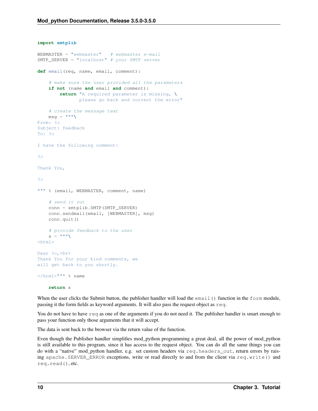```
import smtplib
WEBMASTER = "webmaster" # webmaster e-mailSMTP_SERVER = "localhost" # your SMTP server
def email(req, name, email, comment):
    # make sure the user provided all the parameters
    if not (name and email and comment):
        return "A required parameter is missing, \
               please go back and correct the error"
    # create the message text
    msq = """"From: %s
Subject: feedback
To: %s
I have the following comment:
\frac{6}{3}SThank You,
rac{6}{6}S""" % (email, WEBMASTER, comment, name)
    # send it out
    conn = smtplib.SMTP(SMTP_SERVER)
    conn.sendmail(email, [WEBMASTER], msg)
    conn.quit()
    # provide feedback to the user
    s = ^{\text{num}}\lambda<html>Dear %s, <br>
Thank You for your kind comments, we
will get back to you shortly.
</html>""" % name
    return s
```
When the user clicks the Submit button, the publisher handler will load the email() function in the form module, passing it the form fields as keyword arguments. It will also pass the request object as req.

You do not have to have req as one of the arguments if you do not need it. The publisher handler is smart enough to pass your function only those arguments that it will accept.

The data is sent back to the browser via the return value of the function.

Even though the Publisher handler simplifies mod\_python programming a great deal, all the power of mod\_python is still available to this program, since it has access to the request object. You can do all the same things you can do with a "native" mod\_python handler, e.g. set custom headers via req.headers\_out, return errors by raising apache.SERVER\_ERROR exceptions, write or read directly to and from the client via req.write() and req.read(), etc.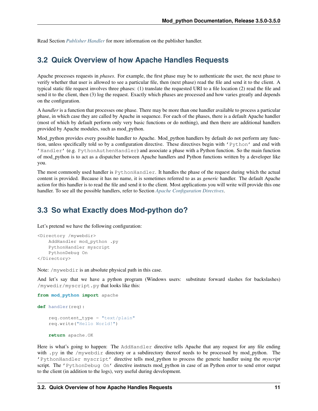Read Section *[Publisher Handler](#page-72-1)* for more information on the publisher handler.

# <span id="page-14-0"></span>**3.2 Quick Overview of how Apache Handles Requests**

Apache processes requests in *phases*. For example, the first phase may be to authenticate the user, the next phase to verify whether that user is allowed to see a particular file, then (next phase) read the file and send it to the client. A typical static file request involves three phases: (1) translate the requested URI to a file location (2) read the file and send it to the client, then (3) log the request. Exactly which phases are processed and how varies greatly and depends on the configuration.

A *handler* is a function that processes one phase. There may be more than one handler available to process a particular phase, in which case they are called by Apache in sequence. For each of the phases, there is a default Apache handler (most of which by default perform only very basic functions or do nothing), and then there are additional handlers provided by Apache modules, such as mod\_python.

Mod python provides every possible handler to Apache. Mod python handlers by default do not perform any function, unless specifically told so by a configuration directive. These directives begin with 'Python' and end with 'Handler' (e.g. PythonAuthenHandler) and associate a phase with a Python function. So the main function of mod\_python is to act as a dispatcher between Apache handlers and Python functions written by a developer like you.

The most commonly used handler is PythonHandler. It handles the phase of the request during which the actual content is provided. Because it has no name, it is sometimes referred to as as *generic* handler. The default Apache action for this handler is to read the file and send it to the client. Most applications you will write will provide this one handler. To see all the possible handlers, refer to Section *[Apache Configuration Directives](#page-60-0)*.

# <span id="page-14-1"></span>**3.3 So what Exactly does Mod-python do?**

Let's pretend we have the following configuration:

```
<Directory /mywebdir>
   AddHandler mod_python .py
   PythonHandler myscript
   PythonDebug On
</Directory>
```
Note: /mywebdir is an absolute physical path in this case.

And let's say that we have a python program (Windows users: substitute forward slashes for backslashes) /mywedir/myscript.py that looks like this:

```
from mod_python import apache
def handler(req):
    req.content_type = "text/plain"
    req.write("Hello World!")
    return apache.OK
```
Here is what's going to happen: The AddHandler directive tells Apache that any request for any file ending with .py in the /mywebdir directory or a subdirectory thereof needs to be processed by mod\_python. The 'PythonHandler myscript' directive tells mod\_python to process the generic handler using the *myscript* script. The 'PythonDebug On' directive instructs mod\_python in case of an Python error to send error output to the client (in addition to the logs), very useful during development.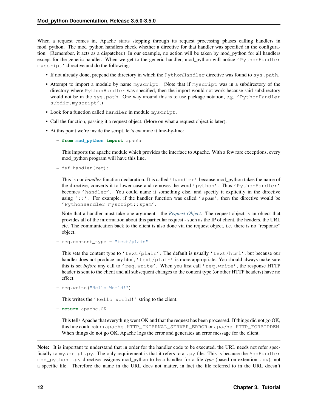When a request comes in, Apache starts stepping through its request processing phases calling handlers in mod\_python. The mod\_python handlers check whether a directive for that handler was specified in the configuration. (Remember, it acts as a dispatcher.) In our example, no action will be taken by mod\_python for all handlers except for the generic handler. When we get to the generic handler, mod\_python will notice 'PythonHandler myscript' directive and do the following:

- If not already done, prepend the directory in which the PythonHandler directive was found to sys.path.
- Attempt to import a module by name myscript. (Note that if myscript was in a subdirectory of the directory where PythonHandler was specified, then the import would not work because said subdirectory would not be in the sys.path. One way around this is to use package notation, e.g. 'PythonHandler subdir.myscript'.)
- Look for a function called handler in module myscript.
- Call the function, passing it a request object. (More on what a request object is later).
- At this point we're inside the script, let's examine it line-by-line:
	- **from mod\_python import** apache

This imports the apache module which provides the interface to Apache. With a few rare exceptions, every mod\_python program will have this line.

– def handler(req):

This is our *handler* function declaration. It is called 'handler' because mod\_python takes the name of the directive, converts it to lower case and removes the word 'python'. Thus 'PythonHandler' becomes 'handler'. You could name it something else, and specify it explicitly in the directive using  $'$ ::'. For example, if the handler function was called 'spam', then the directive would be 'PythonHandler myscript::spam'.

Note that a handler must take one argument - the *[Request Object](#page-27-0)*. The request object is an object that provides all of the information about this particular request - such as the IP of client, the headers, the URI, etc. The communication back to the client is also done via the request object, i.e. there is no "response" object.

– req.content\_type = "text/plain"

This sets the content type to 'text/plain'. The default is usually 'text/html', but because our handler does not produce any html, 'text/plain' is more appropriate. You should always make sure this is set *before* any call to 'req.write'. When you first call 'req.write', the response HTTP header is sent to the client and all subsequent changes to the content type (or other HTTP headers) have no effect.

– req.write("Hello World!")

This writes the 'Hello World!' string to the client.

– **return** apache.OK

This tells Apache that everything went OK and that the request has been processed. If things did not go OK, this line could return apache.HTTP\_INTERNAL\_SERVER\_ERROR or apache.HTTP\_FORBIDDEN. When things do not go OK, Apache logs the error and generates an error message for the client.

Note: It is important to understand that in order for the handler code to be executed, the URL needs not refer specficially to myscript.py. The only requirement is that it refers to a .py file. This is because the AddHandler mod\_python .py directive assignes mod\_python to be a handler for a file *type* (based on extention .py), not a specific file. Therefore the name in the URL does not matter, in fact the file referred to in the URL doesn't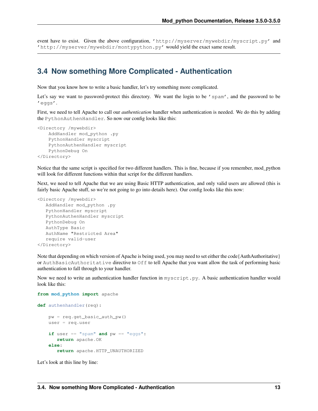event have to exist. Given the above configuration, 'http://myserver/mywebdir/myscript.py' and 'http://myserver/mywebdir/montypython.py' would yield the exact same result.

# <span id="page-16-0"></span>**3.4 Now something More Complicated - Authentication**

Now that you know how to write a basic handler, let's try something more complicated.

Let's say we want to password-protect this directory. We want the login to be 'spam', and the password to be 'eggs'.

First, we need to tell Apache to call our *authentication* handler when authentication is needed. We do this by adding the PythonAuthenHandler. So now our config looks like this:

```
<Directory /mywebdir>
    AddHandler mod_python .py
    PythonHandler myscript
    PythonAuthenHandler myscript
    PythonDebug On
</Directory>
```
Notice that the same script is specified for two different handlers. This is fine, because if you remember, mod\_python will look for different functions within that script for the different handlers.

Next, we need to tell Apache that we are using Basic HTTP authentication, and only valid users are allowed (this is fairly basic Apache stuff, so we're not going to go into details here). Our config looks like this now:

```
<Directory /mywebdir>
  AddHandler mod_python .py
   PythonHandler myscript
  PythonAuthenHandler myscript
  PythonDebug On
  AuthType Basic
  AuthName "Restricted Area"
   require valid-user
</Directory>
```
Note that depending on which version of Apache is being used, you may need to set either the code{AuthAuthoritative} or AuthBasicAuthoritative directive to Off to tell Apache that you want allow the task of performing basic authentication to fall through to your handler.

Now we need to write an authentication handler function in myscript.py. A basic authentication handler would look like this:

```
from mod_python import apache
def authenhandler(req):
    pw = req.get_basic_auth_pw()
    user = req.user
    if user == "spam" and pw == "eggs":
       return apache.OK
    else:
       return apache.HTTP_UNAUTHORIZED
```
Let's look at this line by line: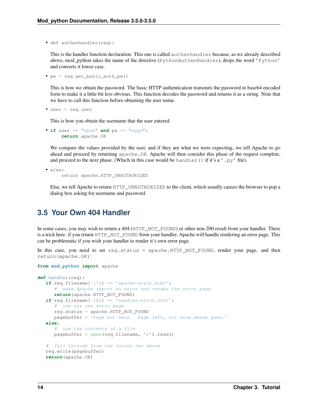```
• def authenhandler(req):
```
This is the handler function declaration. This one is called authenhandler because, as we already described above, mod\_python takes the name of the directive (PythonAuthenHandler), drops the word 'Python' and converts it lower case.

```
• pw = req.get_basic_auth_pw()
```
This is how we obtain the password. The basic HTTP authentication transmits the password in base64 encoded form to make it a little bit less obvious. This function decodes the password and returns it as a string. Note that we have to call this function before obtaining the user name.

```
• user = req.user
```
This is how you obtain the username that the user entered.

```
\bullet if user == "spam" and pw == "eggs":
      return apache.OK
```
We compare the values provided by the user, and if they are what we were expecting, we tell Apache to go ahead and proceed by returning apache. OK. Apache will then consider this phase of the request complete, and proceed to the next phase. (Which in this case would be handler () if it's a  $\prime$ . py $\prime$  file).

```
• else:
```

```
return apache.HTTP_UNAUTHORIZED
```
Else, we tell Apache to return HTTP\_UNAUTHORIZED to the client, which usually causes the browser to pop a dialog box asking for username and password.

# <span id="page-17-0"></span>**3.5 Your Own 404 Handler**

In some cases, you may wish to return a 404 (HTTP\_NOT\_FOUND) or other non-200 result from your handler. There is a trick here. if you return HTTP\_NOT\_FOUND from your handler, Apache will handle rendering an error page. This can be problematic if you wish your handler to render it's own error page.

```
In this case, you need to set req.status = apache.HTTP_NOT_FOUND, render your page, and then
return(apache.OK):
```

```
from mod_python import apache
def handler(req):
   if \text{req}.filename[-17:] == 'apache-error.html':# make Apache report an error and render the error page
      return(apache.HTTP_NOT_FOUND)
   if req.filename[-18:] == 'handler-error.html':
      # use our own error page
      req.status = apache.HTTP_NOT_FOUND
      pagebuffer = 'Page not here. Page left, not know where gone.'
   else:
      # use the contents of a file
      pagebuffer = open(req.filename, 'r').read()
   # fall through from the latter two above
   req.write(pagebuffer)
   return(apache.OK)
```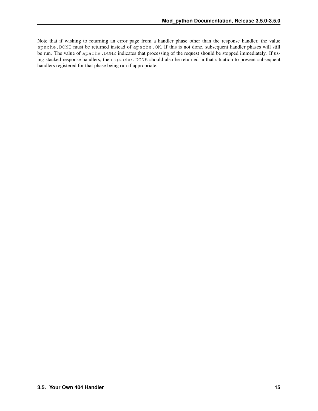Note that if wishing to returning an error page from a handler phase other than the response handler, the value apache.DONE must be returned instead of apache.OK. If this is not done, subsequent handler phases will still be run. The value of apache.DONE indicates that processing of the request should be stopped immediately. If using stacked response handlers, then apache.DONE should also be returned in that situation to prevent subsequent handlers registered for that phase being run if appropriate.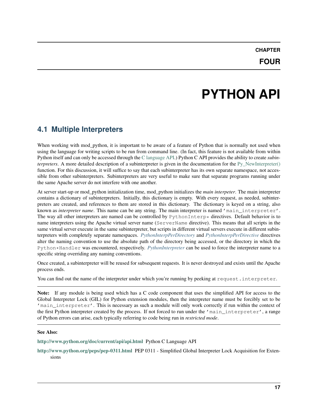# **PYTHON API**

# <span id="page-20-1"></span><span id="page-20-0"></span>**4.1 Multiple Interpreters**

When working with mod\_python, it is important to be aware of a feature of Python that is normally not used when using the language for writing scripts to be run from command line. (In fact, this feature is not available from within Python itself and can only be accessed through the [C language API.](http://www.python.org/doc/current/api/api.html)) Python C API provides the ability to create *subinterpreters*. A more detailed description of a subinterpreter is given in the documentation for the [Py\\_NewInterpreter\(\)](http://www.python.org/doc/current/api/initialization.html) function. For this discussion, it will suffice to say that each subinterpreter has its own separate namespace, not accessible from other subinterpreters. Subinterpreters are very useful to make sure that separate programs running under the same Apache server do not interfere with one another.

At server start-up or mod\_python initialization time, mod\_python initializes the *main interpeter*. The main interpreter contains a dictionary of subinterpreters. Initially, this dictionary is empty. With every request, as needed, subinterpreters are created, and references to them are stored in this dictionary. The dictionary is keyed on a string, also known as *interpreter name*. This name can be any string. The main interpreter is named 'main\_interpreter'. The way all other interpreters are named can be controlled by PythonInterp $\star$  directives. Default behavior is to name interpreters using the Apache virtual server name (ServerName directive). This means that all scripts in the same virtual server execute in the same subinterpreter, but scripts in different virtual servers execute in different subinterpreters with completely separate namespaces. *[PythonInterpPerDirectory](#page-67-0)* and *[PythonInterpPerDirective](#page-67-1)* directives alter the naming convention to use the absolute path of the directory being accessed, or the directory in which the Python\*Handler was encountered, respectively. *[PythonInterpreter](#page-67-2)* can be used to force the interpreter name to a specific string overriding any naming conventions.

Once created, a subinterpreter will be reused for subsequent requests. It is never destroyed and exists until the Apache process ends.

You can find out the name of the interpreter under which you're running by peeking at request.interpreter.

Note: If any module is being used which has a C code component that uses the simplified API for access to the Global Interpreter Lock (GIL) for Python extension modules, then the interpreter name must be forcibly set to be 'main\_interpreter'. This is necessary as such a module will only work correctly if run within the context of the first Python interpreter created by the process. If not forced to run under the 'main\_interpreter', a range of Python errors can arise, each typically referring to code being run in *restricted mode*.

## See Also:

<http://www.python.org/doc/current/api/api.html> Python C Language API

<http://www.python.org/peps/pep-0311.html> PEP 0311 - Simplified Global Interpreter Lock Acquisition for Extensions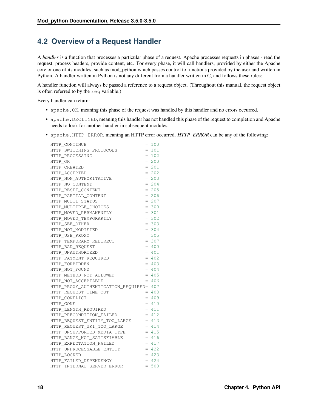# <span id="page-21-0"></span>**4.2 Overview of a Request Handler**

A *handler* is a function that processes a particular phase of a request. Apache processes requests in phases - read the request, process headers, provide content, etc. For every phase, it will call handlers, provided by either the Apache core or one of its modules, such as mod\_python which passes control to functions provided by the user and written in Python. A handler written in Python is not any different from a handler written in C, and follows these rules:

A handler function will always be passed a reference to a request object. (Throughout this manual, the request object is often referred to by the req variable.)

Every handler can return:

- apache.OK, meaning this phase of the request was handled by this handler and no errors occurred.
- apache.DECLINED, meaning this handler has not handled this phase of the request to completion and Apache needs to look for another handler in subsequent modules.
- apache.HTTP\_ERROR, meaning an HTTP error occurred. *HTTP\_ERROR* can be any of the following:

| HTTP_CONTINUE                       | $=$ | 100     |
|-------------------------------------|-----|---------|
| HTTP_SWITCHING_PROTOCOLS            | $=$ | 101     |
| HTTP_PROCESSING                     | =   | 102     |
| HTTP_OK                             |     | $= 200$ |
| HTTP_CREATED                        |     | $= 201$ |
| HTTP_ACCEPTED                       | $=$ | 2.02    |
| HTTP_NON_AUTHORITATIVE              | $=$ | 203     |
| HTTP NO CONTENT                     |     | $= 204$ |
| HTTP_RESET_CONTENT                  |     | $= 205$ |
| HTTP_PARTIAL_CONTENT                | $=$ | 206     |
| HTTP MULTI STATUS                   |     | $= 207$ |
| HTTP_MULTIPLE_CHOICES               | $=$ | 300     |
| HTTP MOVED PERMANENTLY              | $=$ | 301     |
| HTTP MOVED TEMPORARILY              | $=$ | 302     |
| HTTP_SEE_OTHER                      |     | $= 303$ |
| HTTP_NOT_MODIFIED                   | $=$ | 304     |
| HTTP_USE_PROXY                      | $=$ | 305     |
| HTTP TEMPORARY REDIRECT             | $=$ | 307     |
| HTTP_BAD_REQUEST                    | $=$ | 400     |
| HTTP UNAUTHORIZED                   | $=$ | 401     |
| HTTP PAYMENT REQUIRED               | $=$ | 402     |
| HTTP_FORBIDDEN                      |     | $= 403$ |
| HTTP_NOT_FOUND                      |     | $= 404$ |
| HTTP_METHOD_NOT_ALLOWED             | $=$ | 405     |
| HTTP_NOT_ACCEPTABLE                 |     | $= 406$ |
| HTTP_PROXY_AUTHENTICATION_REQUIRED= |     | 407     |
| HTTP_REQUEST_TIME_OUT               | $=$ | 408     |
| HTTP CONFLICT                       | $=$ | 409     |
| HTTP_GONE                           |     | $= 410$ |
| HTTP_LENGTH_REQUIRED                |     | $= 411$ |
| HTTP PRECONDITION FAILED            | $=$ | 412     |
| HTTP_REQUEST_ENTITY_TOO_LARGE       | $=$ | 413     |
| HTTP REOUEST URI TOO LARGE          | $=$ | 414     |
| HTTP_UNSUPPORTED_MEDIA_TYPE         | $=$ | 415     |
| HTTP_RANGE_NOT_SATISFIABLE          | $=$ | 416     |
| HTTP_EXPECTATION_FAILED             |     | $= 417$ |
| HTTP_UNPROCESSABLE_ENTITY           | $=$ | 42.2    |
| HTTP_LOCKED                         |     | $= 423$ |
| HTTP_FAILED_DEPENDENCY              |     | $= 424$ |
| HTTP_INTERNAL_SERVER_ERROR          |     | $= 500$ |
|                                     |     |         |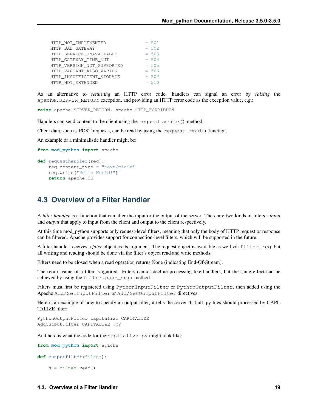| HTTP NOT IMPLEMENTED       | $= 501$ |
|----------------------------|---------|
| HTTP BAD GATEWAY           | $= 502$ |
| HTTP SERVICE UNAVAILABLE   | $= 503$ |
| HTTP GATEWAY TIME OUT      | $= 504$ |
| HTTP VERSION NOT SUPPORTED | $= 505$ |
| HTTP VARIANT ALSO VARIES   | $= 506$ |
| HTTP INSUFFICIENT STORAGE  | $= 507$ |
| HTTP NOT EXTENDED          | $= 510$ |

As an alternative to *returning* an HTTP error code, handlers can signal an error by *raising* the apache.SERVER\_RETURN exception, and providing an HTTP error code as the exception value, e.g.:

**raise** apache.SERVER\_RETURN, apache.HTTP\_FORBIDDEN

Handlers can send content to the client using the request.write() method.

Client data, such as POST requests, can be read by using the request.read() function.

An example of a minimalistic handler might be:

```
from mod_python import apache
```

```
def requesthandler(req):
    req.content_type = "text/plain"
    req.write("Hello World!")
    return apache.OK
```
## <span id="page-22-0"></span>**4.3 Overview of a Filter Handler**

A *filter handler* is a function that can alter the input or the output of the server. There are two kinds of filters - *input* and *output* that apply to input from the client and output to the client respectively.

At this time mod\_python supports only request-level filters, meaning that only the body of HTTP request or response can be filtered. Apache provides support for connection-level filters, which will be supported in the future.

A filter handler receives a *filter* object as its argument. The request object is available as well via filter.req, but all writing and reading should be done via the filter's object read and write methods.

Filters need to be closed when a read operation returns None (indicating End-Of-Stream).

The return value of a filter is ignored. Filters cannot decline processing like handlers, but the same effect can be achieved by using the filter.pass\_on() method.

Filters must first be registered using PythonInputFilter or PythonOutputFilter, then added using the Apache Add/SetInputFilter or Add/SetOutputFilter directives.

Here is an example of how to specify an output filter, it tells the server that all .py files should processed by CAPI-TALIZE filter:

```
PythonOutputFilter capitalize CAPITALIZE
AddOutputFilter CAPITALIZE .py
```
And here is what the code for the capitalize.py might look like:

**from mod\_python import** apache

```
def outputfilter(filter):
```
s = filter.read()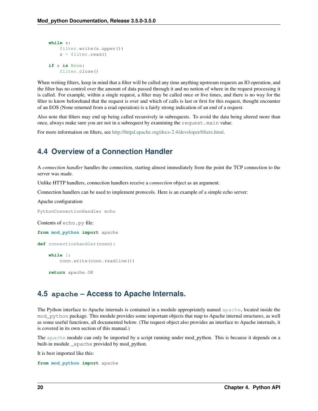```
while s:
   filter.write(s.upper())
    s = filter.read()
if s is None:
    filter.close()
```
When writing filters, keep in mind that a filter will be called any time anything upstream requests an IO operation, and the filter has no control over the amount of data passed through it and no notion of where in the request processing it is called. For example, within a single request, a filter may be called once or five times, and there is no way for the filter to know beforehand that the request is over and which of calls is last or first for this request, thought encounter of an EOS (None returned from a read operation) is a fairly strong indication of an end of a request.

Also note that filters may end up being called recursively in subrequests. To avoid the data being altered more than once, always make sure you are not in a subrequest by examining the request.main value.

For more information on filters, see [http://httpd.apache.org/docs-2.4/developer/filters.html.](http://httpd.apache.org/docs-2.4/developer/filters.html)

# <span id="page-23-0"></span>**4.4 Overview of a Connection Handler**

A *connection handler* handles the connection, starting almost immediately from the point the TCP connection to the server was made.

Unlike HTTP handlers, connection handlers receive a *connection* object as an argument.

Connection handlers can be used to implement protocols. Here is an example of a simple echo server:

Apache configuration:

PythonConnectionHandler echo

Contents of echo.py file:

**from mod\_python import** apache

```
def connectionhandler(conn):
```
**while** 1: conn.write(conn.readline())

**return** apache.OK

# <span id="page-23-1"></span>**4.5 apache – Access to Apache Internals.**

The Python interface to Apache internals is contained in a module appropriately named [apache](#page-23-1), located inside the mod\_python package. This module provides some important objects that map to Apache internal structures, as well as some useful functions, all documented below. (The request object also provides an interface to Apache internals, it is covered in its own section of this manual.)

The [apache](#page-23-1) module can only be imported by a script running under mod\_python. This is because it depends on a built-in module \_apache provided by mod\_python.

It is best imported like this:

**from mod\_python import** apache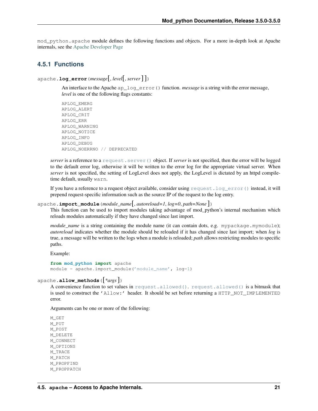mod\_python.apache module defines the following functions and objects. For a more in-depth look at Apache internals, see the [Apache Developer Page](http://httpd.apache.org/dev/)

## **4.5.1 Functions**

<span id="page-24-0"></span>apache.**log\_error**(*message*[, *level*[, *server*] ])

An interface to the Apache ap\_log\_error() function. *message* is a string with the error message, *level* is one of the following flags constants:

```
APLOG_EMERG
APLOG_ALERT
APLOG_CRIT
APLOG_ERR
APLOG_WARNING
APLOG_NOTICE
APLOG_INFO
APLOG_DEBUG
APLOG_NOERRNO // DEPRECATED
```
*server* is a reference to a [request.server\(\)](#page-32-0) object. If *server* is not specified, then the error will be logged to the default error log, otherwise it will be written to the error log for the appropriate virtual server. When *server* is not specified, the setting of LogLevel does not apply, the LogLevel is dictated by an httpd compiletime default, usually warn.

If you have a reference to a request object available, consider using  $\text{request} \cdot \text{log\_error}$  () instead, it will prepend request-specific information such as the source IP of the request to the log entry.

apache.**import\_module**(*module\_name*[, *autoreload=1*, *log=0*, *path=None* ])

This function can be used to import modules taking advantage of mod\_python's internal mechanism which reloads modules automatically if they have changed since last import.

*module\_name* is a string containing the module name (it can contain dots, e.g. mypackage.mymodule); *autoreload* indicates whether the module should be reloaded if it has changed since last import; when *log* is true, a message will be written to the logs when a module is reloaded; *path* allows restricting modules to specific paths.

Example:

```
from mod_python import apache
module = apache.import_module('module_name', log=1)
```
## apache.**allow\_methods**([*\*args*])

A convenience function to set values in [request.allowed\(\)](#page-33-0). [request.allowed\(\)](#page-33-0) is a bitmask that is used to construct the 'Allow:' header. It should be set before returning a HTTP\_NOT\_IMPLEMENTED error.

Arguments can be one or more of the following:

M\_GET M\_PUT M\_POST M\_DELETE M\_CONNECT M\_OPTIONS M\_TRACE M\_PATCH M\_PROPFIND M\_PROPPATCH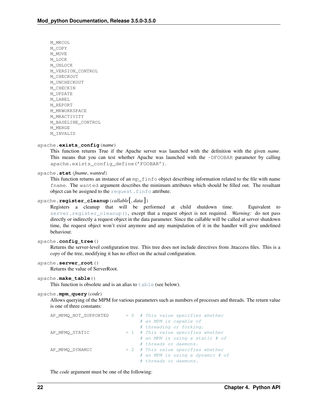M\_MKCOL M\_COPY M\_MOVE M\_LOCK M\_UNLOCK M\_VERSION\_CONTROL M\_CHECKOUT M\_UNCHECKOUT M\_CHECKIN M\_UPDATE M\_LABEL M\_REPORT M\_MKWORKSPACE M\_MKACTIVITY M\_BASELINE\_CONTROL M\_MERGE M\_INVALID

#### apache.**exists\_config**(*name*)

This function returns True if the Apache server was launched with the definition with the given *name*. This means that you can test whether Apache was launched with the -DFOOBAR parameter by calling apache.exists\_config\_define('FOOBAR').

#### <span id="page-25-0"></span>apache.**stat**(*fname*, *wanted*)

This function returns an instance of an mp\_finfo object describing information related to the file with name fname. The wanted argument describes the minimum attributes which should be filled out. The resultant object can be assigned to the [request.finfo](#page-35-0) attribute.

## apache.**register\_cleanup**(*callable*[, *data* ])

Registers a cleanup that will be performed at child shutdown time. Equivalent to [server.register\\_cleanup\(\)](#page-39-0), except that a request object is not required. *Warning:* do not pass directly or indirectly a request object in the data parameter. Since the callable will be called at server shutdown time, the request object won't exist anymore and any manipulation of it in the handler will give undefined behaviour.

#### apache.**config\_tree**()

Returns the server-level configuration tree. This tree does not include directives from .htaccess files. This is a *copy* of the tree, modifying it has no effect on the actual configuration.

#### apache.**server\_root**()

Returns the value of ServerRoot.

#### apache.**make\_table**()

This function is obsolete and is an alias to  $\text{table}$  $\text{table}$  $\text{table}$  (see below).

#### apache.**mpm\_query**(*code*)

Allows querying of the MPM for various parameters such as numbers of processes and threads. The return value is one of three constants:

| AP MPMO NOT SUPPORTED | $= 0$ # This value specifies whether |
|-----------------------|--------------------------------------|
|                       | # an MPM is capable of               |
|                       | # threading or forking.              |
| AP MPMO STATIC        | $= 1$ # This value specifies whether |
|                       | # an MPM is using a static # of      |
|                       | # threads or daemons.                |
| AP MPMQ DYNAMIC       | $= 2$ # This value specifies whether |
|                       | # an MPM is using a dynamic # of     |
|                       | # threads or daemons.                |
|                       |                                      |

The *code* argument must be one of the following: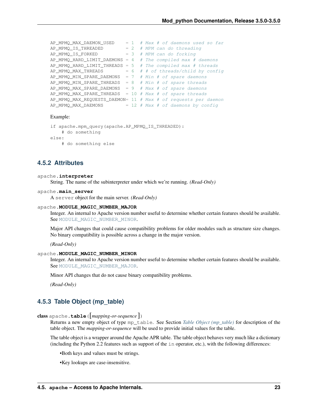```
AP_MPMQ_MAX_DAEMON_USED = 1 # Max # of daemons used so far
AP_MPMQ_IS_THREADER = 2 # MPM can do threading
AP_MPMQ_IS_FORKED = 3 # MPM can do forking
AP_MPMQ_HARD_LIMIT_DAEMONS = 4 # The compiled max # daemons
AP_MPMQ_HARD_LIMIT_THREADS = 5 # The compiled max # threads
AP_MPMQ_MAX_THREADS = 6 # # of threads/child by config
AP_MPMQ_MIN_SPARE_DAEMONS = 7 # Min # of spare daemons
AP_MPMQ_MIN_SPARE_THREADS = 8 # Min # of spare threads
AP_MPMQ_MAX_SPARE_DAEMONS = 9 # Max # of spare daemons
AP_MPMQ_MAX_SPARE_THREADS = 10 # Max # of spare threads
AP_MPMQ_MAX_REQUESTS_DAEMON= 11 # Max # of requests per daemon
AP_MPMQ_MAX_DAEMONS = 12 # Max # of daemons by config
```
#### Example:

```
if apache.mpm_query(apache.AP_MPMQ_IS_THREADED):
    # do something
else:
    # do something else
```
## **4.5.2 Attributes**

#### apache.**interpreter**

String. The name of the subinterpreter under which we're running. *(Read-Only)*

#### apache.**main\_server**

A server object for the main server. *(Read-Only)*

#### <span id="page-26-2"></span>apache.**MODULE\_MAGIC\_NUMBER\_MAJOR**

Integer. An internal to Apache version number useful to determine whether certain features should be available. See [MODULE\\_MAGIC\\_NUMBER\\_MINOR](#page-26-1).

Major API changes that could cause compatibility problems for older modules such as structure size changes. No binary compatibility is possible across a change in the major version.

*(Read-Only)*

#### <span id="page-26-1"></span>apache.**MODULE\_MAGIC\_NUMBER\_MINOR**

Integer. An internal to Apache version number useful to determine whether certain features should be available. See [MODULE\\_MAGIC\\_NUMBER\\_MAJOR](#page-26-2).

Minor API changes that do not cause binary compatibility problems.

*(Read-Only)*

## <span id="page-26-3"></span>**4.5.3 Table Object (mp\_table)**

<span id="page-26-0"></span>class apache.**table**([*mapping-or-sequence* ])

Returns a new empty object of type mp\_table. See Section *[Table Object \(mp\\_table\)](#page-26-3)* for description of the table object. The *mapping-or-sequence* will be used to provide initial values for the table.

The table object is a wrapper around the Apache APR table. The table object behaves very much like a dictionary (including the Python 2.2 features such as support of the in operator, etc.), with the following differences:

•Both keys and values must be strings.

•Key lookups are case-insensitive.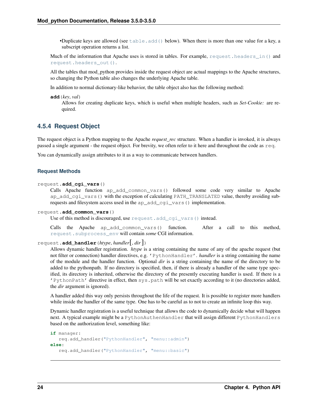•Duplicate keys are allowed (see  $\text{table}$ , add() below). When there is more than one value for a key, a subscript operation returns a list.

Much of the information that Apache uses is stored in tables. For example, [request.headers\\_in\(\)](#page-33-1) and [request.headers\\_out\(\)](#page-33-2).

All the tables that mod\_python provides inside the request object are actual mappings to the Apache structures, so changing the Python table also changes the underlying Apache table.

In addition to normal dictionary-like behavior, the table object also has the following method:

<span id="page-27-1"></span>**add**(*key*, *val*)

Allows for creating duplicate keys, which is useful when multiple headers, such as *Set-Cookie:* are required.

## <span id="page-27-0"></span>**4.5.4 Request Object**

The request object is a Python mapping to the Apache *request\_rec* structure. When a handler is invoked, it is always passed a single argument - the request object. For brevity, we often refer to it here and throughout the code as req.

You can dynamically assign attributes to it as a way to communicate between handlers.

#### <span id="page-27-3"></span>**Request Methods**

```
request.add_cgi_vars()
```
Calls Apache function ap\_add\_common\_vars() followed some code very similar to Apache ap\_add\_cgi\_vars() with the exception of calculating PATH\_TRANSLATED value, thereby avoiding subrequests and filesystem access used in the ap\_add\_cgi\_vars() implementation.

#### <span id="page-27-4"></span>request.**add\_common\_vars**()

Use of this method is discouraged, use [request.add\\_cgi\\_vars\(\)](#page-27-2) instead.

Calls the Apache ap\_add\_common\_vars() function. After a call to this method, [request.subprocess\\_env](#page-34-0) will contain *some* CGI information.

### <span id="page-27-5"></span>request.**add\_handler**(*htype*, *handler*[, *dir*])

Allows dynamic handler registration. *htype* is a string containing the name of any of the apache request (but not filter or connection) handler directives, e.g. 'PythonHandler'. *handler* is a string containing the name of the module and the handler function. Optional *dir* is a string containing the name of the directory to be added to the pythonpath. If no directory is specified, then, if there is already a handler of the same type specified, its directory is inherited, otherwise the directory of the presently executing handler is used. If there is a 'PythonPath' directive in effect, then sys.path will be set exactly according to it (no directories added, the *dir* argument is ignored).

A handler added this way only persists throughout the life of the request. It is possible to register more handlers while inside the handler of the same type. One has to be careful as to not to create an infinite loop this way.

Dynamic handler registration is a useful technique that allows the code to dynamically decide what will happen next. A typical example might be a PythonAuthenHandler that will assign different PythonHandlers based on the authorization level, something like:

```
if manager:
   req.add_handler("PythonHandler", "menu::admin")
else:
   req.add_handler("PythonHandler", "menu::basic")
```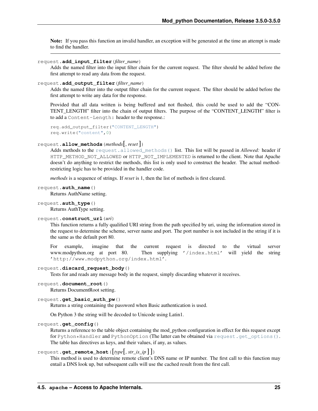Note: If you pass this function an invalid handler, an exception will be generated at the time an attempt is made to find the handler.

```
request.add_input_filter(filter_name)
```
Adds the named filter into the input filter chain for the current request. The filter should be added before the first attempt to read any data from the request.

```
request.add_output_filter(filter_name)
```
Adds the named filter into the output filter chain for the current request. The filter should be added before the first attempt to write any data for the response.

Provided that all data written is being buffered and not flushed, this could be used to add the "CON-TENT\_LENGTH" filter into the chain of output filters. The purpose of the "CONTENT\_LENGTH" filter is to add a Content-Length: header to the response.:

```
req.add_output_filter("CONTENT_LENGTH")
req.write("content",0)
```
## <span id="page-28-1"></span>request.**allow\_methods**(*methods*[, *reset*])

Adds methods to the [request.allowed\\_methods\(\)](#page-33-3) list. This list will be passed in *Allowed:* header if HTTP\_METHOD\_NOT\_ALLOWED or HTTP\_NOT\_IMPLEMENTED is returned to the client. Note that Apache doesn't do anything to restrict the methods, this list is only used to construct the header. The actual methodrestricting logic has to be provided in the handler code.

*methods* is a sequence of strings. If *reset* is 1, then the list of methods is first cleared.

```
request.auth_name()
```
Returns AuthName setting.

```
request.auth_type()
```
Returns AuthType setting.

## request.**construct\_url**(*uri*)

This function returns a fully qualified URI string from the path specified by uri, using the information stored in the request to determine the scheme, server name and port. The port number is not included in the string if it is the same as the default port 80.

For example, imagine that the current request is directed to the virtual server www.modpython.org at port 80. Then supplying '/index.html' will yield the string 'http://www.modpython.org/index.html'.

#### request.**discard\_request\_body**()

Tests for and reads any message body in the request, simply discarding whatever it receives.

#### request.**document\_root**()

Returns DocumentRoot setting.

```
request.get_basic_auth_pw()
```
Returns a string containing the password when Basic authentication is used.

On Python 3 the string will be decoded to Unicode using Latin1.

```
request.get_config()
```
Returns a reference to the table object containing the mod\_python configuration in effect for this request except for Python\*Handler and PythonOption (The latter can be obtained via [request.get\\_options\(\)](#page-29-1). The table has directives as keys, and their values, if any, as values.

### request.**get\_remote\_host**([*type*[, *str\_is\_ip* ] ])

This method is used to determine remote client's DNS name or IP number. The first call to this function may entail a DNS look up, but subsequent calls will use the cached result from the first call.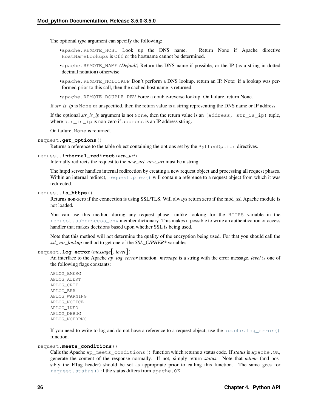The optional *type* argument can specify the following:

- •apache.REMOTE HOST Look up the DNS name. Return None if Apache directive HostNameLookups is Off or the hostname cannot be determined.
- •apache.REMOTE\_NAME *(Default)* Return the DNS name if possible, or the IP (as a string in dotted decimal notation) otherwise.
- •apache.REMOTE\_NOLOOKUP Don't perform a DNS lookup, return an IP. Note: if a lookup was performed prior to this call, then the cached host name is returned.

•apache.REMOTE\_DOUBLE\_REV Force a double-reverse lookup. On failure, return None.

If *str\_is\_ip* is None or unspecified, then the return value is a string representing the DNS name or IP address.

If the optional *str\_is\_ip* argument is not None, then the return value is an (address, str\_is\_ip) tuple, where  $str\_is\_ip$  is non-zero if address is an IP address string.

On failure, None is returned.

## <span id="page-29-1"></span>request.**get\_options**()

Returns a reference to the table object containing the options set by the PythonOption directives.

#### request.**internal\_redirect**(*new\_uri*)

Internally redirects the request to the *new\_uri*. *new\_uri* must be a string.

The httpd server handles internal redirection by creating a new request object and processing all request phases. Within an internal redirect, [request.prev\(\)](#page-32-1) will contain a reference to a request object from which it was redirected.

#### request.**is\_https**()

Returns non-zero if the connection is using SSL/TLS. Will always return zero if the mod\_ssl Apache module is not loaded.

You can use this method during any request phase, unlike looking for the HTTPS variable in the [request.subprocess\\_env](#page-34-0) member dictionary. This makes it possible to write an authentication or access handler that makes decisions based upon whether SSL is being used.

Note that this method will not determine the quality of the encryption being used. For that you should call the *ssl\_var\_lookup* method to get one of the *SSL\_CIPHER\** variables.

## <span id="page-29-0"></span>request.**log\_error**(*message*[, *level*])

An interface to the Apache *ap\_log\_rerror* function. *message* is a string with the error message, *level* is one of the following flags constants:

APLOG\_EMERG APLOG\_ALERT APLOG\_CRIT APLOG\_ERR APLOG\_WARNING APLOG\_NOTICE APLOG\_INFO APLOG\_DEBUG APLOG\_NOERRNO

If you need to write to log and do not have a reference to a request object, use the [apache.log\\_error\(\)](#page-24-0) function.

#### request.**meets\_conditions**()

Calls the Apache ap\_meets\_conditions() function which returns a status code. If *status* is apache.OK, generate the content of the response normally. If not, simply return *status*. Note that *mtime* (and possibly the ETag header) should be set as appropriate prior to calling this function. The same goes for [request.status\(\)](#page-33-4) if the status differs from apache.OK.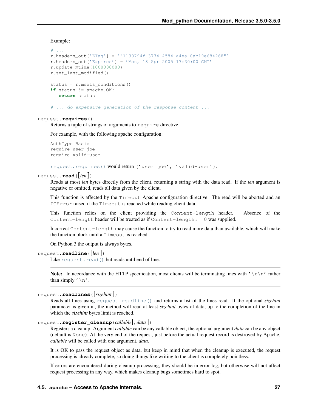Example:

```
# . . .
r.headers out ['ETag'] = '"1130794f-3774-4584-a4ea-0ab19e684268"'
r.headers_out['Expires'] = 'Mon, 18 Apr 2005 17:30:00 GMT'
r.update_mtime(1000000000)
r.set_last_modified()
status = r.meets_conditions()
if status != apache.OK:
   return status
# \ldots do expensive generation of the response content ...
```
#### <span id="page-30-0"></span>request.**requires**()

Returns a tuple of strings of arguments to require directive.

For example, with the following apache configuration:

```
AuthType Basic
require user joe
require valid-user
```
[request.requires\(\)](#page-30-0) would return ('user joe', 'valid-user').

#### <span id="page-30-1"></span>request.**read**([*len* ])

Reads at most *len* bytes directly from the client, returning a string with the data read. If the *len* argument is negative or omitted, reads all data given by the client.

This function is affected by the Timeout Apache configuration directive. The read will be aborted and an IOError raised if the Timeout is reached while reading client data.

This function relies on the client providing the Content-length header. Absence of the Content-length header will be treated as if Content-length: 0 was supplied.

Incorrect Content-length may cause the function to try to read more data than available, which will make the function block until a Timeout is reached.

On Python 3 the output is always bytes.

```
request.readline([len ])
```
Like [request.read\(\)](#page-30-1) but reads until end of line.

Note: In accordance with the HTTP specification, most clients will be terminating lines with '\r\n' rather than simply  $\prime \n\cdot$ .

request.**readlines**([*sizehint*])

Reads all lines using [request.readline\(\)](#page-30-2) and returns a list of the lines read. If the optional *sizehint* parameter is given in, the method will read at least *sizehint* bytes of data, up to the completion of the line in which the *sizehint* bytes limit is reached.

```
request.register_cleanup(callable[, data ])
```
Registers a cleanup. Argument *callable* can be any callable object, the optional argument *data* can be any object (default is None). At the very end of the request, just before the actual request record is destroyed by Apache, *callable* will be called with one argument, *data*.

It is OK to pass the request object as data, but keep in mind that when the cleanup is executed, the request processing is already complete, so doing things like writing to the client is completely pointless.

If errors are encountered during cleanup processing, they should be in error log, but otherwise will not affect request processing in any way, which makes cleanup bugs sometimes hard to spot.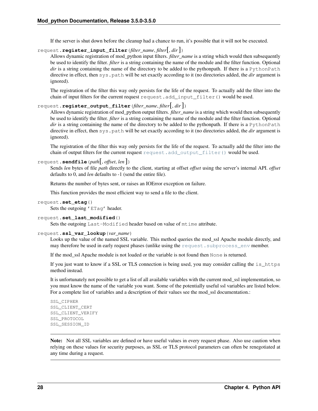If the server is shut down before the cleanup had a chance to run, it's possible that it will not be executed.

## request.**register\_input\_filter**(*filter\_name*, *filter*[, *dir*])

Allows dynamic registration of mod\_python input filters. *filter\_name* is a string which would then subsequently be used to identify the filter. *filter* is a string containing the name of the module and the filter function. Optional *dir* is a string containing the name of the directory to be added to the pythonpath. If there is a PythonPath directive in effect, then sys.path will be set exactly according to it (no directories added, the *dir* argument is ignored).

The registration of the filter this way only persists for the life of the request. To actually add the filter into the chain of input filters for the current request request.add\_input\_filter() would be used.

## request.**register\_output\_filter**(*filter\_name*, *filter*[, *dir*])

Allows dynamic registration of mod\_python output filters. *filter\_name* is a string which would then subsequently be used to identify the filter. *filter* is a string containing the name of the module and the filter function. Optional *dir* is a string containing the name of the directory to be added to the pythonpath. If there is a PythonPath directive in effect, then sys.path will be set exactly according to it (no directories added, the *dir* argument is ignored).

The registration of the filter this way only persists for the life of the request. To actually add the filter into the chain of output filters for the current request [request.add\\_output\\_filter\(\)](#page-28-0) would be used.

## request.**sendfile**(*path*[, *offset*, *len* ])

Sends *len* bytes of file *path* directly to the client, starting at offset *offset* using the server's internal API. *offset* defaults to 0, and *len* defaults to -1 (send the entire file).

Returns the number of bytes sent, or raises an IOError exception on failure.

This function provides the most efficient way to send a file to the client.

```
request.set_etag()
```
Sets the outgoing 'ETag' header.

#### request.**set\_last\_modified**()

Sets the outgoing Last-Modified header based on value of mtime attribute.

#### request.**ssl\_var\_lookup**(*var\_name*)

Looks up the value of the named SSL variable. This method queries the mod\_ssl Apache module directly, and may therefore be used in early request phases (unlike using the request. subprocess\_env member.

If the mod\_ssl Apache module is not loaded or the variable is not found then None is returned.

If you just want to know if a SSL or TLS connection is being used, you may consider calling the is\_https method instead.

It is unfortunately not possible to get a list of all available variables with the current mod\_ssl implementation, so you must know the name of the variable you want. Some of the potentially useful ssl variables are listed below. For a complete list of variables and a description of their values see the mod\_ssl documentation.:

```
SSL_CIPHER
SSL_CLIENT_CERT
SSL_CLIENT_VERIFY
SSL_PROTOCOL
SSL_SESSION_ID
```
Note: Not all SSL variables are defined or have useful values in every request phase. Also use caution when relying on these values for security purposes, as SSL or TLS protocol parameters can often be renegotiated at any time during a request.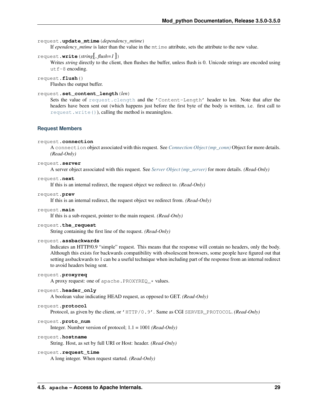#### request.**update\_mtime**(*dependency\_mtime*)

If *ependency* mtime is later than the value in the mtime attribute, sets the attribute to the new value.

#### <span id="page-32-2"></span>request.**write**(*string*[, *flush=1* ])

Writes *string* directly to the client, then flushes the buffer, unless flush is 0. Unicode strings are encoded using utf-8 encoding.

request.**flush**()

Flushes the output buffer.

### request.**set\_content\_length**(*len*)

Sets the value of [request.clength](#page-33-5) and the 'Content-Length' header to len. Note that after the headers have been sent out (which happens just before the first byte of the body is written, i.e. first call to [request.write\(\)](#page-32-2)), calling the method is meaningless.

#### **Request Members**

#### request.**connection**

A connection object associated with this request. See *[Connection Object \(mp\\_conn\)](#page-36-0)* Object for more details. *(Read-Only)*

#### <span id="page-32-0"></span>request.**server**

A server object associated with this request. See *[Server Object \(mp\\_server\)](#page-39-1)* for more details. *(Read-Only)*

#### request.**next**

If this is an internal redirect, the request object we redirect to. *(Read-Only)*

#### <span id="page-32-1"></span>request.**prev**

If this is an internal redirect, the request object we redirect from. *(Read-Only)*

#### request.**main**

If this is a sub-request, pointer to the main request. *(Read-Only)*

#### request.**the\_request**

String containing the first line of the request. *(Read-Only)*

#### request.**assbackwards**

Indicates an HTTP/0.9 "simple" request. This means that the response will contain no headers, only the body. Although this exists for backwards compatibility with obsolescent browsers, some people have figured out that setting assbackwards to 1 can be a useful technique when including part of the response from an internal redirect to avoid headers being sent.

#### request.**proxyreq**

A proxy request: one of apache.PROXYREQ\_\* values.

# request.**header\_only**

A boolean value indicating HEAD request, as opposed to GET. *(Read-Only)*

#### request.**protocol**

Protocol, as given by the client, or 'HTTP/0.9'. Same as CGI SERVER\_PROTOCOL. *(Read-Only)*

#### request.**proto\_num**

Integer. Number version of protocol; 1.1 = 1001 *(Read-Only)*

#### request.**hostname**

String. Host, as set by full URI or Host: header. *(Read-Only)*

#### request.**request\_time**

A long integer. When request started. *(Read-Only)*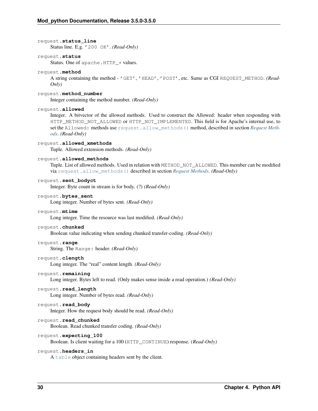#### request.**status\_line**

Status line. E.g. '200 OK'. *(Read-Only)*

#### <span id="page-33-4"></span>request.**status**

Status. One of apache.HTTP\_\* values.

#### request.**method**

A string containing the method - 'GET', 'HEAD', 'POST', etc. Same as CGI REQUEST\_METHOD. *(Read-Only)*

request.**method\_number**

Integer containing the method number. *(Read-Only)*

#### <span id="page-33-0"></span>request.**allowed**

Integer. A bitvector of the allowed methods. Used to construct the Allowed: header when responding with HTTP\_METHOD\_NOT\_ALLOWED or HTTP\_NOT\_IMPLEMENTED. This field is for Apache's internal use, to set the Allowed: methods use [request.allow\\_methods\(\)](#page-28-1) method, described in section *[Request Meth](#page-27-3)[ods](#page-27-3)*. *(Read-Only)*

#### request.**allowed\_xmethods**

Tuple. Allowed extension methods. *(Read-Only)*

#### <span id="page-33-3"></span>request.**allowed\_methods**

Tuple. List of allowed methods. Used in relation with METHOD\_NOT\_ALLOWED. This member can be modified via [request.allow\\_methods\(\)](#page-28-1) described in section *[Request Methods](#page-27-3)*. *(Read-Only)*

#### request.**sent\_bodyct**

Integer. Byte count in stream is for body. (?) *(Read-Only)*

#### request.**bytes\_sent**

Long integer. Number of bytes sent. *(Read-Only)*

#### request.**mtime**

Long integer. Time the resource was last modified. *(Read-Only)*

#### request.**chunked**

Boolean value indicating when sending chunked transfer-coding. *(Read-Only)*

#### request.**range**

String. The Range: header. *(Read-Only)*

#### <span id="page-33-5"></span>request.**clength**

Long integer. The "real" content length. *(Read-Only)*

## request.**remaining**

Long integer. Bytes left to read. (Only makes sense inside a read operation.) *(Read-Only)*

#### request.**read\_length**

Long integer. Number of bytes read. *(Read-Only)*

#### request.**read\_body**

Integer. How the request body should be read. *(Read-Only)*

#### request.**read\_chunked**

Boolean. Read chunked transfer coding. *(Read-Only)*

#### request.**expecting\_100**

Boolean. Is client waiting for a 100 (HTTP\_CONTINUE) response. *(Read-Only)*

#### <span id="page-33-2"></span><span id="page-33-1"></span>request.**headers\_in**

A [table](#page-26-0) object containing headers sent by the client.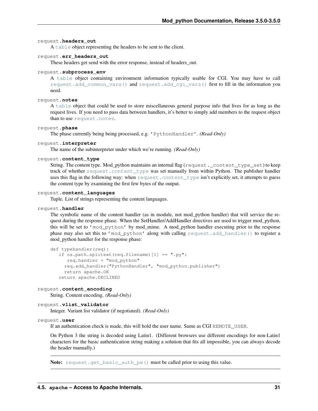#### request.**headers\_out**

A [table](#page-26-0) object representing the headers to be sent to the client.

### request.**err\_headers\_out**

These headers get send with the error response, instead of headers\_out.

#### <span id="page-34-0"></span>request.**subprocess\_env**

A [table](#page-26-0) object containing environment information typically usable for CGI. You may have to call [request.add\\_common\\_vars\(\)](#page-27-4) and [request.add\\_cgi\\_vars\(\)](#page-27-2) first to fill in the information you need.

#### <span id="page-34-1"></span>request.**notes**

A [table](#page-26-0) object that could be used to store miscellaneous general purpose info that lives for as long as the request lives. If you need to pass data between handlers, it's better to simply add members to the request object than to use [request.notes](#page-34-1).

### request.**phase**

The phase currently being being processed, e.g. 'PythonHandler'. *(Read-Only)*

#### request.**interpreter**

The name of the subinterpreter under which we're running. *(Read-Only)*

#### <span id="page-34-2"></span>request.**content\_type**

String. The content type. Mod\_python maintains an internal flag (request.\_content\_type\_set) to keep track of whether [request.content\\_type](#page-34-2) was set manually from within Python. The publisher handler uses this flag in the following way: when [request.content\\_type](#page-34-2) isn't explicitly set, it attempts to guess the content type by examining the first few bytes of the output.

#### request.**content\_languages**

Tuple. List of strings representing the content languages.

#### request.**handler**

The symbolic name of the content handler (as in module, not mod\_python handler) that will service the request during the response phase. When the SetHandler/AddHandler directives are used to trigger mod\_python, this will be set to 'mod\_python' by mod\_mime. A mod\_python handler executing prior to the response phase may also set this to 'mod\_python' along with calling [request.add\\_handler\(\)](#page-27-5) to register a mod\_python handler for the response phase:

```
def typehandler(req):
   if os.path.splitext(req.filename)[1] == ".py":
      req.handler = "mod_python"
     req.add_handler("PythonHandler", "mod_python.publisher")
     return apache.OK
  return apache.DECLINED
```
#### request.**content\_encoding**

String. Content encoding. *(Read-Only)*

#### request.**vlist\_validator**

Integer. Variant list validator (if negotiated). *(Read-Only)*

#### request.**user**

If an authentication check is made, this will hold the user name. Same as CGI REMOTE\_USER.

On Python 3 the string is decoded using Latin1. (Different browsers use different encodings for non-Latin1 characters for the basic authentication string making a solution that fits all impossible, you can always decode the header manually.)

Note: [request.get\\_basic\\_auth\\_pw\(\)](#page-28-2) must be called prior to using this value.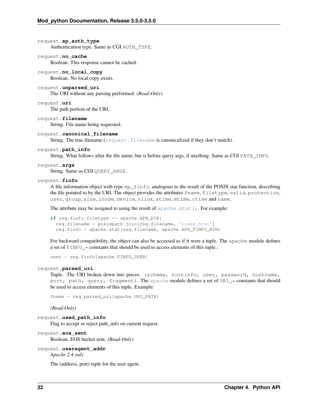## request.**ap\_auth\_type**

Authentication type. Same as CGI AUTH\_TYPE.

## request.**no\_cache**

Boolean. This response cannot be cached.

request.**no\_local\_copy** Boolean. No local copy exists.

#### request.**unparsed\_uri**

The URI without any parsing performed. *(Read-Only)*

request.**uri**

The path portion of the URI.

```
request.filename
```
String. File name being requested.

#### request.**canonical\_filename**

String. The true filename ([request.filename](#page-35-1) is canonicalized if they don't match).

#### request.**path\_info**

String. What follows after the file name, but is before query args, if anything. Same as CGI PATH\_INFO.

#### request.**args**

String. Same as CGI QUERY\_ARGS.

#### <span id="page-35-0"></span>request.**finfo**

A file information object with type mp\_finfo, analogous to the result of the POSIX stat function, describing the file pointed to by the URI. The object provides the attributes fname, filetype, valid, protection, user, group, size, inode, device, nlink, atime, mtime, ctime and name.

The attribute may be assigned to using the result of [apache.stat\(\)](#page-25-0). For example:

```
if req.finfo.filetype == apache.APR_DIR:
  req.filename = posixpath.join(req.filename, 'index.html')
  req.finfo = apache.stat(req.filename, apache.APR_FINFO_MIN)
```
For backward compatibility, the object can also be accessed as if it were a tuple. The apache module defines a set of FINFO\_\* constants that should be used to access elements of this tuple.:

user = req.finfo[apache.FINFO\_USER]

#### request.**parsed\_uri**

Tuple. The URI broken down into pieces. (scheme, hostinfo, user, password, hostname, port, path, query, fragment). The [apache](#page-23-1) module defines a set of URI\_\* constants that should be used to access elements of this tuple. Example:

fname = req.parsed\_uri[apache.URI\_PATH]

*(Read-Only)*

- request.**used\_path\_info** Flag to accept or reject path\_info on current request.
- request.**eos\_sent** Boolean. EOS bucket sent. *(Read-Only)*

```
request.useragent_addr
    Apache 2.4 only
```
The (address, port) tuple for the user agent.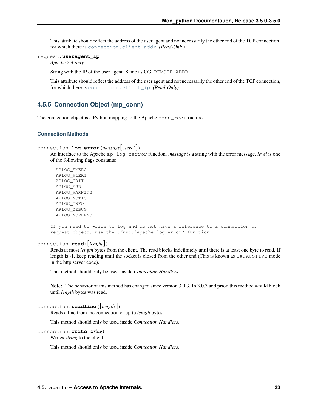This attribute should reflect the address of the user agent and not necessarily the other end of the TCP connection, for which there is [connection.client\\_addr](#page-37-0). *(Read-Only)*

```
request.useragent_ip
```
*Apache 2.4 only*

String with the IP of the user agent. Same as CGI REMOTE ADDR.

This attribute should reflect the address of the user agent and not necessarily the other end of the TCP connection, for which there is [connection.client\\_ip](#page-37-1). *(Read-Only)*

### **4.5.5 Connection Object (mp\_conn)**

The connection object is a Python mapping to the Apache conn\_rec structure.

### **Connection Methods**

```
connection.log_error(message[, level])
```
An interface to the Apache ap\_log\_cerror function. *message* is a string with the error message, *level* is one of the following flags constants:

```
APLOG_EMERG
APLOG_ALERT
APLOG_CRIT
APLOG_ERR
APLOG_WARNING
APLOG_NOTICE
APLOG_INFO
APLOG_DEBUG
APLOG_NOERRNO
```
If you need to write to log and do not have a reference to a connection or request object, use the :func:'apache.log\_error' function.

```
connection.read([length ])
```
Reads at most *length* bytes from the client. The read blocks indefinitely until there is at least one byte to read. If length is -1, keep reading until the socket is closed from the other end (This is known as EXHAUSTIVE mode in the http server code).

This method should only be used inside *Connection Handlers*.

Note: The behavior of this method has changed since version 3.0.3. In 3.0.3 and prior, this method would block until *length* bytes was read.

```
connection.readline([length ])
```
Reads a line from the connection or up to *length* bytes.

This method should only be used inside *Connection Handlers*.

```
connection.write(string)
     Writes string to the client.
```
This method should only be used inside *Connection Handlers*.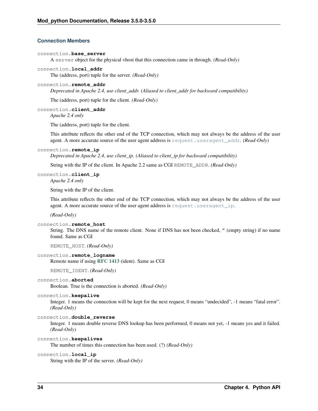### **Connection Members**

### connection.**base\_server**

A server object for the physical vhost that this connection came in through. *(Read-Only)*

connection.**local\_addr**

The (address, port) tuple for the server. *(Read-Only)*

### connection.**remote\_addr**

*Deprecated in Apache 2.4, use client\_addr. (Aliased to client\_addr for backward compatibility)*

The (address, port) tuple for the client. *(Read-Only)*

<span id="page-37-0"></span>connection.**client\_addr** *Apache 2.4 only*

The (address, port) tuple for the client.

This attribute reflects the other end of the TCP connection, which may not always be the address of the user agent. A more accurate source of the user agent address is [request.useragent\\_addr](#page-35-0). *(Read-Only)*

### connection.**remote\_ip**

*Deprecated in Apache 2.4, use client\_ip. (Aliased to client\_ip for backward compatibility)*

String with the IP of the client. In Apache 2.2 same as CGI REMOTE\_ADDR. *(Read-Only)*

### <span id="page-37-1"></span>connection.**client\_ip**

*Apache 2.4 only*

String with the IP of the client.

This attribute reflects the other end of the TCP connection, which may not always be the address of the user agent. A more accurate source of the user agent address is [request.useragent\\_ip](#page-36-0).

*(Read-Only)*

### connection.**remote\_host**

String. The DNS name of the remote client. None if DNS has not been checked, " (empty string) if no name found. Same as CGI

REMOTE\_HOST. *(Read-Only)*

### connection.**remote\_logname**

Remote name if using [RFC 1413](http://tools.ietf.org/html/rfc1413.html) (ident). Same as CGI

REMOTE\_IDENT. *(Read-Only)*

connection.**aborted**

Boolean. True is the connection is aborted. *(Read-Only)*

#### connection.**keepalive**

Integer. 1 means the connection will be kept for the next request, 0 means "undecided", -1 means "fatal error". *(Read-Only)*

connection.**double\_reverse**

Integer. 1 means double reverse DNS lookup has been performed, 0 means not yet, -1 means yes and it failed. *(Read-Only)*

connection.**keepalives**

The number of times this connection has been used. (?) *(Read-Only)*

### connection.**local\_ip**

String with the IP of the server. *(Read-Only)*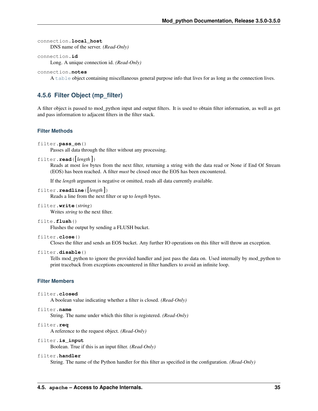```
connection.local_host
```
DNS name of the server. *(Read-Only)*

```
connection.id
```
Long. A unique connection id. *(Read-Only)*

```
connection.notes
```
A [table](#page-26-0) object containing miscellaneous general purpose info that lives for as long as the connection lives.

# **4.5.6 Filter Object (mp\_filter)**

A filter object is passed to mod\_python input and output filters. It is used to obtain filter information, as well as get and pass information to adjacent filters in the filter stack.

### **Filter Methods**

```
filter.pass on()
```
Passes all data through the filter without any processing.

```
filter.read([length ])
```
Reads at most *len* bytes from the next filter, returning a string with the data read or None if End Of Stream (EOS) has been reached. A filter *must* be closed once the EOS has been encountered.

If the *length* argument is negative or omitted, reads all data currently available.

```
filter.readline([length ])
```
Reads a line from the next filter or up to *length* bytes.

filter.**write**(*string*)

Writes *string* to the next filter.

filte.**flush**()

Flushes the output by sending a FLUSH bucket.

### filter.**close**()

Closes the filter and sends an EOS bucket. Any further IO operations on this filter will throw an exception.

### filter.**disable**()

Tells mod\_python to ignore the provided handler and just pass the data on. Used internally by mod\_python to print traceback from exceptions encountered in filter handlers to avoid an infinite loop.

### **Filter Members**

### filter.**closed**

A boolean value indicating whether a filter is closed. *(Read-Only)*

### filter.**name**

String. The name under which this filter is registered. *(Read-Only)*

### filter.**req**

A reference to the request object. *(Read-Only)*

### filter.**is\_input**

Boolean. True if this is an input filter. *(Read-Only)*

### filter.**handler**

String. The name of the Python handler for this filter as specified in the configuration. *(Read-Only)*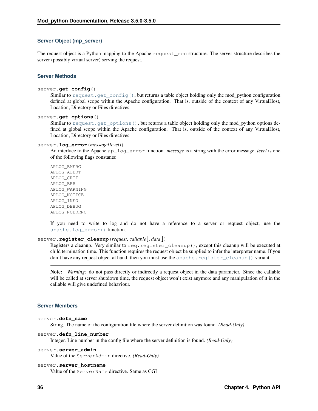### **Server Object (mp\_server)**

The request object is a Python mapping to the Apache request\_rec structure. The server structure describes the server (possibly virtual server) serving the request.

### **Server Methods**

server.**get\_config**()

Similar to [request.get\\_config\(\)](#page-28-0), but returns a table object holding only the mod\_python configuration defined at global scope within the Apache configuration. That is, outside of the context of any VirtualHost, Location, Directory or Files directives.

server.**get\_options**()

Similar to [request.get\\_options\(\)](#page-29-0), but returns a table object holding only the mod\_python options defined at global scope within the Apache configuration. That is, outside of the context of any VirtualHost, Location, Directory or Files directives.

#### server.**log\_error**(*message[level]*)

An interface to the Apache ap\_log\_error function. *message* is a string with the error message, *level* is one of the following flags constants:

APLOG\_EMERG APLOG\_ALERT APLOG\_CRIT APLOG\_ERR APLOG\_WARNING APLOG\_NOTICE APLOG\_INFO APLOG\_DEBUG APLOG\_NOERRNO

If you need to write to log and do not have a reference to a server or request object, use the [apache.log\\_error\(\)](#page-24-0) function.

```
server.register_cleanup(request, callable[, data ])
```
Registers a cleanup. Very similar to req.reqister\_cleanup(), except this cleanup will be executed at child termination time. This function requires the request object be supplied to infer the interpreter name. If you don't have any request object at hand, then you must use the [apache.register\\_cleanup\(\)](#page-25-0) variant.

Note: *Warning:* do not pass directly or indirectly a request object in the data parameter. Since the callable will be called at server shutdown time, the request object won't exist anymore and any manipulation of it in the callable will give undefined behaviour.

### **Server Members**

```
server.defn_name
```
String. The name of the configuration file where the server definition was found. *(Read-Only)*

#### server.**defn\_line\_number**

Integer. Line number in the config file where the server definition is found. *(Read-Only)*

#### server.**server\_admin**

Value of the ServerAdmin directive. *(Read-Only)*

#### server.**server\_hostname**

Value of the ServerName directive. Same as CGI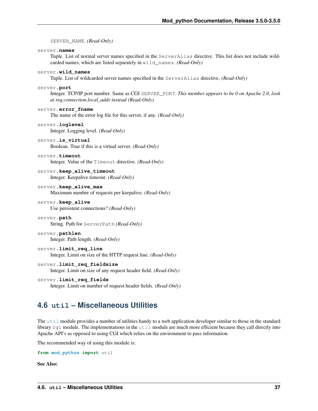SERVER\_NAME. *(Read-Only)*

#### server.**names**

Tuple. List of normal server names specified in the ServerAlias directive. This list does not include wildcarded names, which are listed separately in wild\_names. *(Read-Only)*

### server.**wild\_names**

Tuple. List of wildcarded server names specified in the ServerAlias directive. *(Read-Only)*

#### server.**port**

Integer. TCP/IP port number. Same as CGI SERVER\_PORT. *This member appears to be 0 on Apache 2.0, look at req.connection.local\_addr instead (Read-Only)*

### server.**error\_fname**

The name of the error log file for this server, if any. *(Read-Only)*

### server.**loglevel**

Integer. Logging level. *(Read-Only)*

### server.**is\_virtual**

Boolean. True if this is a virtual server. *(Read-Only)*

#### server.**timeout**

Integer. Value of the Timeout directive. *(Read-Only)*

### server.**keep\_alive\_timeout** Integer. Keepalive timeout. *(Read-Only)*

### server.**keep\_alive\_max** Maximum number of requests per keepalive. *(Read-Only)*

### server.**keep\_alive**

Use persistent connections? *(Read-Only)*

#### server.**path**

String. Path for ServerPath *(Read-Only)*

### server.**pathlen**

Integer. Path length. *(Read-Only)*

# server.**limit\_req\_line**

Integer. Limit on size of the HTTP request line. *(Read-Only)*

### server.**limit\_req\_fieldsize**

Integer. Limit on size of any request header field. *(Read-Only)*

### server.**limit\_req\_fields**

Integer. Limit on number of request header fields. *(Read-Only)*

# <span id="page-40-0"></span>**4.6 util – Miscellaneous Utilities**

The [util](#page-40-0) module provides a number of utilities handy to a web application developer similar to those in the standard library  $cgi$  module. The implementations in the  $util$  module are much more efficient because they call directly into Apache API's as opposed to using CGI which relies on the environment to pass information.

The recommended way of using this module is:

```
from mod_python import util
```
See Also: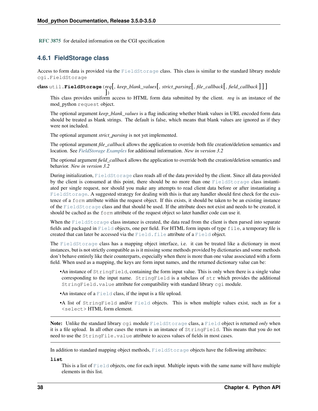[RFC 3875](http://tools.ietf.org/html/rfc3875.html) for detailed information on the CGI specification

### **4.6.1 FieldStorage class**

Access to form data is provided via the [FieldStorage](#page-41-0) class. This class is similar to the standard library module cgi.FieldStorage

<span id="page-41-0"></span>class util.**FieldStorage**(*req*[, *keep\_blank\_values*[, *strict\_parsing*[, *file\_callback*[, *field\_callback* ] ] ]

 $\int$ This class provides uniform access to HTML form data submitted by the client. *req* is an instance of the mod\_python request object.

The optional argument *keep\_blank\_values* is a flag indicating whether blank values in URL encoded form data should be treated as blank strings. The default is false, which means that blank values are ignored as if they were not included.

The optional argument *strict parsing* is not yet implemented.

The optional argument *file\_callback* allows the application to override both file creation/deletion semantics and location. See *[FieldStorage Examples](#page-42-0)* for additional information. *New in version 3.2*

The optional argument *field\_callback* allows the application to override both the creation/deletion semantics and behavior. *New in version 3.2*

During initialization, [FieldStorage](#page-41-0) class reads all of the data provided by the client. Since all data provided by the client is consumed at this point, there should be no more than one [FieldStorage](#page-41-0) class instantiated per single request, nor should you make any attempts to read client data before or after instantiating a [FieldStorage](#page-41-0). A suggested strategy for dealing with this is that any handler should first check for the existence of a form attribute within the request object. If this exists, it should be taken to be an existing instance of the [FieldStorage](#page-41-0) class and that should be used. If the attribute does not exist and needs to be created, it should be cached as the form attribute of the request object so later handler code can use it.

When the [FieldStorage](#page-41-0) class instance is created, the data read from the client is then parsed into separate fields and packaged in [Field](#page-44-0) objects, one per field. For HTML form inputs of type file, a temporary file is created that can later be accessed via the  $Field$ . file attribute of a  $Field$  object.

The [FieldStorage](#page-41-0) class has a mapping object interface, i.e. it can be treated like a dictionary in most instances, but is not strictly compatible as is it missing some methods provided by dictionaries and some methods don't behave entirely like their counterparts, especially when there is more than one value associated with a form field. When used as a mapping, the keys are form input names, and the returned dictionary value can be:

•An instance of  $StringField$ , containing the form input value. This is only when there is a single value corresponding to the input name.  $StringField$  is a subclass of  $str$  which provides the additional StringField.value attribute for compatibility with standard library cgi module.

•An instance of a [Field](#page-44-0) class, if the input is a file upload.

•A list of StringField and/or [Field](#page-44-0) objects. This is when multiple values exist, such as for a <select> HTML form element.

Note: Unlike the standard library cgi module [FieldStorage](#page-41-0) class, a [Field](#page-44-0) object is returned *only* when it is a file upload. In all other cases the return is an instance of StringField. This means that you do not need to use the StringFile.value attribute to access values of fields in most cases.

In addition to standard mapping object methods, [FieldStorage](#page-41-0) objects have the following attributes:

**list**

This is a list of  $\text{Field objects}$  $\text{Field objects}$  $\text{Field objects}$ , one for each input. Multiple inputs with the same name will have multiple elements in this list.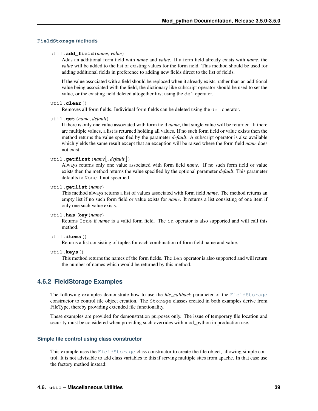### **FieldStorage methods**

### util.**add\_field**(*name*, *value*)

Adds an additional form field with *name* and *value*. If a form field already exists with *name*, the *value* will be added to the list of existing values for the form field. This method should be used for adding additional fields in preference to adding new fields direct to the list of fields.

If the value associated with a field should be replaced when it already exists, rather than an additional value being associated with the field, the dictionary like subscript operator should be used to set the value, or the existing field deleted altogether first using the del operator.

### util.**clear**()

Removes all form fields. Individual form fields can be deleted using the del operator.

util.**get**(*name*, *default*)

If there is only one value associated with form field *name*, that single value will be returned. If there are multiple values, a list is returned holding all values. If no such form field or value exists then the method returns the value specified by the parameter *default*. A subscript operator is also available which yields the same result except that an exception will be raised where the form field *name* does not exist.

### util.**getfirst**(*name*[, *default*])

Always returns only one value associated with form field *name*. If no such form field or value exists then the method returns the value specified by the optional parameter *default*. This parameter defaults to None if not specified.

util.**getlist**(*name*)

This method always returns a list of values associated with form field *name*. The method returns an empty list if no such form field or value exists for *name*. It returns a list consisting of one item if only one such value exists.

### util.**has\_key**(*name*)

Returns True if *name* is a valid form field. The in operator is also supported and will call this method.

```
util.items()
```
Returns a list consisting of tuples for each combination of form field name and value.

util.**keys**()

This method returns the names of the form fields. The len operator is also supported and will return the number of names which would be returned by this method.

### <span id="page-42-0"></span>**4.6.2 FieldStorage Examples**

The following examples demonstrate how to use the *file callback* parameter of the [FieldStorage](#page-41-0) constructor to control file object creation. The Storage classes created in both examples derive from FileType, thereby providing extended file functionality.

These examples are provided for demonstration purposes only. The issue of temporary file location and security must be considered when providing such overrides with mod\_python in production use.

### **Simple file control using class constructor**

This example uses the [FieldStorage](#page-41-0) class constructor to create the file object, allowing simple control. It is not advisable to add class variables to this if serving multiple sites from apache. In that case use the factory method instead: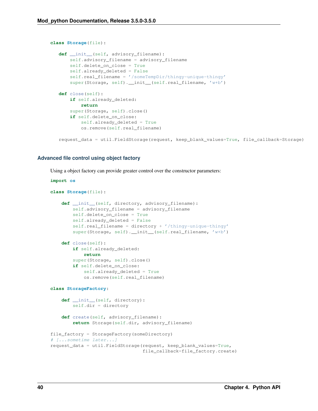```
class Storage(file):
  def __init__(self, advisory_filename):
       self.advisory_filename = advisory_filename
       self.delete_on_close = True
       self.already_deleted = False
       self.real_filename = '/someTempDir/thingy-unique-thingy'
       super(Storage, self).__init_(self.real_filename, 'w+b')
  def close(self):
       if self.already_deleted:
          return
       super(Storage, self).close()
       if self.delete on close:
           self.already_deleted = True
           os.remove(self.real_filename)
   request_data = util.FieldStorage(request, keep_blank_values=True, file_callback=Storage)
```
### **Advanced file control using object factory**

Using a object factory can provide greater control over the constructor parameters:

```
import os
class Storage(file):
    def __init__(self, directory, advisory_filename):
       self.advisory_filename = advisory_filename
        self.delete_on_close = True
        self.already_deleted = False
        self.real_filename = directory + '/thingy-unique-thingy'
        super(Storage, self).__init_(self.real_filename, 'w+b')
    def close(self):
        if self.already_deleted:
            return
        super(Storage, self).close()
        if self.delete_on_close:
            self.already_deleted = True
            os.remove(self.real_filename)
class StorageFactory:
    def __init__(self, directory):
       self.dir = directory
    def create(self, advisory_filename):
        return Storage(self.dir, advisory_filename)
file_factory = StorageFactory(someDirectory)
# [...sometime later...]
request_data = util.FieldStorage(request, keep_blank_values=True,
                                 file_callback=file_factory.create)
```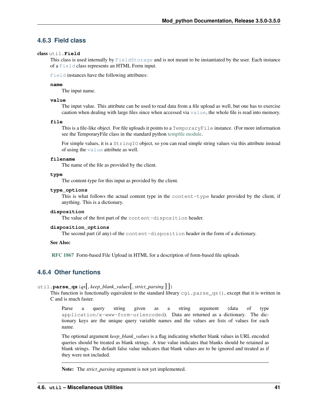### **4.6.3 Field class**

### <span id="page-44-0"></span>class util.**Field**

This class is used internally by [FieldStorage](#page-41-0) and is not meant to be instantiated by the user. Each instance of a [Field](#page-44-0) class represents an HTML Form input.

[Field](#page-44-0) instances have the following attributes:

### **name**

The input name.

### <span id="page-44-2"></span>**value**

The input value. This attribute can be used to read data from a file upload as well, but one has to exercise caution when dealing with large files since when accessed via [value](#page-44-2), the whole file is read into memory.

### <span id="page-44-1"></span>**file**

This is a file-like object. For file uploads it points to a TemporaryFile instance. (For more information see the TemporaryFile class in the standard python [tempfile module.](http://docs.python.org/lib/module-tempfile.html)

For simple values, it is a StringIO object, so you can read simple string values via this attribute instead of using the [value](#page-44-2) attribute as well.

### **filename**

The name of the file as provided by the client.

### **type**

The content-type for this input as provided by the client.

### **type\_options**

This is what follows the actual content type in the content-type header provided by the client, if anything. This is a dictionary.

### **disposition**

The value of the first part of the content-disposition header.

### **disposition\_options**

The second part (if any) of the content-disposition header in the form of a dictionary.

### See Also:

[RFC 1867](http://tools.ietf.org/html/rfc1867.html) Form-based File Upload in HTML for a description of form-based file uploads

### **4.6.4 Other functions**

### util.**parse\_qs**(*qs*[, *keep\_blank\_values*[, *strict\_parsing* ] ])

This function is functionally equivalent to the standard library  $cgi.parse\_qs()$ , except that it is written in C and is much faster.

Parse a query string given as a string argument (data of type application/x-www-form-urlencoded). Data are returned as a dictionary. The dictionary keys are the unique query variable names and the values are lists of values for each name.

The optional argument *keep\_blank\_values* is a flag indicating whether blank values in URL encoded queries should be treated as blank strings. A true value indicates that blanks should be retained as blank strings. The default false value indicates that blank values are to be ignored and treated as if they were not included.

Note: The *strict\_parsing* argument is not yet implemented.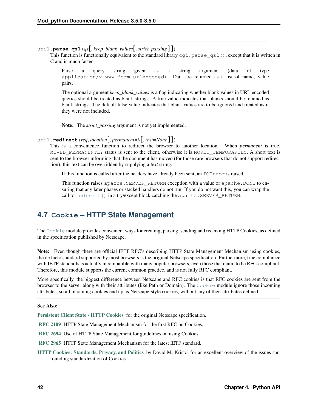util.**parse\_qsl**(*qs*[, *keep\_blank\_values*[, *strict\_parsing* ] ])

This function is functionally equivalent to the standard library  $cgi$ .parse\_qsl(), except that it is written in C and is much faster.

Parse a query string given as a string argument (data of type application/x-www-form-urlencoded). Data are returned as a list of name, value pairs.

The optional argument *keep\_blank\_values* is a flag indicating whether blank values in URL encoded queries should be treated as blank strings. A true value indicates that blanks should be retained as blank strings. The default false value indicates that blank values are to be ignored and treated as if they were not included.

Note: The *strict\_parsing* argument is not yet implemented.

### <span id="page-45-0"></span>util.**redirect**(*req*, *location*[, *permanent=0*[, *text=None* ] ])

This is a convenience function to redirect the browser to another location. When *permanent* is true, MOVED PERMANENTLY status is sent to the client, otherwise it is MOVED TEMPORARILY. A short text is sent to the browser informing that the document has moved (for those rare browsers that do not support redirection); this text can be overridden by supplying a *text* string.

If this function is called after the headers have already been sent, an IOError is raised.

This function raises apache. SERVER\_RETURN exception with a value of apache. DONE to ensuring that any later phases or stacked handlers do not run. If you do not want this, you can wrap the call to [redirect\(\)](#page-45-0) in a try/except block catching the apache. SERVER\_RETURN.

# <span id="page-45-1"></span>**4.7 Cookie – HTTP State Management**

The [Cookie](#page-45-1) module provides convenient ways for creating, parsing, sending and receiving HTTP Cookies, as defined in the specification published by Netscape.

Note: Even though there are official IETF RFC's describing HTTP State Management Mechanism using cookies, the de facto standard supported by most browsers is the original Netscape specification. Furthermore, true compliance with IETF standards is actually incompatible with many popular browsers, even those that claim to be RFC-compliant. Therefore, this module supports the current common practice, and is not fully RFC compliant.

More specifically, the biggest difference between Netscape and RFC cookies is that RFC cookies are sent from the browser to the server along with their attributes (like Path or Domain). The [Cookie](#page-45-1) module ignore those incoming attributes, so all incoming cookies end up as Netscape-style cookies, without any of their attributes defined.

### See Also:

[Persistent Client State - HTTP Cookies](http://web.archive.org/web/20070202195439/http://wp.netscape.com/newsref/std/cookie_spec.html) for the original Netscape specification.

[RFC 2109](http://tools.ietf.org/html/rfc2109.html) HTTP State Management Mechanism for the first RFC on Cookies.

[RFC 2694](http://tools.ietf.org/html/rfc2694.html) Use of HTTP State Management for guidelines on using Cookies.

[RFC 2965](http://tools.ietf.org/html/rfc2965.html) HTTP State Management Mechanism for the latest IETF standard.

[HTTP Cookies: Standards, Privacy, and Politics](http://arxiv.org/abs/cs.SE/0105018) by David M. Kristol for an excellent overview of the issues surrounding standardization of Cookies.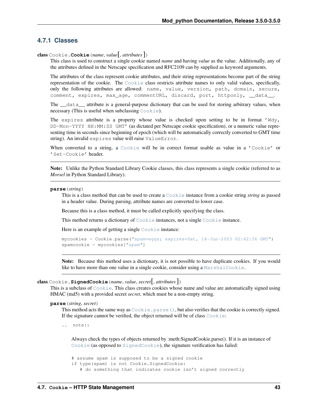### **4.7.1 Classes**

class Cookie.**Cookie**(*name*, *value*[, *attributes*])

This class is used to construct a single cookie named *name* and having *value* as the value. Additionally, any of the attributes defined in the Netscape specification and RFC2109 can by supplied as keyword arguments.

The attributes of the class represent cookie attributes, and their string representations become part of the string representation of the cookie. The [Cookie](#page-45-1) class restricts attribute names to only valid values, specifically, only the following attributes are allowed: name, value, version, path, domain, secure, comment, expires, max\_age, commentURL, discard, port, httponly, \_\_data\_\_.

The  $\_\text{data}\_\text{attribute}$  is a general-purpose dictionary that can be used for storing arbitrary values, when necessary (This is useful when subclassing [Cookie](#page-45-1)).

The expires attribute is a property whose value is checked upon setting to be in format 'Wdy, DD-Mon-YYYY HH:MM:SS GMT' (as dictated per Netscape cookie specification), or a numeric value representing time in seconds since beginning of epoch (which will be automatically correctly converted to GMT time string). An invalid expires value will raise ValueError.

When converted to a string, a [Cookie](#page-45-1) will be in correct format usable as value in a 'Cookie' or 'Set-Cookie' header.

Note: Unlike the Python Standard Library Cookie classes, this class represents a single cookie (referred to as *Morsel* in Python Standard Library).

### <span id="page-46-0"></span>**parse**(*string*)

This is a class method that can be used to create a [Cookie](#page-45-1) instance from a cookie string *string* as passed in a header value. During parsing, attribute names are converted to lower case.

Because this is a class method, it must be called explicitly specifying the class.

This method returns a dictionary of [Cookie](#page-45-1) instances, not a single [Cookie](#page-45-1) instance.

Here is an example of getting a single [Cookie](#page-45-1) instance:

```
mycookies = Cookie.parse("spam=eggs; expires=Sat, 14-Jun-2003 02:42:36 GMT")
spamcookie = mycookies["spam"]
```
Note: Because this method uses a dictionary, it is not possible to have duplicate cookies. If you would like to have more than one value in a single cookie, consider using a [MarshalCookie](#page-47-0).

### <span id="page-46-1"></span>class Cookie.**SignedCookie**(*name*, *value*, *secret*[, *attributes*])

This is a subclass of [Cookie](#page-45-1). This class creates cookies whose name and value are automatically signed using HMAC (md5) with a provided secret *secret*, which must be a non-empty string.

```
parse(string, secret)
```
This method acts the same way as  $\text{Cookie}$ . parse(), but also verifies that the cookie is correctly signed. If the signature cannot be verified, the object returned will be of class [Cookie](#page-45-1):

.. note::

Always check the types of objects returned by :meth:SignedCookie.parse(). If it is an instance of [Cookie](#page-45-1) (as opposed to [SignedCookie](#page-46-1)), the signature verification has failed:

# assume spam is supposed to be a signed cookie if type(spam) is not Cookie.SignedCookie: # do something that indicates cookie isn't signed correctly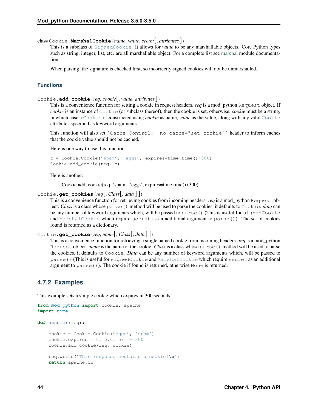<span id="page-47-0"></span>class Cookie.**MarshalCookie**(*name*, *value*, *secret*[, *attributes*])

This is a subclass of [SignedCookie](#page-46-1). It allows for *value* to be any marshallable objects. Core Python types such as string, integer, list, etc. are all marshallable object. For a complete list see [marchal](http://www.python.org/doc/current/lib/module-marshal.html) module documentation.

When parsing, the signature is checked first, so incorrectly signed cookies will not be unmarshalled.

### **Functions**

```
Cookie.add_cookie(req, cookie[, value, attributes])
```
This is a convenience function for setting a cookie in request headers. *req* is a mod\_python Request object. If *cookie* is an instance of [Cookie](#page-45-1) (or subclass thereof), then the cookie is set, otherwise, *cookie* must be a string, in which case a [Cookie](#page-45-1) is constructed using *cookie* as name, *value* as the value, along with any valid [Cookie](#page-45-1) attributes specified as keyword arguments.

This function will also set 'Cache-Control: no-cache="set-cookie"' header to inform caches that the cookie value should not be cached.

Here is one way to use this function:

```
c = \text{Cookie}.\text{Cookie('spam', 'egqs', expires=time.time() +300)}Cookie.add_cookie(req, c)
```
Here is another:

Cookie.add\_cookie(req, 'spam', 'eggs', expires=time.time()+300)

```
Cookie.get_cookies(req[, Class[, data ] ])
```
This is a convenience function for retrieving cookies from incoming headers. *req* is a mod\_python Request object. *Class* is a class whose parse() method will be used to parse the cookies, it defaults to Cookie. *data* can be any number of keyword arguments which, will be passed to parse() (This is useful for signedCookie and [MarshalCookie](#page-47-0) which require secret as an additional argument to parse()). The set of cookies found is returned as a dictionary.

```
Cookie.get_cookie(req, name[, Class[, data ] ])
```
This is a convenience function for retrieving a single named cookie from incoming headers. *req* is a mod\_python Request object. *name* is the name of the cookie. *Class* is a class whose parse() method will be used to parse the cookies, it defaults to Cookie. *Data* can be any number of keyword arguments which, will be passed to parse() (This is useful for signedCookie and [MarshalCookie](#page-47-0) which require secret as an additional argument to parse()). The cookie if found is returned, otherwise None is returned.

### **4.7.2 Examples**

This example sets a simple cookie which expires in 300 seconds:

```
from mod_python import Cookie, apache
import time
def handler(req):
    cookie = Cookie.Cookie('eggs', 'spam')
    cookie. expires = time.time() + 300Cookie.add_cookie(req, cookie)
    req.write('This response contains a cookie!\n')
    return apache.OK
```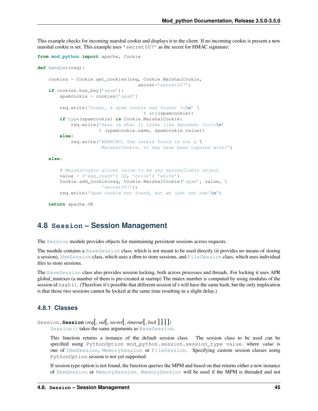This example checks for incoming marshal cookie and displays it to the client. If no incoming cookie is present a new marshal cookie is set. This example uses ' secret007' as the secret for HMAC signature:

```
from mod_python import apache, Cookie
def handler(req):
    cookies = Cookie.get_cookies(req, Cookie.MarshalCookie,
                                    secret='secret007')
    if cookies.has key('spam'):
        spamcookie = cookies['spam']
        req.write('Great, a spam cookie was found: %s\n' \
                                      % str(spamcookie))
        if type(spamcookie) is Cookie.MarshalCookie:
            req.write('Here is what it looks like decoded: %s=%s\n'
                      % (spamcookie.name, spamcookie.value))
        else:
            req.write('WARNING: The cookie found is not a \
                       MarshalCookie, it may have been tapered with!')
```
#### **else**:

```
# MarshaCookie allows value to be any marshallable object
value = {'egg_count': 32, 'color': 'white'}
Cookie.add_cookie(req, Cookie.MarshalCookie('spam', value, \
               'secret007'))
req.write('Spam cookie not found, but we just set one!\n')
```

```
return apache.OK
```
# <span id="page-48-0"></span>**4.8 Session – Session Management**

The [Session](#page-48-0) module provides objects for maintaining persistent sessions across requests.

The module contains a [BaseSession](#page-49-0) class, which is not meant to be used directly (it provides no means of storing a session), [DbmSession](#page-50-0) class, which uses a dbm to store sessions, and [FileSession](#page-51-0) class, which uses individual files to store sessions.

The [BaseSession](#page-49-0) class also provides session locking, both across processes and threads. For locking it uses APR global\_mutexes (a number of them is pre-created at startup) The mutex number is computed by using modulus of the session id hash(). (Therefore it's possible that different session id's will have the same hash, but the only implication is that those two sessions cannot be locked at the same time resulting in a slight delay.)

### **4.8.1 Classes**

```
Session.Session(req[, sid[, secret[, timeout[, lock ] ] ] ])
```
[Session\(\)](#page-48-0) takes the same arguments as [BaseSession](#page-49-0).

This function returns a instance of the default session class. The session class to be used can be specified using PythonOption mod\_python.session.session\_type value, where *value* is one of [DbmSession](#page-50-0), [MemorySession](#page-52-0) or [FileSession](#page-51-0). Specifying custom session classes using PythonOption session is not yet supported.

If session type option is not found, the function queries the MPM and based on that returns either a new instance of [DbmSession](#page-50-0) or [MemorySession](#page-52-0). [MemorySession](#page-52-0) will be used if the MPM is threaded and not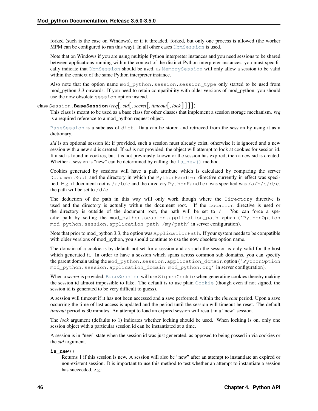forked (such is the case on Windows), or if it threaded, forked, but only one process is allowed (the worker MPM can be configured to run this way). In all other cases [DbmSession](#page-50-0) is used.

Note that on Windows if you are using multiple Python interpreter instances and you need sessions to be shared between applications running within the context of the distinct Python interpreter instances, you must specifically indicate that [DbmSession](#page-50-0) should be used, as [MemorySession](#page-52-0) will only allow a session to be valid within the context of the same Python interpreter instance.

Also note that the option name mod\_python.session.session\_type only started to be used from mod\_python 3.3 onwards. If you need to retain compatibility with older versions of mod\_python, you should use the now obsolete session option instead.

<span id="page-49-0"></span>class Session.**BaseSession**(*req*[, *sid*[, *secret*[, *timeout*[, *lock* ] ] ] ])

This class is meant to be used as a base class for other classes that implement a session storage mechanism. *req* is a required reference to a mod\_python request object.

[BaseSession](#page-49-0) is a subclass of dict. Data can be stored and retrieved from the session by using it as a dictionary.

*sid* is an optional session id; if provided, such a session must already exist, otherwise it is ignored and a new session with a new sid is created. If *sid* is not provided, the object will attempt to look at cookies for session id. If a sid is found in cookies, but it is not previously known or the session has expired, then a new sid is created. Whether a session is "new" can be determined by calling the  $\text{is\_new}$  () method.

Cookies generated by sessions will have a path attribute which is calculated by comparing the server DocumentRoot and the directory in which the PythonHandler directive currently in effect was specified. E.g. if document root is  $/a/b/c$  and the directory PythonHandler was specified was  $/a/b/c/d/e$ , the path will be set to  $/d/e$ .

The deduction of the path in this way will only work though where the Directory directive is used and the directory is actually within the document root. If the Location directive is used or the directory is outside of the document root, the path will be set to  $\ell$ . You can force a specific path by setting the mod\_python.session.application\_path option ('PythonOption mod\_python.session.application\_path /my/path' in server configuration).

Note that prior to mod\_python 3.3, the option was ApplicationPath. If your system needs to be compatible with older versions of mod\_python, you should continue to use the now obsolete option name.

The domain of a cookie is by default not set for a session and as such the session is only valid for the host which generated it. In order to have a session which spans across common sub domains, you can specify the parent domain using the mod\_python.session.application\_domain option ('PythonOption mod\_python.session.application\_domain mod\_python.org' in server configuration).

When a *secret* is provided, [BaseSession](#page-49-0) will use SignedCookie when generating cookies thereby making the session id almost impossible to fake. The default is to use plain  $\text{Cookie}$  $\text{Cookie}$  $\text{Cookie}$  (though even if not signed, the session id is generated to be very difficult to guess).

A session will timeout if it has not been accessed and a save performed, within the *timeout* period. Upon a save occurring the time of last access is updated and the period until the session will timeout be reset. The default *timeout* period is 30 minutes. An attempt to load an expired session will result in a "new" session.

The *lock* argument (defaults to 1) indicates whether locking should be used. When locking is on, only one session object with a particular session id can be instantiated at a time.

A session is in "new" state when the session id was just generated, as opposed to being passed in via cookies or the *sid* argument.

<span id="page-49-1"></span>**is\_new**()

Returns 1 if this session is new. A session will also be "new" after an attempt to instantiate an expired or non-existent session. It is important to use this method to test whether an attempt to instantiate a session has succeeded, e.g.: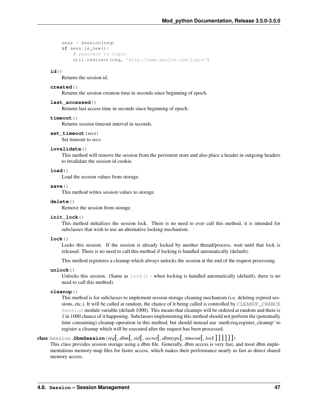```
sess = Session(req)
if sess.is_new():
    # redirect to login
    util.redirect(req, 'http://www.mysite.com/login')
```
### **id**()

Returns the session id.

### **created**()

Returns the session creation time in seconds since beginning of epoch.

### **last\_accessed**()

Returns last access time in seconds since beginning of epoch.

### **timeout**()

Returns session timeout interval in seconds.

### **set\_timeout**(*secs*)

Set timeout to *secs*.

### **invalidate**()

This method will remove the session from the persistent store and also place a header in outgoing headers to invalidate the session id cookie.

### **load**()

Load the session values from storage.

### **save**()

This method writes session values to storage.

### **delete**()

Remove the session from storage.

### **init\_lock**()

This method initializes the session lock. There is no need to ever call this method, it is intended for subclasses that wish to use an alternative locking mechanism.

### <span id="page-50-1"></span>**lock**()

Locks this session. If the session is already locked by another thread/process, wait until that lock is released. There is no need to call this method if locking is handled automatically (default).

This method registeres a cleanup which always unlocks the session at the end of the request processing.

#### **unlock**()

Unlocks this session. (Same as  $\text{lock}($ ) - when locking is handled automatically (default), there is no need to call this method).

#### **cleanup**()

This method is for subclasses to implement session storage cleaning mechanism (i.e. deleting expired sessions, etc.). It will be called at random, the chance of it being called is controlled by CLEANUP\_CHANCE [Session](#page-48-0) module variable (default 1000). This means that cleanups will be ordered at random and there is 1 in 1000 chance of it happening. Subclasses implementing this method should not perform the (potentially time consuming) cleanup operation in this method, but should instead use :meth:req.register\_cleanup' to register a cleanup which will be executed after the request has been processed.

### <span id="page-50-0"></span>class Session.**DbmSession**(*req*[, *dbm*[, *sid*[, *secret*[, *dbmtype*[, *timeout*[, *lock* ] ] ] ] ] ])

This class provides session storage using a dbm file. Generally, dbm access is very fast, and most dbm implementations memory-map files for faster access, which makes their performance nearly as fast as direct shared memory access.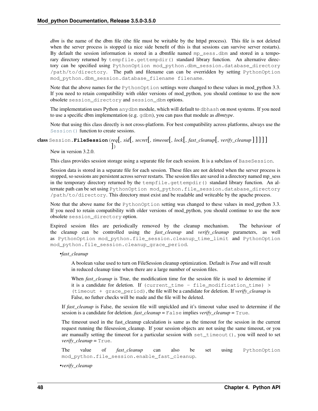*dbm* is the name of the dbm file (the file must be writable by the httpd process). This file is not deleted when the server process is stopped (a nice side benefit of this is that sessions can survive server restarts). By default the session information is stored in a dbmfile named mp\_sess.dbm and stored in a temporary directory returned by tempfile.gettempdir() standard library function. An alternative directory can be specified using PythonOption mod\_python.dbm\_session.database\_directory /path/to/directory. The path and filename can can be overridden by setting PythonOption mod\_python.dbm\_session.database\_filename filename.

Note that the above names for the PythonOption settings were changed to these values in mod python 3.3. If you need to retain compatibility with older versions of mod\_python, you should continue to use the now obsolete session\_directory and session\_dbm options.

The implementation uses Python anydbm module, which will default to dbhash on most systems. If you need to use a specific dbm implementation (e.g. gdbm), you can pass that module as *dbmtype*.

Note that using this class directly is not cross-platform. For best compatibility across platforms, always use the [Session\(\)](#page-48-0) function to create sessions.

<span id="page-51-0"></span>class Session.**FileSession**(*req*[, *sid*[, *secret*[, *timeout*[, *lock*[, *fast\_cleanup*[, *verify\_cleanup* ] ] ] ] ]  $\left| \right\rangle$ 

New in version 3.2.0.

This class provides session storage using a separate file for each session. It is a subclass of BaseSession.

Session data is stored in a separate file for each session. These files are not deleted when the server process is stopped, so sessions are persistent across server restarts. The session files are saved in a directory named mp\_sess in the temporary directory returned by the tempfile.gettempdir() standard library function. An alternate path can be set using PythonOption mod\_python.file\_session.database\_directory /path/to/directory. This directory must exist and be readable and writeable by the apache process.

Note that the above name for the PythonOption setting was changed to these values in mod\_python 3.3. If you need to retain compatibility with older versions of mod\_python, you should continue to use the now obsolete session\_directory option.

Expired session files are periodically removed by the cleanup mechanism. The behaviour of the cleanup can be controlled using the *fast\_cleanup* and *verify\_cleanup* parameters, as well as PythonOption mod\_python.file\_session.cleanup\_time\_limit and PythonOption mod\_python.file\_session.cleanup\_grace\_period.

•*fast\_cleanup*

A boolean value used to turn on FileSession cleanup optimization. Default is *True* and will result in reduced cleanup time when there are a large number of session files.

When *fast\_cleanup* is True, the modification time for the session file is used to determine if it is a candidate for deletion. If (current\_time - file\_modification\_time) > (timeout + grace\_period), the file will be a candidate for deletion. If *verify\_cleanup* is False, no futher checks will be made and the file will be deleted.

If *fast cleanup* is False, the session file will unpickled and it's timeout value used to determine if the session is a candidate for deletion. *fast\_cleanup* = False implies *verify\_cleanup* = True.

The timeout used in the fast\_cleanup calculation is same as the timeout for the session in the current request running the filesession\_cleanup. If your session objects are not using the same timeout, or you are manually setting the timeout for a particular session with  $set_timeout()$ , you will need to set *verify\_cleanup* = True.

The value of *fast\_cleanup* can also be set using PythonOption mod\_python.file\_session.enable\_fast\_cleanup.

•*verify\_cleanup*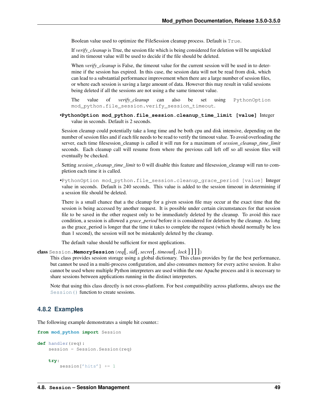Boolean value used to optimize the FileSession cleanup process. Default is True.

If *verify\_cleanup* is True, the session file which is being considered for deletion will be unpickled and its timeout value will be used to decide if the file should be deleted.

When *verify* cleanup is False, the timeout value for the current session will be used in to determine if the session has expired. In this case, the session data will not be read from disk, which can lead to a substantial performance improvement when there are a large number of session files, or where each session is saving a large amount of data. However this may result in valid sessions being deleted if all the sessions are not using a the same timeout value.

The value of *verify\_cleanup* can also be set using PythonOption mod\_python.file\_session.verify\_session\_timeout.

•**PythonOption mod\_python.file\_session.cleanup\_time\_limit [value]** Integer value in seconds. Default is 2 seconds.

Session cleanup could potentially take a long time and be both cpu and disk intensive, depending on the number of session files and if each file needs to be read to verify the timeout value. To avoid overloading the server, each time filesession\_cleanup is called it will run for a maximum of *session\_cleanup\_time\_limit* seconds. Each cleanup call will resume from where the previous call left off so all session files will eventually be checked.

Setting *session\_cleanup\_time\_limit* to 0 will disable this feature and filesession\_cleanup will run to completion each time it is called.

•PythonOption mod\_python.file\_session.cleanup\_grace\_period [value] Integer value in seconds. Default is 240 seconds. This value is added to the session timeout in determining if a session file should be deleted.

There is a small chance that a the cleanup for a given session file may occur at the exact time that the session is being accessed by another request. It is possible under certain circumstances for that session file to be saved in the other request only to be immediately deleted by the cleanup. To avoid this race condition, a session is allowed a *grace\_period* before it is considered for deletion by the cleanup. As long as the grace\_period is longer that the time it takes to complete the request (which should normally be less than 1 second), the session will not be mistakenly deleted by the cleanup.

The default value should be sufficient for most applications.

<span id="page-52-0"></span>class Session.**MemorySession**(*req*[, *sid*[, *secret*[, *timeout*[, *lock* ] ] ] ])

This class provides session storage using a global dictionary. This class provides by far the best performance, but cannot be used in a multi-process configuration, and also consumes memory for every active session. It also cannot be used where multiple Python interpreters are used within the one Apache process and it is necessary to share sessions between applications running in the distinct interpreters.

Note that using this class directly is not cross-platform. For best compatibility across platforms, always use the [Session\(\)](#page-48-0) function to create sessions.

### **4.8.2 Examples**

The following example demonstrates a simple hit counter.:

```
from mod_python import Session
def handler(req):
    session = Session.Session(req)
    try:
        session['hits'] += 1
```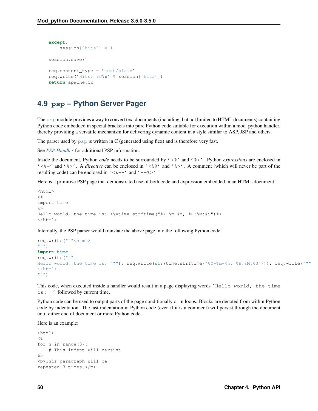```
except:
    session['hits'] = 1
session.save()
req.content_type = 'text/plain'
req.write('Hits: %d\n' % session['hits'])
return apache.OK
```
# <span id="page-53-0"></span>**4.9 psp – Python Server Pager**

The [psp](#page-53-0) module provides a way to convert text documents (including, but not limited to HTML documents) containing Python code embedded in special brackets into pure Python code suitable for execution within a mod\_python handler, thereby providing a versatile mechanism for delivering dynamic content in a style similar to ASP, JSP and others.

The parser used by  $psp$  is written in C (generated using flex) and is therefore very fast.

See *[PSP Handler](#page-76-0)* for additional PSP information.

Inside the document, Python *code* needs to be surrounded by '<%' and '%>'. Python *expressions* are enclosed in  $\prime$  <%= $\prime$  and  $\prime$ %> $\prime$ . A *directive* can be enclosed in  $\prime$  <%@ $\prime$  and  $\prime$ %> $\prime$ . A comment (which will never be part of the resulting code) can be enclosed in  $\prime < \frac{1}{2} - \frac{1}{2}$  and  $\prime -\frac{1}{2}$ 

Here is a primitive PSP page that demonstrated use of both code and expression embedded in an HTML document:

```
<html>
<import time
\approxHello world, the time is: <%=time.strftime("%Y-%m-%d, %H:%M:%S")%>
\langle/html>
```
Internally, the PSP parser would translate the above page into the following Python code:

```
req.write("""<html>
""")
import time
req.write("""
Hello world, the time is: """); req.write(str(time.strftime("%Y-%m-%d, %H:%M:%S"))); req.write("""
\langle/html>
""")
```
This code, when executed inside a handler would result in a page displaying words 'Hello world, the time is: ' followed by current time.

Python code can be used to output parts of the page conditionally or in loops. Blocks are denoted from within Python code by indentation. The last indentation in Python code (even if it is a comment) will persist through the document until either end of document or more Python code.

Here is an example:

```
<html><for n in range(3):
    # This indent will persist
%>
<p>This paragraph will be
repeated 3 times.</p>
```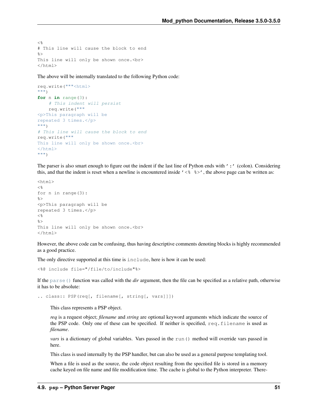```
<# This line will cause the block to end
\approxThis line will only be shown once.<br>
</html>
```
The above will be internally translated to the following Python code:

```
req.write("""<html>
""")
for n in range(3):
    # This indent will persist
   req.write("""
<p>This paragraph will be
repeated 3 times.</p>
""")
# This line will cause the block to end
req.write("""
This line will only be shown once.<br>
</html>
""")
```
The parser is also smart enough to figure out the indent if the last line of Python ends with ':' (colon). Considering this, and that the indent is reset when a newline is encountered inside  $\ell \leq \ell \leq \ell$ , the above page can be written as:

```
<html><for n in range(3):
\approx<p>This paragraph will be
repeated 3 times.</p>
<\approxThis line will only be shown once.<br>
</html>
```
However, the above code can be confusing, thus having descriptive comments denoting blocks is highly recommended as a good practice.

The only directive supported at this time is include, here is how it can be used:

<%@ include file="/file/to/include"%>

If the [parse\(\)](#page-56-0) function was called with the *dir* argument, then the file can be specified as a relative path, otherwise it has to be absolute:

.. class:: PSP(req[, filename[, string[, vars]]])

This class represents a PSP object.

*req* is a request object; *filename* and *string* are optional keyword arguments which indicate the source of the PSP code. Only one of these can be specified. If neither is specified, req.filename is used as *filename*.

*vars* is a dictionary of global variables. Vars passed in the run() method will override vars passed in here.

This class is used internally by the PSP handler, but can also be used as a general purpose templating tool.

When a file is used as the source, the code object resulting from the specified file is stored in a memory cache keyed on file name and file modification time. The cache is global to the Python interpreter. There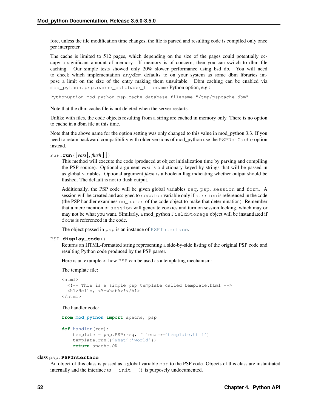fore, unless the file modification time changes, the file is parsed and resulting code is compiled only once per interpreter.

The cache is limited to 512 pages, which depending on the size of the pages could potentially occupy a significant amount of memory. If memory is of concern, then you can switch to dbm file caching. Our simple tests showed only 20% slower performance using bsd db. You will need to check which implementation anydbm defaults to on your system as some dbm libraries impose a limit on the size of the entry making them unsuitable. Dbm caching can be enabled via mod python.psp.cache\_database\_filename Python option, e.g.:

PythonOption mod\_python.psp.cache\_database\_filename "/tmp/pspcache.dbm"

Note that the dbm cache file is not deleted when the server restarts.

Unlike with files, the code objects resulting from a string are cached in memory only. There is no option to cache in a dbm file at this time.

Note that the above name for the option setting was only changed to this value in mod\_python 3.3. If you need to retain backward compatibility with older versions of mod\_python use the PSPDbmCache option instead.

PSP.**run**([*vars*[, *flush* ] ])

This method will execute the code (produced at object initialization time by parsing and compiling the PSP source). Optional argument *vars* is a dictionary keyed by strings that will be passed in as global variables. Optional argument *flush* is a boolean flag indicating whether output should be flushed. The default is not to flush output.

Additionally, the PSP code will be given global variables req, psp, session and form. A session will be created and assigned to session variable only if session is referenced in the code (the PSP handler examines co\_names of the code object to make that determination). Remember that a mere mention of session will generate cookies and turn on session locking, which may or may not be what you want. Similarly, a mod\_python FieldStorage object will be instantiated if form is referenced in the code.

The object passed in psp is an instance of [PSPInterface](#page-55-0).

### PSP.**display\_code**()

Returns an HTML-formatted string representing a side-by-side listing of the original PSP code and resulting Python code produced by the PSP parser.

Here is an example of how PSP can be used as a templating mechanism:

The template file:

```
<html><!-- This is a simple psp template called template.html -->
 <h1>Hello, <%=what%>!</h1>
</html>
```
The handler code:

**from mod\_python import** apache, psp

```
def handler(req):
   template = psp.PSP(req, filename='template.html')
    template.run({'what':'world'})
   return apache.OK
```
#### <span id="page-55-0"></span>class psp.**PSPInterface**

An object of this class is passed as a global variable psp to the PSP code. Objects of this class are instantiated internally and the interface to \_\_init\_\_() is purposely undocumented.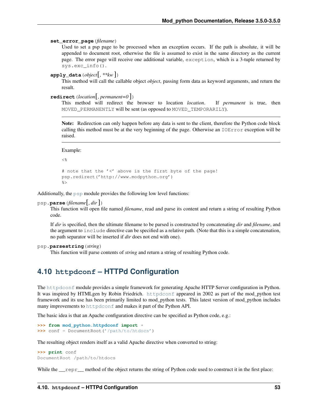### **set\_error\_page**(*filename*)

Used to set a psp page to be processed when an exception occurs. If the path is absolute, it will be appended to document root, otherwise the file is assumed to exist in the same directory as the current page. The error page will receive one additional variable, exception, which is a 3-tuple returned by sys.exc\_info().

### **apply\_data**(*object*[, *\*\*kw*])

This method will call the callable object *object*, passing form data as keyword arguments, and return the result.

```
redirect(location[, permanent=0 ])
```
This method will redirect the browser to location *location*. If *permanent* is true, then MOVED\_PERMANENTLY will be sent (as opposed to MOVED\_TEMPORARILY).

Note: Redirection can only happen before any data is sent to the client, therefore the Python code block calling this method must be at the very beginning of the page. Otherwise an IOError exception will be raised.

Example:

 $<$ 

```
# note that the '<' above is the first byte of the page!
psp.redirect('http://www.modpython.org')
%>
```
Additionally, the [psp](#page-53-0) module provides the following low level functions:

```
psp.parse(filename[, dir])
```
This function will open file named *filename*, read and parse its content and return a string of resulting Python code.

If *dir* is specified, then the ultimate filename to be parsed is constructed by concatenating *dir* and *filename*, and the argument to include directive can be specified as a relative path. (Note that this is a simple concatenation, no path separator will be inserted if *dir* does not end with one).

```
psp.parsestring(string)
```
This function will parse contents of *string* and return a string of resulting Python code.

# <span id="page-56-1"></span>**4.10 httpdconf – HTTPd Configuration**

The [httpdconf](#page-56-1) module provides a simple framework for generating Apache HTTP Server configuration in Python. It was inspired by HTMLgen by Robin Friedrich. [httpdconf](#page-56-1) appeared in 2002 as part of the mod\_python test framework and its use has been primarily limited to mod\_python tests. This latest version of mod\_python includes many improvements to [httpdconf](#page-56-1) and makes it part of the Python API.

The basic idea is that an Apache configuration directive can be specified as Python code, e.g.:

```
>>> from mod_python.httpdconf import *
>>> conf = DocumentRoot('/path/to/htdocs')
```
The resulting object renders itself as a valid Apache directive when converted to string:

```
>>> print conf
DocumentRoot /path/to/htdocs
```
While the <u>repr</u> method of the object returns the string of Python code used to construct it in the first place: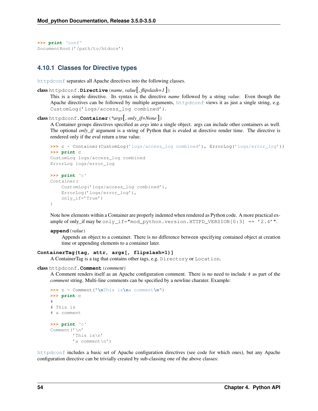```
>>> print 'conf'
DocumentRoot('/path/to/htdocs')
```
### **4.10.1 Classes for Directive types**

[httpdconf](#page-56-1) separates all Apache directives into the following classes.

```
class httpdconf.Directive(name, value[, flipslash=1 ])
```
This is a simple directive. Its syntax is the directive *name* followed by a string *value*. Even though the Apache directives can be followed by multiple arguments, [httpdconf](#page-56-1) views it as just a single string, e.g. CustomLog('logs/access\_log combined').

```
class httpdconf.Container(*args[, only_if=None ])
```
A Container groups directives specified as *args* into a single object. args can include other containers as well. The optional *only\_if* argument is a string of Python that is evaled at directive render time. The directive is rendered only if the eval return a true value.

```
>>> c = Container(CustomLog('logs/access_log combined'), ErrorLog('logs/error_log'))
>>> print c
CustomLog logs/access_log combined
ErrorLog logs/error_log
>>> print 'c'
Container(
    CustomLog('logs/access_log combined'),
    ErrorLog('logs/error_log'),
    only_if='True')
)
Note how elements within a Container are properly indented when rendered as Python code. A more practical ex-
```

```
ample of only_if may be only_if="mod_python.version.HTTPD_VERSION[0:3] == '2.4'".
```
### **append**(*value*)

Appends an object to a container. There is no difference between specifying contained object at creation time or appending elements to a container later.

### **ContainerTag(tag, attr, args[, flipslash=1)]**

A ContainerTag is a tag that contains other tags, e.g. Directory or Location.

### class httpdconf.**Comment**(*comment*)

A Comment renders itself as an Apache configuration comment. There is no need to include # as part of the *comment* string. Multi-line comments can be specified by a newline charater. Example:

```
\Rightarrow c = Comment ("\nThis is\na comment\n")
>>> print c
#
# This is
# a comment
>>> print 'c'
Comment('\n'
        'This is\n'
        'a comment\n')
```
[httpdconf](#page-56-1) includes a basic set of Apache configuration directives (see code for which ones), but any Apache configuration directive can be trivially created by sub-classing one of the above classes: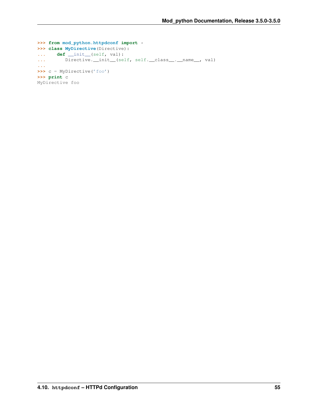```
>>> from mod_python.httpdconf import *
>>> class MyDirective(Directive):
... def __init__(self, val):
... Directive.__init_(self, self.__class__._name__, val)
...
>>> c = MyDirective('foo')
>>> print c
MyDirective foo
```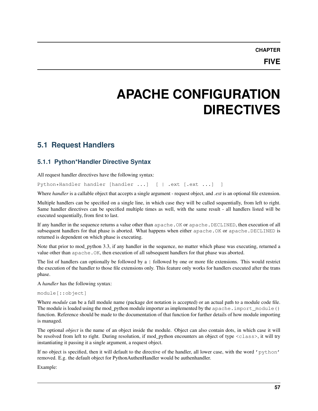# **APACHE CONFIGURATION DIRECTIVES**

# **5.1 Request Handlers**

# **5.1.1 Python\*Handler Directive Syntax**

All request handler directives have the following syntax:

Python\*Handler handler [handler ...] [ | .ext [.ext ...] ]

Where *handler* is a callable object that accepts a single argument - request object, and *.ext* is an optional file extension.

Multiple handlers can be specified on a single line, in which case they will be called sequentially, from left to right. Same handler directives can be specified multiple times as well, with the same result - all handlers listed will be executed sequentially, from first to last.

If any handler in the sequence returns a value other than apache. OK or apache. DECLINED, then execution of all subsequent handlers for that phase is aborted. What happens when either apache.OK or apache.DECLINED is returned is dependent on which phase is executing.

Note that prior to mod python 3.3, if any handler in the sequence, no matter which phase was executing, returned a value other than apache.OK, then execution of all subsequent handlers for that phase was aborted.

The list of handlers can optionally be followed by  $a \mid$  followed by one or more file extensions. This would restrict the execution of the handler to those file extensions only. This feature only works for handlers executed after the trans phase.

A *handler* has the following syntax:

### module[::object]

Where *module* can be a full module name (package dot notation is accepted) or an actual path to a module code file. The module is loaded using the mod\_python module importer as implemented by the apache.import\_module() function. Reference should be made to the documentation of that function for further details of how module importing is managed.

The optional *object* is the name of an object inside the module. Object can also contain dots, in which case it will be resolved from left to right. During resolution, if mod\_python encounters an object of type <class>, it will try instantiating it passing it a single argument, a request object.

If no object is specified, then it will default to the directive of the handler, all lower case, with the word 'python' removed. E.g. the default object for PythonAuthenHandler would be authenhandler.

Example: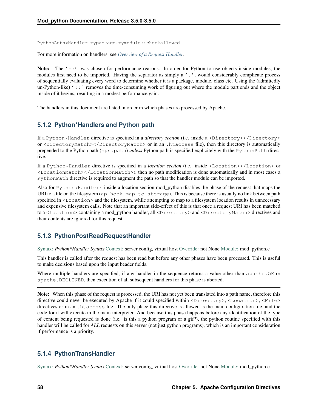PythonAuthzHandler mypackage.mymodule::checkallowed

For more information on handlers, see *[Overview of a Request Handler](#page-21-0)*.

Note: The '::' was chosen for performance reasons. In order for Python to use objects inside modules, the modules first need to be imported. Having the separator as simply a '.', would considerably complicate process of sequentially evaluating every word to determine whether it is a package, module, class etc. Using the (admittedly un-Python-like)  $'$ ::' removes the time-consuming work of figuring out where the module part ends and the object inside of it begins, resulting in a modest performance gain.

The handlers in this document are listed in order in which phases are processed by Apache.

# **5.1.2 Python\*Handlers and Python path**

If a Python\*Handler directive is specified in a *directory section* (i.e. inside a <Directory></Directory> or <DirectoryMatch></DirectoryMatch> or in an .htaccess file), then this directory is automatically prepended to the Python path (sys.path) *unless* Python path is specified explicitely with the PythonPath directive.

If a Python\*Handler directive is specified in a *location section* (i.e. inside <Location></Location> or <LocationMatch></LocationMatch>), then no path modification is done automatically and in most cases a PythonPath directive is required to augment the path so that the handler module can be imported.

Also for Python\*Handlers inside a location section mod\_python disables the phase of the request that maps the URI to a file on the filesystem (ap\_hook\_map\_to\_storage). This is because there is usually no link between path specified in <Location> and the filesystem, while attempting to map to a filesystem location results in unnecessary and expensive filesystem calls. Note that an important side-effect of this is that once a request URI has been matched to a <Location> containing a mod python handler, all <Directory> and <DirectoryMatch> directives and their contents are ignored for this request.

# **5.1.3 PythonPostReadRequestHandler**

[Syntax:](http://httpd.apache.org/docs-2.4/mod/directive-dict.html#Syntax) *Python\*Handler Syntax* [Context:](http://httpd.apache.org/docs-2.4/mod/directive-dict.html#Context) server config, virtual host [Override:](http://httpd.apache.org/docs-2.4/mod/directive-dict.html#Override) not None [Module:](http://httpd.apache.org/docs-2.4/mod/directive-dict.html#Module) mod\_python.c

This handler is called after the request has been read but before any other phases have been processed. This is useful to make decisions based upon the input header fields.

Where multiple handlers are specified, if any handler in the sequence returns a value other than apache. OK or apache.DECLINED, then execution of all subsequent handlers for this phase is aborted.

Note: When this phase of the request is processed, the URI has not yet been translated into a path name, therefore this directive could never be executed by Apache if it could specified within <Directory>, <Location>, <File> directives or in an .htaccess file. The only place this directive is allowed is the main configuration file, and the code for it will execute in the main interpreter. And because this phase happens before any identification of the type of content being requested is done (i.e. is this a python program or a gif?), the python routine specified with this handler will be called for *ALL* requests on this server (not just python programs), which is an important consideration if performance is a priority.

# **5.1.4 PythonTransHandler**

[Syntax:](http://httpd.apache.org/docs-2.4/mod/directive-dict.html#Syntax) *Python\*Handler Syntax* [Context:](http://httpd.apache.org/docs-2.4/mod/directive-dict.html#Context) server config, virtual host [Override:](http://httpd.apache.org/docs-2.4/mod/directive-dict.html#Override) not None [Module:](http://httpd.apache.org/docs-2.4/mod/directive-dict.html#Module) mod\_python.c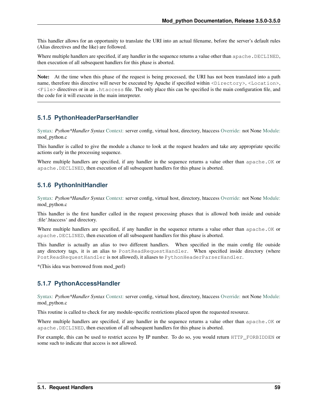This handler allows for an opportunity to translate the URI into an actual filename, before the server's default rules (Alias directives and the like) are followed.

Where multiple handlers are specified, if any handler in the sequence returns a value other than apache. DECLINED, then execution of all subsequent handlers for this phase is aborted.

Note: At the time when this phase of the request is being processed, the URI has not been translated into a path name, therefore this directive will never be executed by Apache if specified within <Directory>, <Location>, <File> directives or in an .htaccess file. The only place this can be specified is the main configuration file, and the code for it will execute in the main interpreter.

# **5.1.5 PythonHeaderParserHandler**

[Syntax:](http://httpd.apache.org/docs-2.4/mod/directive-dict.html#Syntax) *Python\*Handler Syntax* [Context:](http://httpd.apache.org/docs-2.4/mod/directive-dict.html#Context) server config, virtual host, directory, htaccess [Override:](http://httpd.apache.org/docs-2.4/mod/directive-dict.html#Override) not None [Module:](http://httpd.apache.org/docs-2.4/mod/directive-dict.html#Module) mod\_python.c

This handler is called to give the module a chance to look at the request headers and take any appropriate specific actions early in the processing sequence.

Where multiple handlers are specified, if any handler in the sequence returns a value other than apache. OK or apache.DECLINED, then execution of all subsequent handlers for this phase is aborted.

# **5.1.6 PythonInitHandler**

[Syntax:](http://httpd.apache.org/docs-2.4/mod/directive-dict.html#Syntax) *Python\*Handler Syntax* [Context:](http://httpd.apache.org/docs-2.4/mod/directive-dict.html#Context) server config, virtual host, directory, htaccess [Override:](http://httpd.apache.org/docs-2.4/mod/directive-dict.html#Override) not None [Module:](http://httpd.apache.org/docs-2.4/mod/directive-dict.html#Module) mod\_python.c

This handler is the first handler called in the request processing phases that is allowed both inside and outside :file'.htaccess' and directory.

Where multiple handlers are specified, if any handler in the sequence returns a value other than apache. OK or apache.DECLINED, then execution of all subsequent handlers for this phase is aborted.

This handler is actually an alias to two different handlers. When specified in the main config file outside any directory tags, it is an alias to PostReadRequestHandler. When specified inside directory (where PostReadRequestHandler is not allowed), it aliases to PythonHeaderParserHandler.

\*(This idea was borrowed from mod\_perl)

# **5.1.7 PythonAccessHandler**

[Syntax:](http://httpd.apache.org/docs-2.4/mod/directive-dict.html#Syntax) *Python\*Handler Syntax* [Context:](http://httpd.apache.org/docs-2.4/mod/directive-dict.html#Context) server config, virtual host, directory, htaccess [Override:](http://httpd.apache.org/docs-2.4/mod/directive-dict.html#Override) not None [Module:](http://httpd.apache.org/docs-2.4/mod/directive-dict.html#Module) mod\_python.c

This routine is called to check for any module-specific restrictions placed upon the requested resource.

Where multiple handlers are specified, if any handler in the sequence returns a value other than apache. OK or apache.DECLINED, then execution of all subsequent handlers for this phase is aborted.

For example, this can be used to restrict access by IP number. To do so, you would return HTTP\_FORBIDDEN or some such to indicate that access is not allowed.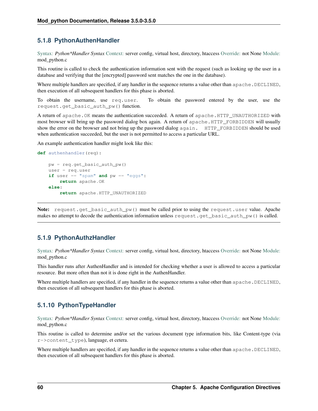# **5.1.8 PythonAuthenHandler**

[Syntax:](http://httpd.apache.org/docs-2.4/mod/directive-dict.html#Syntax) *Python\*Handler Syntax* [Context:](http://httpd.apache.org/docs-2.4/mod/directive-dict.html#Context) server config, virtual host, directory, htaccess [Override:](http://httpd.apache.org/docs-2.4/mod/directive-dict.html#Override) not None [Module:](http://httpd.apache.org/docs-2.4/mod/directive-dict.html#Module) mod\_python.c

This routine is called to check the authentication information sent with the request (such as looking up the user in a database and verifying that the [encrypted] password sent matches the one in the database).

Where multiple handlers are specified, if any handler in the sequence returns a value other than apache. DECLINED, then execution of all subsequent handlers for this phase is aborted.

To obtain the username, use req.user. To obtain the password entered by the user, use the request.get\_basic\_auth\_pw() function.

A return of apache.OK means the authentication succeeded. A return of apache.HTTP\_UNAUTHORIZED with most browser will bring up the password dialog box again. A return of apache.HTTP\_FORBIDDEN will usually show the error on the browser and not bring up the password dialog again. HTTP\_FORBIDDEN should be used when authentication succeeded, but the user is not permitted to access a particular URL.

An example authentication handler might look like this:

```
def authenhandler(req):
    pw = req.get_basic_auth_pw()
    user = req.user
    if user == "spam" and pw == "eggs":
        return apache.OK
    else:
        return apache.HTTP_UNAUTHORIZED
```
Note: request.get\_basic\_auth\_pw() must be called prior to using the request.user value. Apache makes no attempt to decode the authentication information unless request.get\_basic\_auth\_pw() is called.

### **5.1.9 PythonAuthzHandler**

[Syntax:](http://httpd.apache.org/docs-2.4/mod/directive-dict.html#Syntax) *Python\*Handler Syntax* [Context:](http://httpd.apache.org/docs-2.4/mod/directive-dict.html#Context) server config, virtual host, directory, htaccess [Override:](http://httpd.apache.org/docs-2.4/mod/directive-dict.html#Override) not None [Module:](http://httpd.apache.org/docs-2.4/mod/directive-dict.html#Module) mod\_python.c

This handler runs after AuthenHandler and is intended for checking whether a user is allowed to access a particular resource. But more often than not it is done right in the AuthenHandler.

Where multiple handlers are specified, if any handler in the sequence returns a value other than apache. DECLINED, then execution of all subsequent handlers for this phase is aborted.

### **5.1.10 PythonTypeHandler**

[Syntax:](http://httpd.apache.org/docs-2.4/mod/directive-dict.html#Syntax) *Python\*Handler Syntax* [Context:](http://httpd.apache.org/docs-2.4/mod/directive-dict.html#Context) server config, virtual host, directory, htaccess [Override:](http://httpd.apache.org/docs-2.4/mod/directive-dict.html#Override) not None [Module:](http://httpd.apache.org/docs-2.4/mod/directive-dict.html#Module) mod\_python.c

This routine is called to determine and/or set the various document type information bits, like Content-type (via r->content\_type), language, et cetera.

Where multiple handlers are specified, if any handler in the sequence returns a value other than apache. DECLINED, then execution of all subsequent handlers for this phase is aborted.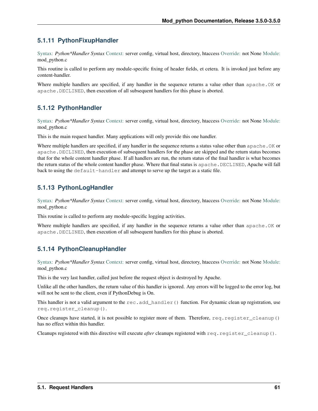# **5.1.11 PythonFixupHandler**

[Syntax:](http://httpd.apache.org/docs-2.4/mod/directive-dict.html#Syntax) *Python\*Handler Syntax* [Context:](http://httpd.apache.org/docs-2.4/mod/directive-dict.html#Context) server config, virtual host, directory, htaccess [Override:](http://httpd.apache.org/docs-2.4/mod/directive-dict.html#Override) not None [Module:](http://httpd.apache.org/docs-2.4/mod/directive-dict.html#Module) mod\_python.c

This routine is called to perform any module-specific fixing of header fields, et cetera. It is invoked just before any content-handler.

Where multiple handlers are specified, if any handler in the sequence returns a value other than apache. OK or apache.DECLINED, then execution of all subsequent handlers for this phase is aborted.

# **5.1.12 PythonHandler**

[Syntax:](http://httpd.apache.org/docs-2.4/mod/directive-dict.html#Syntax) *Python\*Handler Syntax* [Context:](http://httpd.apache.org/docs-2.4/mod/directive-dict.html#Context) server config, virtual host, directory, htaccess [Override:](http://httpd.apache.org/docs-2.4/mod/directive-dict.html#Override) not None [Module:](http://httpd.apache.org/docs-2.4/mod/directive-dict.html#Module) mod\_python.c

This is the main request handler. Many applications will only provide this one handler.

Where multiple handlers are specified, if any handler in the sequence returns a status value other than apache. OK or apache.DECLINED, then execution of subsequent handlers for the phase are skipped and the return status becomes that for the whole content handler phase. If all handlers are run, the return status of the final handler is what becomes the return status of the whole content handler phase. Where that final status is apache. DECLINED, Apache will fall back to using the default-handler and attempt to serve up the target as a static file.

# **5.1.13 PythonLogHandler**

[Syntax:](http://httpd.apache.org/docs-2.4/mod/directive-dict.html#Syntax) *Python\*Handler Syntax* [Context:](http://httpd.apache.org/docs-2.4/mod/directive-dict.html#Context) server config, virtual host, directory, htaccess [Override:](http://httpd.apache.org/docs-2.4/mod/directive-dict.html#Override) not None [Module:](http://httpd.apache.org/docs-2.4/mod/directive-dict.html#Module) mod\_python.c

This routine is called to perform any module-specific logging activities.

Where multiple handlers are specified, if any handler in the sequence returns a value other than apache. OK or apache.DECLINED, then execution of all subsequent handlers for this phase is aborted.

# **5.1.14 PythonCleanupHandler**

[Syntax:](http://httpd.apache.org/docs-2.4/mod/directive-dict.html#Syntax) *Python\*Handler Syntax* [Context:](http://httpd.apache.org/docs-2.4/mod/directive-dict.html#Context) server config, virtual host, directory, htaccess [Override:](http://httpd.apache.org/docs-2.4/mod/directive-dict.html#Override) not None [Module:](http://httpd.apache.org/docs-2.4/mod/directive-dict.html#Module) mod\_python.c

This is the very last handler, called just before the request object is destroyed by Apache.

Unlike all the other handlers, the return value of this handler is ignored. Any errors will be logged to the error log, but will not be sent to the client, even if PythonDebug is On.

This handler is not a valid argument to the rec.add\_handler() function. For dynamic clean up registration, use req.register\_cleanup().

Once cleanups have started, it is not possible to register more of them. Therefore, req.reqister cleanup() has no effect within this handler.

Cleanups registered with this directive will execute *after* cleanups registered with req.register\_cleanup().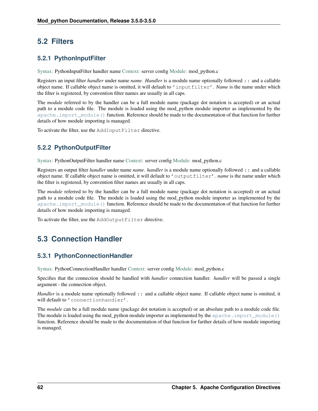# **5.2 Filters**

# **5.2.1 PythonInputFilter**

[Syntax:](http://httpd.apache.org/docs-2.4/mod/directive-dict.html#Syntax) PythonInputFilter handler name [Context:](http://httpd.apache.org/docs-2.4/mod/directive-dict.html#Context) server config [Module:](http://httpd.apache.org/docs-2.4/mod/directive-dict.html#Module) mod\_python.c

Registers an input filter *handler* under name *name*. *Handler* is a module name optionally followed :: and a callable object name. If callable object name is omitted, it will default to 'inputfilter'. *Name* is the name under which the filter is registered, by convention filter names are usually in all caps.

The *module* referred to by the handler can be a full module name (package dot notation is accepted) or an actual path to a module code file. The module is loaded using the mod\_python module importer as implemented by the apache. import\_module() function. Reference should be made to the documentation of that function for further details of how module importing is managed.

To activate the filter, use the AddInputFilter directive.

# **5.2.2 PythonOutputFilter**

[Syntax:](http://httpd.apache.org/docs-2.4/mod/directive-dict.html#Syntax) PythonOutputFilter handler name [Context:](http://httpd.apache.org/docs-2.4/mod/directive-dict.html#Context) server config [Module:](http://httpd.apache.org/docs-2.4/mod/directive-dict.html#Module) mod\_python.c

Registers an output filter *handler* under name *name*. *handler* is a module name optionally followed :: and a callable object name. If callable object name is omitted, it will default to 'outputfilter'. *name* is the name under which the filter is registered, by convention filter names are usually in all caps.

The *module* referred to by the handler can be a full module name (package dot notation is accepted) or an actual path to a module code file. The module is loaded using the mod\_python module importer as implemented by the apache. import\_module() function. Reference should be made to the documentation of that function for further details of how module importing is managed.

To activate the filter, use the AddOutputFilter directive.

# **5.3 Connection Handler**

# **5.3.1 PythonConnectionHandler**

[Syntax:](http://httpd.apache.org/docs-2.4/mod/directive-dict.html#Syntax) PythonConnectionHandler handler [Context:](http://httpd.apache.org/docs-2.4/mod/directive-dict.html#Context) server config [Module:](http://httpd.apache.org/docs-2.4/mod/directive-dict.html#Module) mod\_python.c

Specifies that the connection should be handled with *handler* connection handler. *handler* will be passed a single argument - the connection object.

*Handler* is a module name optionally followed :: and a callable object name. If callable object name is omitted, it will default to 'connectionhandler'.

The *module* can be a full module name (package dot notation is accepted) or an absolute path to a module code file. The module is loaded using the mod\_python module importer as implemented by the [apache.import\\_module\(\)](#page-24-1) function. Reference should be made to the documentation of that function for further details of how module importing is managed.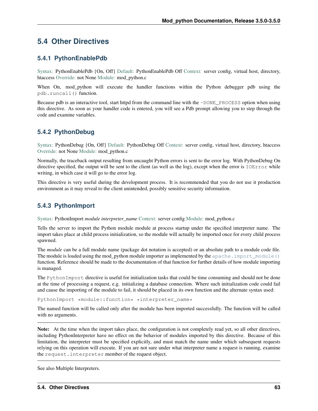# **5.4 Other Directives**

# **5.4.1 PythonEnablePdb**

[Syntax:](http://httpd.apache.org/docs-2.4/mod/directive-dict.html#Syntax) PythonEnablePdb {On, Off} [Default:](http://httpd.apache.org/docs-2.4/mod/directive-dict.html#Default) PythonEnablePdb Off [Context:](http://httpd.apache.org/docs-2.4/mod/directive-dict.html#Context) server config, virtual host, directory, htaccess [Override:](http://httpd.apache.org/docs-2.4/mod/directive-dict.html#Override) not None [Module:](http://httpd.apache.org/docs-2.4/mod/directive-dict.html#Module) mod\_python.c

When On, mod\_python will execute the handler functions within the Python debugger pdb using the pdb.runcall() function.

Because pdb is an interactive tool, start httpd from the command line with the -DONE\_PROCESS option when using this directive. As soon as your handler code is entered, you will see a Pdb prompt allowing you to step through the code and examine variables.

# **5.4.2 PythonDebug**

[Syntax:](http://httpd.apache.org/docs-2.4/mod/directive-dict.html#Syntax) PythonDebug {On, Off} [Default:](http://httpd.apache.org/docs-2.4/mod/directive-dict.html#Default) PythonDebug Off [Context:](http://httpd.apache.org/docs-2.4/mod/directive-dict.html#Context) server config, virtual host, directory, htaccess [Override:](http://httpd.apache.org/docs-2.4/mod/directive-dict.html#Override) not None [Module:](http://httpd.apache.org/docs-2.4/mod/directive-dict.html#Module) mod\_python.c

Normally, the traceback output resulting from uncaught Python errors is sent to the error log. With PythonDebug On directive specified, the output will be sent to the client (as well as the log), except when the error is IOError while writing, in which case it will go to the error log.

This directive is very useful during the development process. It is recommended that you do not use it production environment as it may reveal to the client unintended, possibly sensitive security information.

# **5.4.3 PythonImport**

[Syntax:](http://httpd.apache.org/docs-2.4/mod/directive-dict.html#Syntax) PythonImport *module interpreter\_name* [Context:](http://httpd.apache.org/docs-2.4/mod/directive-dict.html#Context) server config [Module:](http://httpd.apache.org/docs-2.4/mod/directive-dict.html#Module) mod\_python.c

Tells the server to import the Python module module at process startup under the specified interpreter name. The import takes place at child process initialization, so the module will actually be imported once for every child process spawned.

The *module* can be a full module name (package dot notation is accepted) or an absolute path to a module code file. The module is loaded using the mod python module importer as implemented by the apache.  $\text{import module}()$ function. Reference should be made to the documentation of that function for further details of how module importing is managed.

The PythonImport directive is useful for initialization tasks that could be time consuming and should not be done at the time of processing a request, e.g. initializing a database connection. Where such initialization code could fail and cause the importing of the module to fail, it should be placed in its own function and the alternate syntax used:

PythonImport \*module::function\* \*interpreter\_name\*

The named function will be called only after the module has been imported successfully. The function will be called with no arguments.

Note: At the time when the import takes place, the configuration is not completely read yet, so all other directives, including PythonInterpreter have no effect on the behavior of modules imported by this directive. Because of this limitation, the interpreter must be specified explicitly, and must match the name under which subsequent requests relying on this operation will execute. If you are not sure under what interpreter name a request is running, examine the request.interpreter member of the request object.

See also Multiple Interpreters.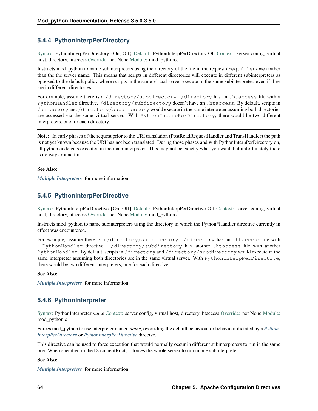# <span id="page-67-0"></span>**5.4.4 PythonInterpPerDirectory**

[Syntax:](http://httpd.apache.org/docs-2.4/mod/directive-dict.html#Syntax) PythonInterpPerDirectory {On, Off} [Default:](http://httpd.apache.org/docs-2.4/mod/directive-dict.html#Default) PythonInterpPerDirectory Off [Context:](http://httpd.apache.org/docs-2.4/mod/directive-dict.html#Context) server config, virtual host, directory, htaccess [Override:](http://httpd.apache.org/docs-2.4/mod/directive-dict.html#Override) not None [Module:](http://httpd.apache.org/docs-2.4/mod/directive-dict.html#Module) mod\_python.c

Instructs mod\_python to name subinterpreters using the directory of the file in the request (req.filename) rather than the the server name. This means that scripts in different directories will execute in different subinterpreters as opposed to the default policy where scripts in the same virtual server execute in the same subinterpreter, even if they are in different directories.

For example, assume there is a /directory/subdirectory. /directory has an .htaccess file with a PythonHandler directive. /directory/subdirectory doesn't have an .htaccess. By default, scripts in /directory and /directory/subdirectory would execute in the same interpreter assuming both directories are accessed via the same virtual server. With PythonInterpPerDirectory, there would be two different interpreters, one for each directory.

Note: In early phases of the request prior to the URI translation (PostReadRequestHandler and TransHandler) the path is not yet known because the URI has not been translated. During those phases and with PythonInterpPerDirectory on, all python code gets executed in the main interpreter. This may not be exactly what you want, but unfortunately there is no way around this.

### See Also:

*[Multiple Interpreters](#page-20-0)* for more information

# <span id="page-67-1"></span>**5.4.5 PythonInterpPerDirective**

[Syntax:](http://httpd.apache.org/docs-2.4/mod/directive-dict.html#Syntax) PythonInterpPerDirective {On, Off} [Default:](http://httpd.apache.org/docs-2.4/mod/directive-dict.html#Default) PythonInterpPerDirective Off [Context:](http://httpd.apache.org/docs-2.4/mod/directive-dict.html#Context) server config, virtual host, directory, htaccess [Override:](http://httpd.apache.org/docs-2.4/mod/directive-dict.html#Override) not None [Module:](http://httpd.apache.org/docs-2.4/mod/directive-dict.html#Module) mod\_python.c

Instructs mod\_python to name subinterpreters using the directory in which the Python\*Handler directive currently in effect was encountered.

For example, assume there is a /directory/subdirectory. /directory has an .htaccess file with a PythonHandler directive. /directory/subdirectory has another .htaccess file with another PythonHandler. By default, scripts in /directory and /directory/subdirectory would execute in the same interpreter assuming both directories are in the same virtual server. With PythonInterpPerDirective, there would be two different interpreters, one for each directive.

### See Also:

*[Multiple Interpreters](#page-20-0)* for more information

# **5.4.6 PythonInterpreter**

[Syntax:](http://httpd.apache.org/docs-2.4/mod/directive-dict.html#Syntax) PythonInterpreter *name* [Context:](http://httpd.apache.org/docs-2.4/mod/directive-dict.html#Context) server config, virtual host, directory, htaccess [Override:](http://httpd.apache.org/docs-2.4/mod/directive-dict.html#Override) not None [Module:](http://httpd.apache.org/docs-2.4/mod/directive-dict.html#Module) mod\_python.c

Forces mod\_python to use interpreter named *name*, overriding the default behaviour or behaviour dictated by a *[Python-](#page-67-0)[InterpPerDirectory](#page-67-0)* or *[PythonInterpPerDirective](#page-67-1)* direcive.

This directive can be used to force execution that would normally occur in different subinterpreters to run in the same one. When specified in the DocumentRoot, it forces the whole server to run in one subinterpreter.

### See Also:

*[Multiple Interpreters](#page-20-0)* for more information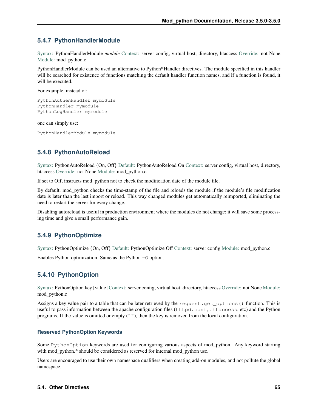# **5.4.7 PythonHandlerModule**

[Syntax:](http://httpd.apache.org/docs-2.4/mod/directive-dict.html#Syntax) PythonHandlerModule *module* [Context:](http://httpd.apache.org/docs-2.4/mod/directive-dict.html#Context) server config, virtual host, directory, htaccess [Override:](http://httpd.apache.org/docs-2.4/mod/directive-dict.html#Override) not None [Module:](http://httpd.apache.org/docs-2.4/mod/directive-dict.html#Module) mod\_python.c

PythonHandlerModule can be used an alternative to Python\*Handler directives. The module specified in this handler will be searched for existence of functions matching the default handler function names, and if a function is found, it will be executed.

For example, instead of:

```
PythonAuthenHandler mymodule
PythonHandler mymodule
PythonLogHandler mymodule
```
one can simply use:

PythonHandlerModule mymodule

# **5.4.8 PythonAutoReload**

[Syntax:](http://httpd.apache.org/docs-2.4/mod/directive-dict.html#Syntax) PythonAutoReload {On, Off} [Default:](http://httpd.apache.org/docs-2.4/mod/directive-dict.html#Default) PythonAutoReload On [Context:](http://httpd.apache.org/docs-2.4/mod/directive-dict.html#Context) server config, virtual host, directory, htaccess [Override:](http://httpd.apache.org/docs-2.4/mod/directive-dict.html#Override) not None [Module:](http://httpd.apache.org/docs-2.4/mod/directive-dict.html#Module) mod\_python.c

If set to Off, instructs mod\_python not to check the modification date of the module file.

By default, mod python checks the time-stamp of the file and reloads the module if the module's file modification date is later than the last import or reload. This way changed modules get automatically reimported, eliminating the need to restart the server for every change.

Disabling autoreload is useful in production environment where the modules do not change; it will save some processing time and give a small performance gain.

# **5.4.9 PythonOptimize**

[Syntax:](http://httpd.apache.org/docs-2.4/mod/directive-dict.html#Syntax) PythonOptimize {On, Off} [Default:](http://httpd.apache.org/docs-2.4/mod/directive-dict.html#Default) PythonOptimize Off [Context:](http://httpd.apache.org/docs-2.4/mod/directive-dict.html#Context) server config [Module:](http://httpd.apache.org/docs-2.4/mod/directive-dict.html#Module) mod\_python.c

Enables Python optimization. Same as the Python  $-\circ$  option.

# **5.4.10 PythonOption**

[Syntax:](http://httpd.apache.org/docs-2.4/mod/directive-dict.html#Syntax) PythonOption key [value] [Context:](http://httpd.apache.org/docs-2.4/mod/directive-dict.html#Context) server config, virtual host, directory, htaccess [Override:](http://httpd.apache.org/docs-2.4/mod/directive-dict.html#Override) not None [Module:](http://httpd.apache.org/docs-2.4/mod/directive-dict.html#Module) mod\_python.c

Assigns a key value pair to a table that can be later retrieved by the request.get\_options() function. This is useful to pass information between the apache configuration files (httpd.conf, .htaccess, etc) and the Python programs. If the value is omitted or empty (""), then the key is removed from the local configuration.

### **Reserved PythonOption Keywords**

Some PythonOption keywords are used for configuring various aspects of mod\_python. Any keyword starting with mod\_python.\* should be considered as reserved for internal mod\_python use.

Users are encouraged to use their own namespace qualifiers when creating add-on modules, and not pollute the global namespace.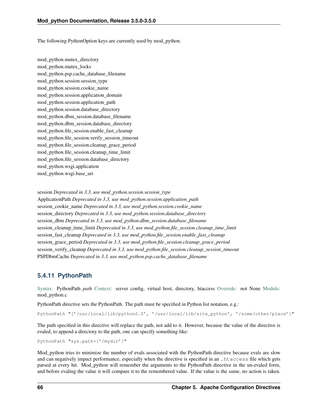The following PythonOption keys are currently used by mod\_python.

mod\_python.mutex\_directory mod\_python.mutex\_locks mod\_python.psp.cache\_database\_filename mod\_python.session.session\_type mod\_python.session.cookie\_name mod\_python.session.application\_domain mod\_python.session.application\_path mod\_python.session.database\_directory mod\_python.dbm\_session.database\_filename mod\_python.dbm\_session.database\_directory mod\_python.file\_session.enable\_fast\_cleanup mod\_python.file\_session.verify\_session\_timeout mod\_python.file\_session.cleanup\_grace\_period mod\_python.file\_session.cleanup\_time\_limit mod\_python.file\_session.database\_directory mod\_python.wsgi.application mod\_python.wsgi.base\_uri

session *Deprecated in 3.3, use mod\_python.session.session\_type* ApplicationPath *Deprecated in 3.3, use mod\_python.session.application\_path* session\_cookie\_name *Deprecated in 3.3, use mod\_python.session.cookie\_name* session\_directory *Deprecated in 3.3, use mod\_python.session.database\_directory* session\_dbm *Deprecated in 3.3, use mod\_python.dbm\_session.database\_filename* session\_cleanup\_time\_limit *Deprecated in 3.3, use mod\_python.file\_session.cleanup\_time\_limit* session\_fast\_cleanup *Deprecated in 3.3, use mod\_python.file\_session.enable\_fast\_cleanup* session\_grace\_period *Deprecated in 3.3, use mod\_python.file\_session.cleanup\_grace\_period* session\_verify\_cleanup *Deprecated in 3.3, use mod\_python.file\_session.cleanup\_session\_timeout* PSPDbmCache *Deprecated in 3.3, use mod\_python.psp.cache\_database\_filename*

# **5.4.11 PythonPath**

[Syntax:](http://httpd.apache.org/docs-2.4/mod/directive-dict.html#Syntax) PythonPath *path* [Context:](http://httpd.apache.org/docs-2.4/mod/directive-dict.html#Context) server config, virtual host, directory, htaccess [Override:](http://httpd.apache.org/docs-2.4/mod/directive-dict.html#Override) not None [Module:](http://httpd.apache.org/docs-2.4/mod/directive-dict.html#Module) mod\_python.c

PythonPath directive sets the PythonPath. The path must be specified in Python list notation, e.g.:

PythonPath "['/usr/local/lib/python2.0', '/usr/local/lib/site\_python', '/some/other/place']"

The path specified in this directive will replace the path, not add to it. However, because the value of the directive is evaled, to append a directory to the path, one can specify something like:

```
PythonPath "sys.path+['/mydir']"
```
Mod\_python tries to minimize the number of evals associated with the PythonPath directive because evals are slow and can negatively impact performance, especially when the directive is specified in an .htaccess file which gets parsed at every hit. Mod\_python will remember the arguments to the PythonPath directive in the un-evaled form, and before evaling the value it will compare it to the remembered value. If the value is the same, no action is taken.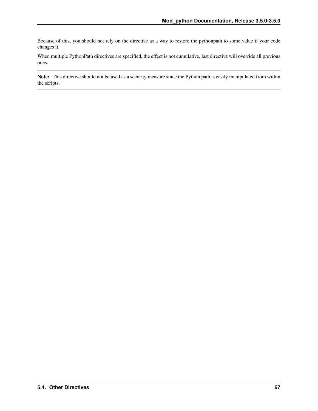Because of this, you should not rely on the directive as a way to restore the pythonpath to some value if your code changes it.

When multiple PythonPath directives are specified, the effect is not cumulative, last directive will override all previous ones.

Note: This directive should not be used as a security measure since the Python path is easily manipulated from within the scripts.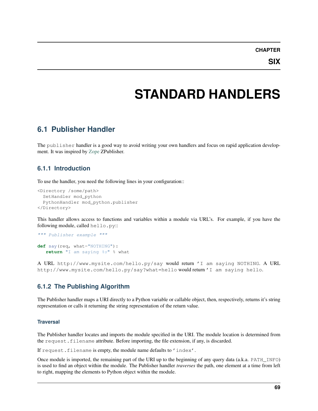**SIX**

# **STANDARD HANDLERS**

## **6.1 Publisher Handler**

The publisher handler is a good way to avoid writing your own handlers and focus on rapid application development. It was inspired by [Zope](http://www.zope.org/) ZPublisher.

### **6.1.1 Introduction**

To use the handler, you need the following lines in your configuration::

```
<Directory /some/path>
 SetHandler mod_python
 PythonHandler mod_python.publisher
</Directory>
```
This handler allows access to functions and variables within a module via URL's. For example, if you have the following module, called hello.py::

```
""" Publisher example """
def say(req, what="NOTHING"):
   return "I am saying %s" % what
```
A URL http://www.mysite.com/hello.py/say would return 'I am saying NOTHING. A URL http://www.mysite.com/hello.py/say?what=hello would return 'I am saying hello.

### **6.1.2 The Publishing Algorithm**

The Publisher handler maps a URI directly to a Python variable or callable object, then, respectively, returns it's string representation or calls it returning the string representation of the return value.

#### **Traversal**

The Publisher handler locates and imports the module specified in the URI. The module location is determined from the request.filename attribute. Before importing, the file extension, if any, is discarded.

If request.filename is empty, the module name defaults to 'index'.

Once module is imported, the remaining part of the URI up to the beginning of any query data (a.k.a. PATH\_INFO) is used to find an object within the module. The Publisher handler *traverses* the path, one element at a time from left to right, mapping the elements to Python object within the module.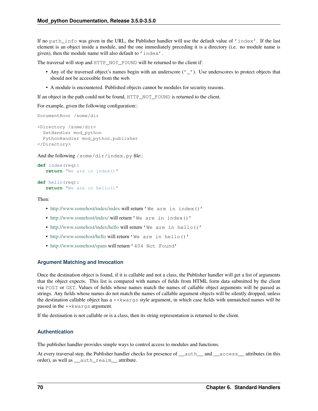If no path info was given in the URL, the Publisher handler will use the default value of 'index'. If the last element is an object inside a module, and the one immediately preceding it is a directory (i.e. no module name is given), then the module name will also default to 'index'.

The traversal will stop and HTTP\_NOT\_FOUND will be returned to the client if:

- Any of the traversed object's names begin with an underscore (' $\prime$ '). Use underscores to protect objects that should not be accessible from the web.
- A module is encountered. Published objects cannot be modules for security reasons.

If an object in the path could not be found, HTTP\_NOT\_FOUND is returned to the client.

For example, given the following configuration::

```
DocumentRoot /some/dir
<Directory /some/dir>
  SetHandler mod_python
  PythonHandler mod_python.publisher
</Directory>
```
And the following /some/dir/index.py file::

```
def index(req):
   return "We are in index()"
```

```
def hello(req):
   return "We are in hello()"
```
Then:

- <http://www.somehost/index/index> will return 'We are in index()'
- <http://www.somehost/index/> will return 'We are in index()'
- <http://www.somehost/index/hello> will return 'We are in hello()'
- <http://www.somehost/hello> will return 'We are in hello()'
- <http://www.somehost/spam> will return '404 Not Found'

#### **Argument Matching and Invocation**

Once the destination object is found, if it is callable and not a class, the Publisher handler will get a list of arguments that the object expects. This list is compared with names of fields from HTML form data submitted by the client via POST or GET. Values of fields whose names match the names of callable object arguments will be passed as strings. Any fields whose names do not match the names of callable argument objects will be silently dropped, unless the destination callable object has a  $**$ kwargs style argument, in which case fields with unmatched names will be passed in the \*\*kwargs argument.

If the destination is not callable or is a class, then its string representation is returned to the client.

#### **Authentication**

The publisher handler provides simple ways to control access to modules and functions.

At every traversal step, the Publisher handler checks for presence of \_\_auth\_\_ and \_\_access\_\_ attributes (in this order), as well as \_\_auth\_realm\_\_ attribute.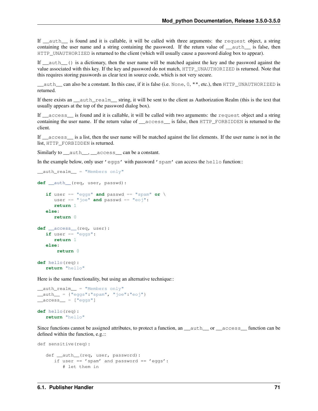If auth is found and it is callable, it will be called with three arguments: the request object, a string containing the user name and a string containing the password. If the return value of  $\text{__auth__}$  is false, then HTTP\_UNAUTHORIZED is returned to the client (which will usually cause a password dialog box to appear).

If \_\_auth\_\_() is a dictionary, then the user name will be matched against the key and the password against the value associated with this key. If the key and password do not match, HTTP\_UNAUTHORIZED is returned. Note that this requires storing passwords as clear text in source code, which is not very secure.

\_\_auth\_\_ can also be a constant. In this case, if it is false (i.e. None, 0, "", etc.), then HTTP\_UNAUTHORIZED is returned.

If there exists an \_\_auth\_realm\_\_ string, it will be sent to the client as Authorization Realm (this is the text that usually appears at the top of the password dialog box).

If \_\_access\_\_ is found and it is callable, it will be called with two arguments: the request object and a string containing the user name. If the return value of \_\_access\_\_ is false, then HTTP\_FORBIDDEN is returned to the client.

If \_\_access\_\_ is a list, then the user name will be matched against the list elements. If the user name is not in the list, HTTP\_FORBIDDEN is returned.

Similarly to \_\_auth\_\_, \_\_access\_\_ can be a constant.

In the example below, only user 'eggs' with password' spam' can access the hello function::

```
\text{with } \text{realm} = \text{"Members only"}
```
**def** \_\_auth\_\_(req, user, passwd):

```
if user == "eggs" and passwd == "spam" or \setminususer == "joe" and passwd == "eoj":return 1
   else:
      return 0
def __access__(req, user):
   if user == "egqs":return 1
   else:
       return 0
def hello(req):
   return "hello"
```
Here is the same functionality, but using an alternative technique::

```
__auth_realm__ = "Members only"
\_auth\_ = { "eggs": "spam", "joe": "eoj" }\_access = ['eggs"]def hello(req):
   return "hello"
```
Since functions cannot be assigned attributes, to protect a function, an \_\_auth\_\_ or \_\_access\_\_ function can be defined within the function, e.g.::

```
def sensitive(req):
   def __auth_(req, user, password):
      if user == 'spam' and password == 'eggs':
         # let them in
```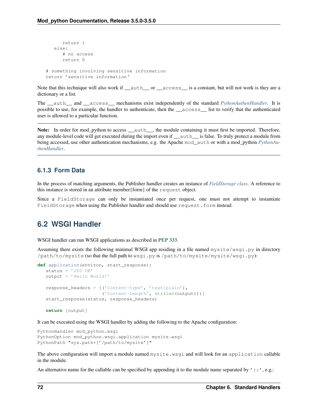```
return 1
   else:
      # no access
      return 0
# something involving sensitive information
return 'sensitive information'
```
Note that this technique will also work if \_\_auth\_\_ or \_\_access\_\_ is a constant, but will not work is they are a dictionary or a list.

The \_\_auth\_\_ and \_\_access\_\_ mechanisms exist independently of the standard *[PythonAuthenHandler](#page-63-0)*. It is possible to use, for example, the handler to authenticate, then the \_\_access\_\_ list to verify that the authenticated user is allowed to a particular function.

Note: In order for mod python to access auth, the module containing it must first be imported. Therefore, any module-level code will get executed during the import even if \_\_auth\_\_ is false. To truly protect a module from being accessed, use other authentication mechanisms, e.g. the Apache mod\_auth or with a mod\_python *[PythonAu](#page-63-0)[thenHandler](#page-63-0)*.

#### **6.1.3 Form Data**

In the process of matching arguments, the Publisher handler creates an instance of *[FieldStorage class](#page-41-0)*. A reference to this instance is stored in an attribute member{form} of the request object.

Since a FieldStorage can only be instantiated once per request, one must not attempt to instantiate FieldStorage when using the Publisher handler and should use request.form instead.

## **6.2 WSGI Handler**

WSGI handler can run WSGI applications as described in [PEP 333](http://www.python.org/dev/peps/pep-0333).

Assuming there exists the following minimal WSGI app residing in a file named mysite/wsgi.py in directory /path/to/mysite (so that the full path to wsgi.py is /path/to/mysite/mysite/wsgi.py):

```
def application(environ, start_response):
   status = '200 OK'
   output = 'Hello World!'
   response_headers = [('Content-type', 'text/plain'),
                       ('Content-Length', str(len(output)))]
   start_response(status, response_headers)
   return [output]
```
It can be executed using the WSGI handler by adding the following to the Apache configuration:

```
PythonHandler mod_python.wsgi
PythonOption mod_python.wsgi.application mysite.wsgi
PythonPath "sys.path+['/path/to/mysite']"
```
The above configuration will import a module named mysite.wsgi and will look for an application callable in the module.

An alternative name for the callable can be specified by appending it to the module name separated by  $\prime$ ::  $\prime$ , e.g.: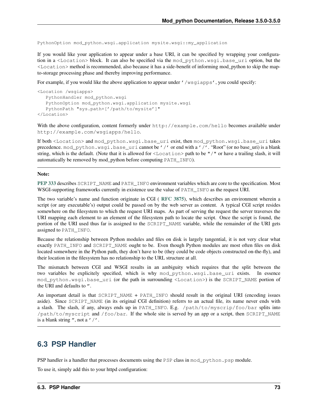PythonOption mod\_python.wsgi.application mysite.wsgi::my\_application

If you would like your application to appear under a base URI, it can be specified by wrapping your configuration in a <Location> block. It can also be specified via the mod\_python.wsgi.base\_uri option, but the <Location> method is recommended, also because it has a side-benefit of informing mod\_python to skip the mapto-storage processing phase and thereby improving performance.

For example, if you would like the above application to appear under '/wsgiapps', you could specify:

```
<Location /wsgiapps>
  PythonHandler mod_python.wsgi
   PythonOption mod_python.wsgi.application mysite.wsgi
   PythonPath "sys.path+['/path/to/mysite']"
</Location>
```
With the above configuration, content formerly under http://example.com/hello becomes available under http://example.com/wsgiapps/hello.

If both <Location> and mod\_python.wsgi.base\_uri exist, then mod\_python.wsgi.base\_uri takes precedence. mod\_python.wsgi.base\_uri cannot be '/' or end with a '/'. "Root" (or no base\_uri) is a blank string, which is the default. (Note that it is allowed for  $\leq$  Location > path to be "/" or have a trailing slash, it will automatically be removed by mod\_python before computing PATH\_INFO).

#### Note:

[PEP 333](http://www.python.org/dev/peps/pep-0333) describes SCRIPT\_NAME and PATH\_INFO environment variables which are core to the specification. Most WSGI-supporting frameworks currently in existence use the value of PATH\_INFO as the request URI.

The two variable's name and function originate in CGI ( [RFC 3875](http://tools.ietf.org/html/rfc3875.html)), which describes an environment wherein a script (or any executable's) output could be passed on by the web server as content. A typical CGI script resides somewhere on the filesystem to which the request URI maps. As part of serving the request the server traverses the URI mapping each element to an element of the filesystem path to locate the script. Once the script is found, the portion of the URI used thus far is assigned to the SCRIPT\_NAME variable, while the remainder of the URI gets assigned to PATH\_INFO.

Because the relationship between Python modules and files on disk is largely tangential, it is not very clear what exactly PATH\_INFO and SCRIPT\_NAME ought to be. Even though Python modules are most often files on disk located somewhere in the Python path, they don't have to be (they could be code objects constructed on-the-fly), and their location in the filesystem has no relationship to the URL structure at all.

The mismatch between CGI and WSGI results in an ambiguity which requires that the split between the two variables be explicitely specified, which is why mod\_python.wsgi.base\_uri exists. In essence mod\_python.wsgi.base\_uri (or the path in surrounding <Location>) is the SCRIPT\_NAME portion of the URI and defaults to ".

An important detail is that SCRIPT\_NAME + PATH\_INFO should result in the original URI (encoding issues aside). Since SCRIPT NAME (in its original CGI definition) referrs to an actual file, its name never ends with a slash. The slash, if any, always ends up in PATH\_INFO. E.g. /path/to/myscrip/foo/bar splits into /path/to/myscript and /foo/bar. If the whole site is served by an app or a script, then SCRIPT\_NAME is a blank string  $^{\prime\prime}$ , not a  $^{\prime}/^{\prime}$ .

## **6.3 PSP Handler**

PSP handler is a handler that processes documents using the PSP class in mod\_python.psp module.

To use it, simply add this to your httpd configuration: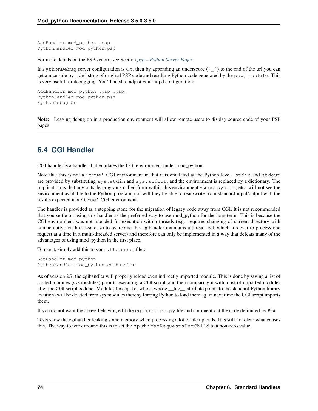AddHandler mod\_python .psp PythonHandler mod\_python.psp

For more details on the PSP syntax, see Section *[psp – Python Server Pager](#page-53-0)*.

If PythonDebug server configuration is On, then by appending an underscore  $('_')$  to the end of the url you can get a nice side-by-side listing of original PSP code and resulting Python code generated by the psp} module. This is very useful for debugging. You'll need to adjust your httpd configuration::

AddHandler mod\_python .psp .psp\_ PythonHandler mod\_python.psp PythonDebug On

Note: Leaving debug on in a production environment will allow remote users to display source code of your PSP pages!

## **6.4 CGI Handler**

CGI handler is a handler that emulates the CGI environment under mod\_python.

Note that this is not a 'true' CGI environment in that it is emulated at the Python level. stdin and stdout are provided by substituting sys.stdin and sys.stdout, and the environment is replaced by a dictionary. The implication is that any outside programs called from within this environment via  $\circ s$ . system, etc. will not see the environment available to the Python program, nor will they be able to read/write from standard input/output with the results expected in a 'true' CGI environment.

The handler is provided as a stepping stone for the migration of legacy code away from CGI. It is not recommended that you settle on using this handler as the preferred way to use mod\_python for the long term. This is because the CGI environment was not intended for execution within threads (e.g. requires changing of current directory with is inherently not thread-safe, so to overcome this cgihandler maintains a thread lock which forces it to process one request at a time in a multi-threaded server) and therefore can only be implemented in a way that defeats many of the advantages of using mod\_python in the first place.

To use it, simply add this to your .htaccess file::

```
SetHandler mod_python
PythonHandler mod_python.cgihandler
```
As of version 2.7, the cgihandler will properly reload even indirectly imported module. This is done by saving a list of loaded modules (sys.modules) prior to executing a CGI script, and then comparing it with a list of imported modules after the CGI script is done. Modules (except for whose whose \_\_file\_\_ attribute points to the standard Python library location) will be deleted from sys.modules thereby forcing Python to load them again next time the CGI script imports them.

If you do not want the above behavior, edit the  $c$ gihandler.py file and comment out the code delimited by  $\#$ ##.

Tests show the cgihandler leaking some memory when processing a lot of file uploads. It is still not clear what causes this. The way to work around this is to set the Apache MaxRequestsPerChild to a non-zero value.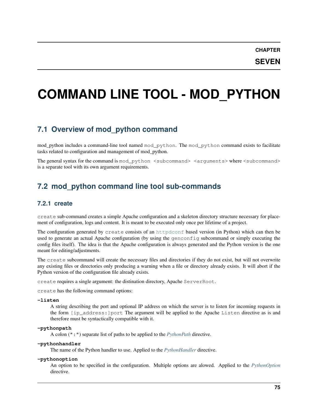# **COMMAND LINE TOOL - MOD\_PYTHON**

## **7.1 Overview of mod\_python command**

mod\_python includes a command-line tool named mod\_python. The mod\_python command exists to facilitate tasks related to configuration and management of mod\_python.

The general syntax for the command is mod\_python <subcommand> <arguments> where <subcommand> is a separate tool with its own argument requirements.

# **7.2 mod\_python command line tool sub-commands**

#### **7.2.1 create**

create sub-command creates a simple Apache configuration and a skeleton directory structure necessary for placement of configuration, logs and content. It is meant to be executed only once per lifetime of a project.

The configuration generated by create consists of an [httpdconf](#page-56-0) based version (in Python) which can then be used to generate an actual Apache configuration (by using the genconfig subcommand or simply executing the config files itself). The idea is that the Apache configuration is always generated and the Python version is the one meant for editing/adjustments.

The create subcommand will create the necessary files and directories if they do not exist, but will not overwrite any existing files or directories only producing a warning when a file or directory already exists. It will abort if the Python version of the configuration file already exists.

create requires a single argument: the distination directory, Apache ServerRoot.

create has the following command options:

#### **-listen**

A string describing the port and optional IP address on which the server is to listen for incoming requests in the form [ip\_address:]port The argument will be applied to the Apache Listen directive as is and therefore must be syntactically compatible with it.

#### **-pythonpath**

A colon (":") separate list of paths to be applied to the *[PythonPath](#page-69-0)* directive.

#### **-pythonhandler**

The name of the Python handler to use. Applied to the *[PythonHandler](#page-64-0)* directive.

#### **-pythonoption**

An option to be specified in the configuration. Multiple options are alowed. Applied to the *[PythonOption](#page-68-0)* directive.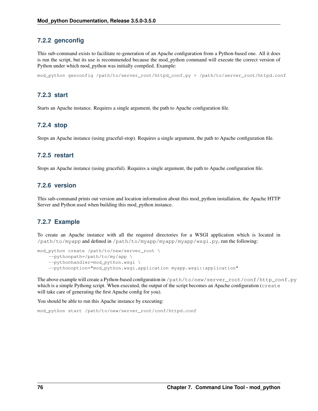#### **7.2.2 genconfig**

This sub-command exists to facilitate re-generation of an Apache configuration from a Python-based one. All it does is run the script, but its use is recommended because the mod\_python command will execute the correct version of Python under which mod\_python was initially compiled. Example:

mod\_python genconfig /path/to/server\_root/httpd\_conf.py > /path/to/server\_root/httpd.conf

#### **7.2.3 start**

Starts an Apache instance. Requires a single argument, the path to Apache configuration file.

#### **7.2.4 stop**

Stops an Apache instance (using graceful-stop). Requires a single argument, the path to Apache configuration file.

#### **7.2.5 restart**

Stops an Apache instance (using graceful). Requires a single argument, the path to Apache configuration file.

#### **7.2.6 version**

This sub-command prints out version and location information about this mod\_python installation, the Apache HTTP Server and Python used when building this mod\_python instance.

#### **7.2.7 Example**

To create an Apache instance with all the required directories for a WSGI application which is located in /path/to/myapp and defined in /path/to/myapp/myapp/myapp/wsgi.py, run the following:

```
mod_python create /path/to/new/server_root \
    --pythonpath=/path/to/my/app \
    --pythonhandler=mod_python.wsgi \
    --pythonoption="mod_python.wsgi.application myapp.wsgi::application"
```
The above example will create a Python-based configuration in /path/to/new/server\_root/conf/http\_conf.py which is a simple Pythong script. When executed, the output of the script becomes an Apache configuration (create will take care of generating the first Apache config for you).

You should be able to run this Apache instance by executing:

```
mod_python start /path/to/new/server_root/conf/httpd.conf
```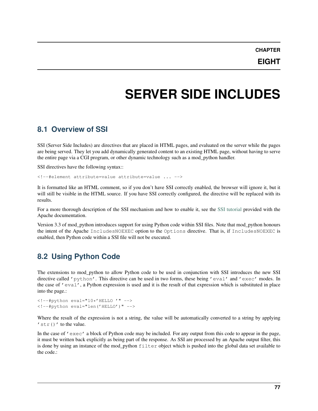**CHAPTER**

**EIGHT**

# **SERVER SIDE INCLUDES**

## **8.1 Overview of SSI**

SSI (Server Side Includes) are directives that are placed in HTML pages, and evaluated on the server while the pages are being served. They let you add dynamically generated content to an existing HTML page, without having to serve the entire page via a CGI program, or other dynamic technology such as a mod\_python handler.

SSI directives have the following syntax::

<!--#element attribute=value attribute=value ... -->

It is formatted like an HTML comment, so if you don't have SSI correctly enabled, the browser will ignore it, but it will still be visible in the HTML source. If you have SSI correctly configured, the directive will be replaced with its results.

For a more thorough description of the SSI mechanism and how to enable it, see the [SSI tutorial](http://httpd.apache.org/docs/2.0/howto/ssi.html) provided with the Apache documentation.

Version 3.3 of mod\_python introduces support for using Python code within SSI files. Note that mod\_python honours the intent of the Apache IncludesNOEXEC option to the Options directive. That is, if IncludesNOEXEC is enabled, then Python code within a SSI file will not be executed.

# **8.2 Using Python Code**

The extensions to mod\_python to allow Python code to be used in conjunction with SSI introduces the new SSI directive called 'python'. This directive can be used in two forms, these being 'eval' and 'exec' modes. In the case of 'eval', a Python expression is used and it is the result of that expression which is substituted in place into the page.:

```
<!--#python eval="10*'HELLO '" -->
<!--#python eval="len('HELLO')" -->
```
Where the result of the expression is not a string, the value will be automatically converted to a string by applying 'str()' to the value.

In the case of  $'$  exec' a block of Python code may be included. For any output from this code to appear in the page, it must be written back explicitly as being part of the response. As SSI are processed by an Apache output filter, this is done by using an instance of the mod python filter object which is pushed into the global data set available to the code.: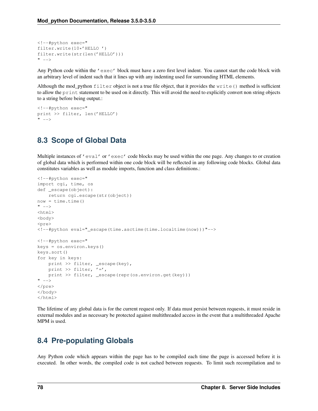```
<!--#python exec="
filter.write(10*'HELLO ')
filter.write(str(len('HELLO')))
" -->
```
Any Python code within the 'exec' block must have a zero first level indent. You cannot start the code block with an arbitrary level of indent such that it lines up with any indenting used for surrounding HTML elements.

Although the mod\_python filter object is not a true file object, that it provides the write() method is sufficient to allow the print statement to be used on it directly. This will avoid the need to explicitly convert non string objects to a string before being output.:

```
<!--#python exec="
print >> filter, len('HELLO')
" --
```
## **8.3 Scope of Global Data**

Multiple instances of 'eval' or 'exec' code blocks may be used within the one page. Any changes to or creation of global data which is performed within one code block will be reflected in any following code blocks. Global data constitutes variables as well as module imports, function and class definitions.:

```
<!--#python exec="
import cgi, time, os
def _escape(object):
   return cgi.escape(str(object))
now = time.time()" ---><html>
<body>
<pre>
<!--#python eval="_escape(time.asctime(time.localtime(now)))"-->
<!--#python exec="
keys = os.environ.keys()
keys.sort()
for key in keys:
   print >> filter, _escape(key),
    print >> filter, '=',
   print >> filter, _escape(repr(os.environ.get(key)))
" ---></pre>
</body>
</html>
```
The lifetime of any global data is for the current request only. If data must persist between requests, it must reside in external modules and as necessary be protected against multithreaded access in the event that a multithreaded Apache MPM is used.

## **8.4 Pre-populating Globals**

Any Python code which appears within the page has to be compiled each time the page is accessed before it is executed. In other words, the compiled code is not cached between requests. To limit such recompilation and to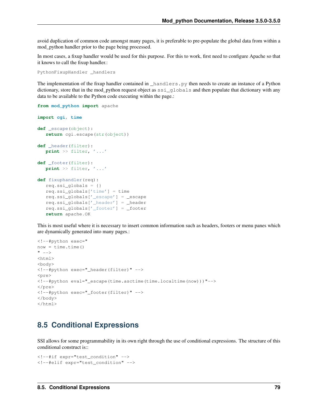avoid duplication of common code amongst many pages, it is preferable to pre-populate the global data from within a mod\_python handler prior to the page being processed.

In most cases, a fixup handler would be used for this purpose. For this to work, first need to configure Apache so that it knows to call the fixup handler.:

```
PythonFixupHandler _handlers
```
The implementation of the fixup handler contained in handlers. py then needs to create an instance of a Python dictionary, store that in the mod\_python request object as  $ssi$  globals and then populate that dictionary with any data to be available to the Python code executing within the page.:

```
from mod_python import apache
```

```
import cgi, time
def _escape(object):
   return cgi.escape(str(object))
def _header(filter):
  print >> filter, '...'
def _footer(filter):
  print >> filter, '...'
def fixuphandler(req):
  req.ssi_globals = {}
   req.ssi_globals['time'] = time
   req.ssi_globals['_escape'] = _escape
   req.ssi_globals['_header'] = _header
   req.ssi_globals['_footer'] = _footer
   return apache.OK
```
This is most useful where it is necessary to insert common information such as headers, footers or menu panes which are dynamically generated into many pages.:

```
<!--#python exec="
now = time.time()" ---><html>
<body>
<!--#python exec="_header(filter)" -->
<pre>
<!--#python eval="_escape(time.asctime(time.localtime(now)))"-->
\langle/pre\rangle<!--#python exec="_footer(filter)" -->
</body>
\langle/html>
```
## **8.5 Conditional Expressions**

SSI allows for some programmability in its own right through the use of conditional expressions. The structure of this conditional construct is::

```
<!--#if expr="test_condition" -->
<!--#elif expr="test_condition" -->
```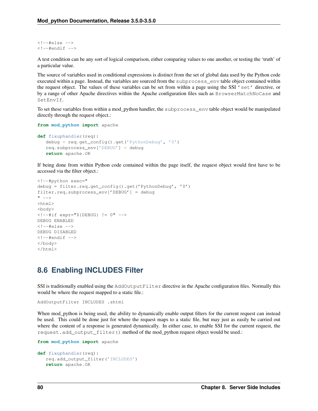$\left\langle \cdot \right\rangle$  --#else -->  $\langle$ !--#endif -->

A test condition can be any sort of logical comparison, either comparing values to one another, or testing the 'truth' of a particular value.

The source of variables used in conditional expressions is distinct from the set of global data used by the Python code executed within a page. Instead, the variables are sourced from the subprocess\_env table object contained within the request object. The values of these variables can be set from within a page using the SSI 'set' directive, or by a range of other Apache directives within the Apache configuration files such as BrowserMatchNoCase and SetEnvIf.

To set these variables from within a mod\_python handler, the subprocess\_env table object would be manipulated directly through the request object.:

```
from mod_python import apache
def fixuphandler(req):
  debug = req.get_config().get('PythonDebug', '0')
   req.subprocess_env['DEBUG'] = debug
  return apache.OK
```
If being done from within Python code contained within the page itself, the request object would first have to be accessed via the filter object.:

```
<!--#python exec="
debug = filter.req.get_config().get('PythonDebug', '0')
filter.req.subprocess_env['DEBUG'] = debug
" --<html>
<body>
\langle!--#if expr="${DEBUG} != 0" -->
DEBUG ENABLED
\leftarrow!--#else -->
DEBUG DISABLED
<!--#endif -->
</body>
</html>
```
## **8.6 Enabling INCLUDES Filter**

SSI is traditionally enabled using the AddOutputFilter directive in the Apache configuration files. Normally this would be where the request mapped to a static file.:

```
AddOutputFilter INCLUDES .shtml
```
When mod\_python is being used, the ability to dynamically enable output filters for the current request can instead be used. This could be done just for where the request maps to a static file, but may just as easily be carried out where the content of a response is generated dynamically. In either case, to enable SSI for the current request, the request.add\_output\_filter() method of the mod\_python request object would be used.:

```
from mod_python import apache
def fixuphandler(req):
   req.add_output_filter('INCLUDES')
   return apache.OK
```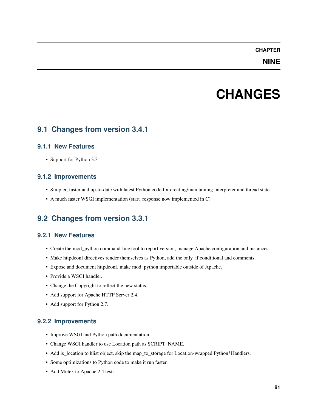#### **CHAPTER**

## **NINE**

# **CHANGES**

## **9.1 Changes from version 3.4.1**

### **9.1.1 New Features**

• Support for Python 3.3

#### **9.1.2 Improvements**

- Simpler, faster and up-to-date with latest Python code for creating/maintaining interpreter and thread state.
- A much faster WSGI implementation (start\_response now implemented in C)

## **9.2 Changes from version 3.3.1**

### **9.2.1 New Features**

- Create the mod\_python command-line tool to report version, manage Apache configuration and instances.
- Make httpdconf directives render themselves as Python, add the only\_if conditional and comments.
- Expose and document httpdconf, make mod\_python importable outside of Apache.
- Provide a WSGI handler.
- Change the Copyright to reflect the new status.
- Add support for Apache HTTP Server 2.4.
- Add support for Python 2.7.

### **9.2.2 Improvements**

- Improve WSGI and Python path documentation.
- Change WSGI handler to use Location path as SCRIPT\_NAME.
- Add is\_location to hlist object, skip the map\_to\_storage for Location-wrapped Python\*Handlers.
- Some optimizations to Python code to make it run faster.
- Add Mutex to Apache 2.4 tests.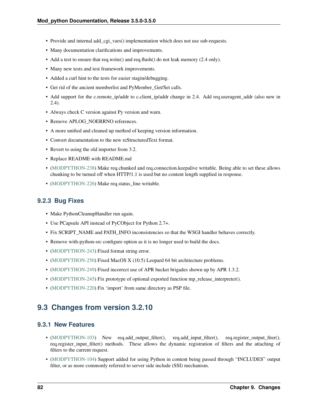- Provide and internal add cgi vars() implementation which does not use sub-requests.
- Many documentation clarifications and improvements.
- Add a test to ensure that req.write() and req.flush() do not leak memory (2.4 only).
- Many new tests and test framework improvements.
- Added a curl hint to the tests for easier stagin/debugging.
- Get rid of the ancient memberlist and PyMember\_Get/Set calls.
- Add support for the c.remote\_ip/addr to c.client\_ip/addr change in 2.4. Add req.useragent\_addr (also new in 2.4).
- Always check C version against Py version and warn.
- Remove APLOG\_NOERRNO references.
- A more unified and cleaned up method of keeping version information.
- Convert documentation to the new reStructuredText format.
- Revert to using the old importer from 3.2.
- Replace README with README.md
- [\(MODPYTHON-238\)](http://issues.apache.org/jira/browse/MODPYTHON-238) Make req.chunked and req.connection.keepalive writable. Being able to set these allows chunking to be turned off when HTTP/1.1 is used but no content length supplied in response.
- [\(MODPYTHON-226\)](http://issues.apache.org/jira/browse/MODPYTHON-226) Make req.status line writable.

#### **9.2.3 Bug Fixes**

- Make PythonCleanupHandler run again.
- Use PCapsule API instead of PyCObject for Python 2.7+.
- Fix SCRIPT\_NAME and PATH\_INFO inconsistencies so that the WSGI handler behaves correctly.
- Remove with-python-src configure option as it is no longer used to build the docs.
- [\(MODPYTHON-243\)](http://issues.apache.org/jira/browse/MODPYTHON-243) Fixed format string error.
- [\(MODPYTHON-250\)](http://issues.apache.org/jira/browse/MODPYTHON-250) Fixed MacOS X (10.5) Leopard 64 bit architecture problems.
- [\(MODPYTHON-249\)](http://issues.apache.org/jira/browse/MODPYTHON-249) Fixed incorrect use of APR bucket brigades shown up by APR 1.3.2.
- [\(MODPYTHON-245\)](http://issues.apache.org/jira/browse/MODPYTHON-245) Fix prototype of optional exported function mp\_release\_interpreter().
- [\(MODPYTHON-220\)](http://issues.apache.org/jira/browse/MODPYTHON-220) Fix 'import' from same directory as PSP file.

## **9.3 Changes from version 3.2.10**

#### **9.3.1 New Features**

- [\(MODPYTHON-103\)](http://issues.apache.org/jira/browse/MODPYTHON-103) New req.add\_output\_filter(), req.add\_input\_filter(), req.register\_output\_fiter(), req.register\_input\_filter() methods. These allows the dynamic registration of filters and the attaching of filters to the current request.
- [\(MODPYTHON-104\)](http://issues.apache.org/jira/browse/MODPYTHON-104) Support added for using Python in content being passed through "INCLUDES" output filter, or as more commonly referred to server side include (SSI) mechanism.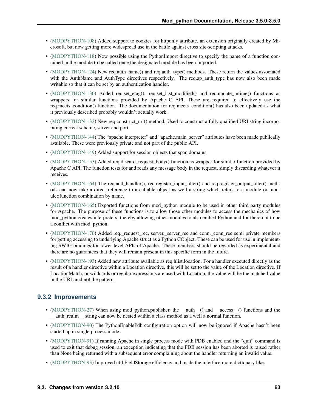- [\(MODPYTHON-108\)](http://issues.apache.org/jira/browse/MODPYTHON-108) Added support to cookies for httponly attribute, an extension originally created by Microsoft, but now getting more widespread use in the battle against cross site-scripting attacks.
- [\(MODPYTHON-118\)](http://issues.apache.org/jira/browse/MODPYTHON-118) Now possible using the PythonImport directive to specify the name of a function contained in the module to be called once the designated module has been imported.
- [\(MODPYTHON-124\)](http://issues.apache.org/jira/browse/MODPYTHON-124) New req.auth\_name() and req.auth\_type() methods. These return the values associated with the AuthName and AuthType directives respectively. The req.ap auth type has now also been made writable so that it can be set by an authentication handler.
- [\(MODPYTHON-130\)](http://issues.apache.org/jira/browse/MODPYTHON-130) Added req.set\_etag(), req.set\_last\_modified() and req.update\_mtime() functions as wrappers for similar functions provided by Apache C API. These are required to effectively use the req.meets\_condition() function. The documentation for req.meets\_condition() has also been updated as what it previously described probably wouldn't actually work.
- [\(MODPYTHON-132\)](http://issues.apache.org/jira/browse/MODPYTHON-132) New req.construct\_url() method. Used to construct a fully qualified URI string incorporating correct scheme, server and port.
- [\(MODPYTHON-144\)](http://issues.apache.org/jira/browse/MODPYTHON-144) The "apache.interpreter" and "apache.main\_server" attributes have been made publically available. These were previously private and not part of the public API.
- [\(MODPYTHON-149\)](http://issues.apache.org/jira/browse/MODPYTHON-149) Added support for session objects that span domains.
- [\(MODPYTHON-153\)](http://issues.apache.org/jira/browse/MODPYTHON-153) Added req.discard\_request\_body() function as wrapper for similar function provided by Apache C API. The function tests for and reads any message body in the request, simply discarding whatever it receives.
- [\(MODPYTHON-164\)](http://issues.apache.org/jira/browse/MODPYTHON-164) The req.add handler(), req.register input filter() and req.register output filter() methods can now take a direct reference to a callable object as well a string which refers to a module or module::function combination by name.
- [\(MODPYTHON-165\)](http://issues.apache.org/jira/browse/MODPYTHON-165) Exported functions from mod\_python module to be used in other third party modules for Apache. The purpose of these functions is to allow those other modules to access the mechanics of how mod\_python creates interpreters, thereby allowing other modules to also embed Python and for there not to be a conflict with mod\_python.
- [\(MODPYTHON-170\)](http://issues.apache.org/jira/browse/MODPYTHON-170) Added req.\_request\_rec, server.\_server\_rec and conn.\_conn\_rec semi private members for getting accessing to underlying Apache struct as a Python CObject. These can be used for use in implementing SWIG bindings for lower level APIs of Apache. These members should be regarded as experimental and there are no guarantees that they will remain present in this specific form in the future.
- [\(MODPYTHON-193\)](http://issues.apache.org/jira/browse/MODPYTHON-193) Added new attribute available as req.hlist.location. For a handler executed directly as the result of a handler directive within a Location directive, this will be set to the value of the Location directive. If LocationMatch, or wildcards or regular expressions are used with Location, the value will be the matched value in the URL and not the pattern.

### **9.3.2 Improvements**

- [\(MODPYTHON-27\)](http://issues.apache.org/jira/browse/MODPYTHON-27) When using mod\_python.publisher, the \_\_auth\_\_() and \_\_access\_\_() functions and the \_\_auth\_realm\_\_ string can now be nested within a class method as a well a normal function.
- [\(MODPYTHON-90\)](http://issues.apache.org/jira/browse/MODPYTHON-90) The PythonEnablePdb configuration option will now be ignored if Apache hasn't been started up in single process mode.
- [\(MODPYTHON-91\)](http://issues.apache.org/jira/browse/MODPYTHON-91) If running Apache in single process mode with PDB enabled and the "quit" command is used to exit that debug session, an exception indicating that the PDB session has been aborted is raised rather than None being returned with a subsequent error complaining about the handler returning an invalid value.
- [\(MODPYTHON-93\)](http://issues.apache.org/jira/browse/MODPYTHON-93) Improved util.FieldStorage efficiency and made the interface more dictionary like.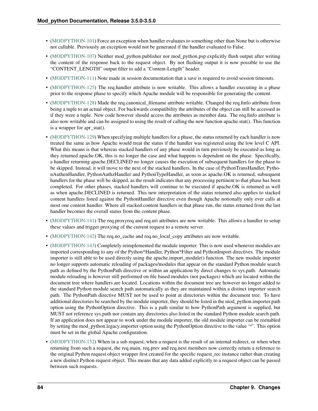- [\(MODPYTHON-101\)](http://issues.apache.org/jira/browse/MODPYTHON-101) Force an exception when handler evaluates to something other than None but is otherwise not callable. Previously an exception would not be generated if the handler evaluated to False.
- [\(MODPYTHON-107\)](http://issues.apache.org/jira/browse/MODPYTHON-107) Neither mod\_python.publisher nor mod\_python.psp explicitly flush output after writing the content of the response back to the request object. By not flushing output it is now possible to use the "CONTENT\_LENGTH" output filter to add a "Content-Length" header.
- [\(MODPYTHON-111\)](http://issues.apache.org/jira/browse/MODPYTHON-111) Note made in session documentation that a save is required to avoid session timeouts.
- [\(MODPYTHON-125\)](http://issues.apache.org/jira/browse/MODPYTHON-125) The req.handler attribute is now writable. This allows a handler executing in a phase prior to the response phase to specify which Apache module will be responsible for generating the content.
- [\(MODPYTHON-128\)](http://issues.apache.org/jira/browse/MODPYTHON-128) Made the req.canonical\_filename attribute writable. Changed the req.finfo attribute from being a tuple to an actual object. For backwards compatibility the attributes of the object can still be accessed as if they were a tuple. New code however should access the attributes as member data. The req.finfo attribute is also now writable and can be assigned to using the result of calling the new function apache.stat(). This function is a wrapper for apr\_stat().
- [\(MODPYTHON-129\)](http://issues.apache.org/jira/browse/MODPYTHON-129) When specifying multiple handlers for a phase, the status returned by each handler is now treated the same as how Apache would treat the status if the handler was registered using the low level C API. What this means is that whereas stacked handlers of any phase would in turn previously be executed as long as they returned apache.OK, this is no longer the case and what happens is dependent on the phase. Specifically, a handler returning apache.DECLINED no longer causes the execution of subsequent handlers for the phase to be skipped. Instead, it will move to the next of the stacked handlers. In the case of PythonTransHandler, PythonAuthenHandler, PythonAuthzHandler and PythonTypeHandler, as soon as apache.OK is returned, subsequent handlers for the phase will be skipped, as the result indicates that any processing pertinent to that phase has been completed. For other phases, stacked handlers will continue to be executed if apache.OK is returned as well as when apache.DECLINED is returned. This new interpretation of the status returned also applies to stacked content handlers listed against the PythonHandler directive even though Apache notionally only ever calls at most one content handler. Where all stacked content handlers in that phase run, the status returned from the last handler becomes the overall status from the content phase.
- [\(MODPYTHON-141\)](http://issues.apache.org/jira/browse/MODPYTHON-141) The req.proxyreq and req.uri attributes are now writable. This allows a handler to setup these values and trigger proxying of the current request to a remote server.
- [\(MODPYTHON-142\)](http://issues.apache.org/jira/browse/MODPYTHON-142) The req.no\_cache and req.no\_local\_copy attributes are now writable.
- [\(MODPYTHON-143\)](http://issues.apache.org/jira/browse/MODPYTHON-143) Completely reimplemented the module importer. This is now used whenever modules are imported corresponding to any of the Python\*Handler, Python\*Filter and PythonImport directives. The module importer is still able to be used directly using the apache.import\_module() function. The new module importer no longer supports automatic reloading of packages/modules that appear on the standard Python module search path as defined by the PythonPath directive or within an application by direct changes to sys.path. Automatic module reloading is however still performed on file based modules (not packages) which are located within the document tree where handlers are located. Locations within the document tree are however no longer added to the standard Python module search path automatically as they are maintained within a distinct importer search path. The PythonPath directive MUST not be used to point at directories within the document tree. To have additional directories be searched by the module importer, they should be listed in the mod\_python.importer.path option using the PythonOption directive. This is a path similar to how PythonPath argument is supplied, but MUST not reference sys.path nor contain any directories also listed in the standard Python module search path. If an application does not appear to work under the module importer, the old module importer can be reenabled by setting the mod\_python.legacy.importer option using the PythonOption directive to the value '\*'. This option must be set in the global Apache configuration.
- [\(MODPYTHON-152\)](http://issues.apache.org/jira/browse/MODPYTHON-152) When in a sub request, when a request is the result of an internal redirect, or when when returning from such a request, the req.main, req.prev and req.next members now correctly return a reference to the original Python request object wrapper first created for the specific request\_rec instance rather than creating a new distinct Python request object. This means that any data added explicitly to a request object can be passed between such requests.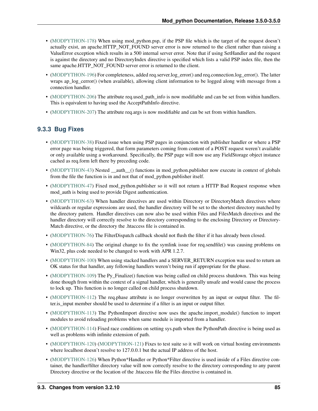- [\(MODPYTHON-178\)](http://issues.apache.org/jira/browse/MODPYTHON-178) When using mod python.psp, if the PSP file which is the target of the request doesn't actually exist, an apache.HTTP\_NOT\_FOUND server error is now returned to the client rather than raising a ValueError exception which results in a 500 internal server error. Note that if using SetHandler and the request is against the directory and no DirectoryIndex directive is specified which lists a valid PSP index file, then the same apache.HTTP\_NOT\_FOUND server error is returned to the client.
- [\(MODPYTHON-196\)](http://issues.apache.org/jira/browse/MODPYTHON-196) For completeness, added req.server.log\_error() and req.connection.log\_error(). The latter wraps ap\_log\_cerror() (when available), allowing client information to be logged along with message from a connection handler.
- [\(MODPYTHON-206\)](http://issues.apache.org/jira/browse/MODPYTHON-206) The attribute req.used\_path\_info is now modifiable and can be set from within handlers. This is equivalent to having used the AcceptPathInfo directive.
- [\(MODPYTHON-207\)](http://issues.apache.org/jira/browse/MODPYTHON-207) The attribute req.args is now modifiable and can be set from within handlers.

## **9.3.3 Bug Fixes**

- [\(MODPYTHON-38\)](http://issues.apache.org/jira/browse/MODPYTHON-38) Fixed issue when using PSP pages in conjunction with publisher handler or where a PSP error page was being triggered, that form parameters coming from content of a POST request weren't available or only available using a workaround. Specifically, the PSP page will now use any FieldStorage object instance cached as req.form left there by preceding code.
- [\(MODPYTHON-43\)](http://issues.apache.org/jira/browse/MODPYTHON-43) Nested \_\_auth\_\_() functions in mod\_python.publisher now execute in context of globals from the file the function is in and not that of mod\_python.publisher itself.
- [\(MODPYTHON-47\)](http://issues.apache.org/jira/browse/MODPYTHON-47) Fixed mod\_python.publisher so it will not return a HTTP Bad Request response when mod\_auth is being used to provide Digest authentication.
- [\(MODPYTHON-63\)](http://issues.apache.org/jira/browse/MODPYTHON-63) When handler directives are used within Directory or DirectoryMatch directives where wildcards or regular expressions are used, the handler directory will be set to the shortest directory matched by the directory pattern. Handler directives can now also be used within Files and FilesMatch directives and the handler directory will correctly resolve to the directory corresponding to the enclosing Directory or Directory-Match directive, or the directory the .htaccess file is contained in.
- [\(MODPYTHON-76\)](http://issues.apache.org/jira/browse/MODPYTHON-76) The FilterDispatch callback should not flush the filter if it has already been closed.
- [\(MODPYTHON-84\)](http://issues.apache.org/jira/browse/MODPYTHON-84) The original change to fix the symlink issue for req.sendfile() was causing problems on Win32, plus code needed to be changed to work with APR 1.2.7.
- [\(MODPYTHON-100\)](http://issues.apache.org/jira/browse/MODPYTHON-100) When using stacked handlers and a SERVER\_RETURN exception was used to return an OK status for that handler, any following handlers weren't being run if appropriate for the phase.
- [\(MODPYTHON-109\)](http://issues.apache.org/jira/browse/MODPYTHON-109) The Py\_Finalize() function was being called on child process shutdown. This was being done though from within the context of a signal handler, which is generally unsafe and would cause the process to lock up. This function is no longer called on child process shutdown.
- [\(MODPYTHON-112\)](http://issues.apache.org/jira/browse/MODPYTHON-112) The req.phase attribute is no longer overwritten by an input or output filter. The filter.is\_input member should be used to determine if a filter is an input or output filter.
- [\(MODPYTHON-113\)](http://issues.apache.org/jira/browse/MODPYTHON-113) The PythonImport directive now uses the apache.import\_module() function to import modules to avoid reloading problems when same module is imported from a handler.
- [\(MODPYTHON-114\)](http://issues.apache.org/jira/browse/MODPYTHON-114) Fixed race conditions on setting sys.path when the PythonPath directive is being used as well as problems with infinite extension of path.
- [\(MODPYTHON-120\)](http://issues.apache.org/jira/browse/MODPYTHON-120) [\(MODPYTHON-121\)](http://issues.apache.org/jira/browse/MODPYTHON-121) Fixes to test suite so it will work on virtual hosting environments where localhost doesn't resolve to 127.0.0.1 but the actual IP address of the host.
- [\(MODPYTHON-126\)](http://issues.apache.org/jira/browse/MODPYTHON-126) When Python\*Handler or Python\*Filter directive is used inside of a Files directive container, the handler/filter directory value will now correctly resolve to the directory corresponding to any parent Directory directive or the location of the .htaccess file the Files directive is contained in.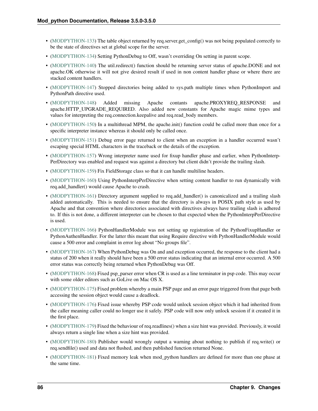- [\(MODPYTHON-133\)](http://issues.apache.org/jira/browse/MODPYTHON-133) The table object returned by req.server.get config() was not being populated correctly to be the state of directives set at global scope for the server.
- [\(MODPYTHON-134\)](http://issues.apache.org/jira/browse/MODPYTHON-134) Setting PythonDebug to Off, wasn't overriding On setting in parent scope.
- [\(MODPYTHON-140\)](http://issues.apache.org/jira/browse/MODPYTHON-140) The util.redirect() function should be returning server status of apache.DONE and not apache.OK otherwise it will not give desired result if used in non content handler phase or where there are stacked content handlers.
- [\(MODPYTHON-147\)](http://issues.apache.org/jira/browse/MODPYTHON-147) Stopped directories being added to sys.path multiple times when PythonImport and PythonPath directive used.
- [\(MODPYTHON-148\)](http://issues.apache.org/jira/browse/MODPYTHON-148) Added missing Apache contants apache.PROXYREQ\_RESPONSE and apache.HTTP\_UPGRADE\_REQUIRED. Also added new constants for Apache magic mime types and values for interpreting the req.connection.keepalive and req.read\_body members.
- [\(MODPYTHON-150\)](http://issues.apache.org/jira/browse/MODPYTHON-150) In a multithread MPM, the apache.init() function could be called more than once for a specific interpreter instance whereas it should only be called once.
- [\(MODPYTHON-151\)](http://issues.apache.org/jira/browse/MODPYTHON-151) Debug error page returned to client when an exception in a handler occurred wasn't escaping special HTML characters in the traceback or the details of the exception.
- [\(MODPYTHON-157\)](http://issues.apache.org/jira/browse/MODPYTHON-157) Wrong interpreter name used for fixup handler phase and earlier, when PythonInterp-PerDirectory was enabled and request was against a directory but client didn't provide the trailing slash.
- [\(MODPYTHON-159\)](http://issues.apache.org/jira/browse/MODPYTHON-159) Fix FieldStorage class so that it can handle multiline headers.
- [\(MODPYTHON-160\)](http://issues.apache.org/jira/browse/MODPYTHON-160) Using PythonInterpPerDirective when setting content handler to run dynamically with req.add\_handler() would cause Apache to crash.
- [\(MODPYTHON-161\)](http://issues.apache.org/jira/browse/MODPYTHON-161) Directory argument supplied to req.add\_handler() is canonicalized and a trailing slash added automatically. This is needed to ensure that the directory is always in POSIX path style as used by Apache and that convention where directories associated with directives always have trailing slash is adhered to. If this is not done, a different interpreter can be chosen to that expected when the PythonInterpPerDirective is used.
- [\(MODPYTHON-166\)](http://issues.apache.org/jira/browse/MODPYTHON-166) PythonHandlerModule was not setting up registration of the PythonFixupHandler or PythonAuthenHandler. For the latter this meant that using Require directive with PythonHandlerModule would cause a 500 error and complaint in error log about "No groups file".
- [\(MODPYTHON-167\)](http://issues.apache.org/jira/browse/MODPYTHON-167) When PythonDebug was On and and exception occurred, the response to the client had a status of 200 when it really should have been a 500 error status indicating that an internal error occurred. A 500 error status was correctly being returned when PythonDebug was Off.
- [\(MODPYTHON-168\)](http://issues.apache.org/jira/browse/MODPYTHON-168) Fixed psp\_parser error when CR is used as a line terminator in psp code. This may occur with some older editors such as GoLive on Mac OS X.
- [\(MODPYTHON-175\)](http://issues.apache.org/jira/browse/MODPYTHON-175) Fixed problem whereby a main PSP page and an error page triggered from that page both accessing the session object would cause a deadlock.
- [\(MODPYTHON-176\)](http://issues.apache.org/jira/browse/MODPYTHON-176) Fixed issue whereby PSP code would unlock session object which it had inherited from the caller meaning caller could no longer use it safely. PSP code will now only unlock session if it created it in the first place.
- [\(MODPYTHON-179\)](http://issues.apache.org/jira/browse/MODPYTHON-179) Fixed the behaviour of req.readlines() when a size hint was provided. Previously, it would always return a single line when a size hint was provided.
- [\(MODPYTHON-180\)](http://issues.apache.org/jira/browse/MODPYTHON-180) Publisher would wrongly output a warning about nothing to publish if req.write() or req.sendfile() used and data not flushed, and then published function returned None.
- [\(MODPYTHON-181\)](http://issues.apache.org/jira/browse/MODPYTHON-181) Fixed memory leak when mod\_python handlers are defined for more than one phase at the same time.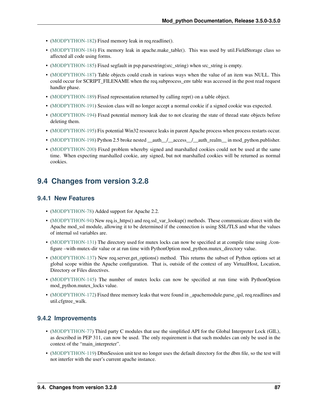- [\(MODPYTHON-182\)](http://issues.apache.org/jira/browse/MODPYTHON-182) Fixed memory leak in req.readline().
- [\(MODPYTHON-184\)](http://issues.apache.org/jira/browse/MODPYTHON-184) Fix memory leak in apache.make\_table(). This was used by util.FieldStorage class so affected all code using forms.
- [\(MODPYTHON-185\)](http://issues.apache.org/jira/browse/MODPYTHON-185) Fixed segfault in psp.parsestring(src\_string) when src\_string is empty.
- [\(MODPYTHON-187\)](http://issues.apache.org/jira/browse/MODPYTHON-187) Table objects could crash in various ways when the value of an item was NULL. This could occur for SCRIPT\_FILENAME when the req.subprocess\_env table was accessed in the post read request handler phase.
- [\(MODPYTHON-189\)](http://issues.apache.org/jira/browse/MODPYTHON-189) Fixed representation returned by calling repr() on a table object.
- [\(MODPYTHON-191\)](http://issues.apache.org/jira/browse/MODPYTHON-191) Session class will no longer accept a normal cookie if a signed cookie was expected.
- [\(MODPYTHON-194\)](http://issues.apache.org/jira/browse/MODPYTHON-194) Fixed potential memory leak due to not clearing the state of thread state objects before deleting them.
- [\(MODPYTHON-195\)](http://issues.apache.org/jira/browse/MODPYTHON-195) Fix potential Win32 resource leaks in parent Apache process when process restarts occur.
- [\(MODPYTHON-198\)](http://issues.apache.org/jira/browse/MODPYTHON-198) Python 2.5 broke nested \_\_auth\_/\_\_access\_/\_\_auth\_realm\_\_ in mod\_python.publisher.
- [\(MODPYTHON-200\)](http://issues.apache.org/jira/browse/MODPYTHON-200) Fixed problem whereby signed and marshalled cookies could not be used at the same time. When expecting marshalled cookie, any signed, but not marshalled cookies will be returned as normal cookies.

## **9.4 Changes from version 3.2.8**

#### **9.4.1 New Features**

- [\(MODPYTHON-78\)](http://issues.apache.org/jira/browse/MODPYTHON-78) Added support for Apache 2.2.
- [\(MODPYTHON-94\)](http://issues.apache.org/jira/browse/MODPYTHON-94) New req.is https() and req.ssl var lookup() methods. These communicate direct with the Apache mod\_ssl module, allowing it to be determined if the connection is using SSL/TLS and what the values of internal ssl variables are.
- [\(MODPYTHON-131\)](http://issues.apache.org/jira/browse/MODPYTHON-131) The directory used for mutex locks can now be specified at at compile time using ./configure –with-mutex-dir value or at run time with PythonOption mod\_python.mutex\_directory value.
- [\(MODPYTHON-137\)](http://issues.apache.org/jira/browse/MODPYTHON-137) New req.server.get\_options() method. This returns the subset of Python options set at global scope within the Apache configuration. That is, outside of the context of any VirtualHost, Location, Directory or Files directives.
- [\(MODPYTHON-145\)](http://issues.apache.org/jira/browse/MODPYTHON-145) The number of mutex locks can now be specified at run time with PythonOption mod\_python.mutex\_locks value.
- [\(MODPYTHON-172\)](http://issues.apache.org/jira/browse/MODPYTHON-172) Fixed three memory leaks that were found in apachemodule.parse qsl, req.readlines and util.cfgtree\_walk.

#### **9.4.2 Improvements**

- [\(MODPYTHON-77\)](http://issues.apache.org/jira/browse/MODPYTHON-77) Third party C modules that use the simplified API for the Global Interpreter Lock (GIL), as described in PEP 311, can now be used. The only requirement is that such modules can only be used in the context of the "main interpreter".
- [\(MODPYTHON-119\)](http://issues.apache.org/jira/browse/MODPYTHON-119) DbmSession unit test no longer uses the default directory for the dbm file, so the test will not interfer with the user's current apache instance.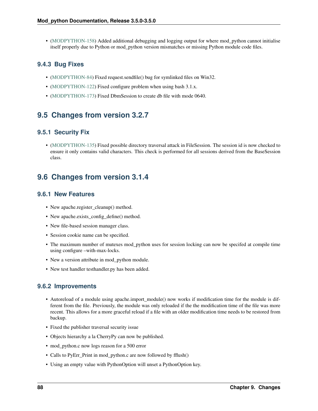• [\(MODPYTHON-158\)](http://issues.apache.org/jira/browse/MODPYTHON-158) Added additional debugging and logging output for where mod python cannot initialise itself properly due to Python or mod\_python version mismatches or missing Python module code files.

### **9.4.3 Bug Fixes**

- [\(MODPYTHON-84\)](http://issues.apache.org/jira/browse/MODPYTHON-84) Fixed request.sendfile() bug for symlinked files on Win32.
- [\(MODPYTHON-122\)](http://issues.apache.org/jira/browse/MODPYTHON-122) Fixed configure problem when using bash 3.1.x.
- [\(MODPYTHON-173\)](http://issues.apache.org/jira/browse/MODPYTHON-173) Fixed DbmSession to create db file with mode 0640.

## **9.5 Changes from version 3.2.7**

## **9.5.1 Security Fix**

• [\(MODPYTHON-135\)](http://issues.apache.org/jira/browse/MODPYTHON-135) Fixed possible directory traversal attack in FileSession. The session id is now checked to ensure it only contains valid characters. This check is performed for all sessions derived from the BaseSession class.

## **9.6 Changes from version 3.1.4**

### **9.6.1 New Features**

- New apache.register\_cleanup() method.
- New apache.exists\_config\_define() method.
- New file-based session manager class.
- Session cookie name can be specified.
- The maximum number of mutexes mod\_python uses for session locking can now be specifed at compile time using configure –with-max-locks.
- New a version attribute in mod\_python module.
- New test handler testhandler.py has been added.

### **9.6.2 Improvements**

- Autoreload of a module using apache.import\_module() now works if modification time for the module is different from the file. Previously, the module was only reloaded if the the modification time of the file was more recent. This allows for a more graceful reload if a file with an older modification time needs to be restored from backup.
- Fixed the publisher traversal security issue
- Objects hierarchy a la CherryPy can now be published.
- mod\_python.c now logs reason for a 500 error
- Calls to PyErr\_Print in mod\_python.c are now followed by fflush()
- Using an empty value with PythonOption will unset a PythonOption key.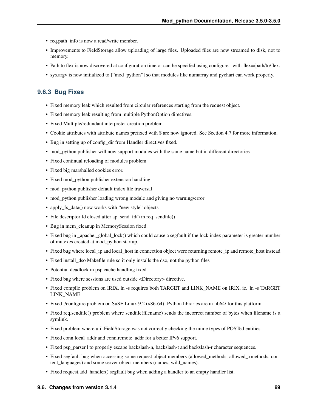- req.path info is now a read/write member.
- Improvements to FieldStorage allow uploading of large files. Uploaded files are now streamed to disk, not to memory.
- Path to flex is now discovered at configuration time or can be specifed using configure –with-flex=/path/to/flex.
- sys.argv is now initialized to ["mod\_python"] so that modules like numarray and pychart can work properly.

#### **9.6.3 Bug Fixes**

- Fixed memory leak which resulted from circular references starting from the request object.
- Fixed memory leak resulting from multiple PythonOption directives.
- Fixed Multiple/redundant interpreter creation problem.
- Cookie attributes with attribute names prefixed with \$ are now ignored. See Section 4.7 for more information.
- Bug in setting up of config\_dir from Handler directives fixed.
- mod\_python.publisher will now support modules with the same name but in different directories
- Fixed continual reloading of modules problem
- Fixed big marshalled cookies error.
- Fixed mod\_python.publisher extension handling
- mod python.publisher default index file traversal
- mod\_python.publisher loading wrong module and giving no warning/error
- apply\_fs\_data() now works with "new style" objects
- File descriptor fd closed after ap\_send\_fd() in req\_sendfile()
- Bug in mem\_cleanup in MemorySession fixed.
- Fixed bug in apache. global lock() which could cause a segfault if the lock index parameter is greater number of mutexes created at mod\_python startup.
- Fixed bug where local\_ip and local\_host in connection object were returning remote\_ip and remote\_host instead
- Fixed install dso Makefile rule so it only installs the dso, not the python files
- Potential deadlock in psp cache handling fixed
- Fixed bug where sessions are used outside <Directory> directive.
- Fixed compile problem on IRIX. ln -s requires both TARGET and LINK\_NAME on IRIX. ie. ln -s TARGET LINK\_NAME
- Fixed ./configure problem on SuSE Linux 9.2 (x86-64). Python libraries are in lib64/ for this platform.
- Fixed req.sendfile() problem where sendfile(filename) sends the incorrect number of bytes when filename is a symlink.
- Fixed problem where util.FieldStorage was not correctly checking the mime types of POSTed entities
- Fixed conn.local\_addr and conn.remote\_addr for a better IPv6 support.
- Fixed psp\_parser.l to properly escape backslash-n, backslash-t and backslash-r character sequences.
- Fixed segfault bug when accessing some request object members (allowed\_methods, allowed\_xmethods, content\_languages) and some server object members (names, wild\_names).
- Fixed request.add\_handler() segfault bug when adding a handler to an empty handler list.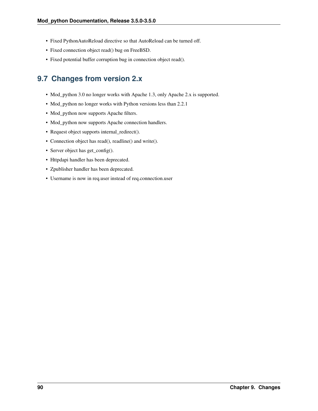- Fixed PythonAutoReload directive so that AutoReload can be turned off.
- Fixed connection object read() bug on FreeBSD.
- Fixed potential buffer corruption bug in connection object read().

# **9.7 Changes from version 2.x**

- Mod\_python 3.0 no longer works with Apache 1.3, only Apache 2.x is supported.
- Mod\_python no longer works with Python versions less than 2.2.1
- Mod\_python now supports Apache filters.
- Mod\_python now supports Apache connection handlers.
- Request object supports internal\_redirect().
- Connection object has read(), readline() and write().
- Server object has get\_config().
- Httpdapi handler has been deprecated.
- Zpublisher handler has been deprecated.
- Username is now in req.user instead of req.connection.user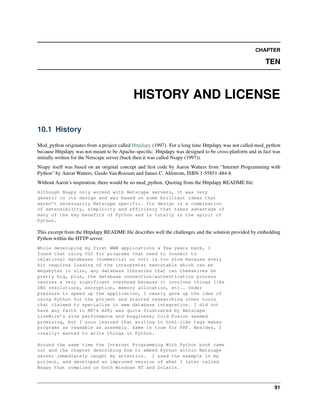# **HISTORY AND LICENSE**

## **10.1 History**

Mod\_python originates from a project called [Httpdapy](http://www.modpython.org/httpdapy/) (1997). For a long time Httpdapy was not called mod\_python because Httpdapy was not meant to be Apache-specific. Httpdapy was designed to be cross-platform and in fact was initially written for the Netscape server (back then it was called Nsapy (1997)).

Nsapy itself was based on an original concept and first code by Aaron Watters from "Internet Programming with Python" by Aaron Watters, Guido Van Rossum and James C. Ahlstrom, ISBN 1-55851-484-8.

Without Aaron's inspiration, there would be no mod\_python. Quoting from the Httpdapy README file:

```
Although Nsapy only worked with Netscape servers, it was very
generic in its design and was based on some brilliant ideas that
weren't necessarily Netscape specific. Its design is a combination
of extensibility, simplicity and efficiency that takes advantage of
many of the key benefits of Python and is totally in the spirit of
Python.
```
#### This excerpt from the Httpdapy README file describes well the challenges and the solution provided by embedding Python within the HTTP server:

While developing my first WWW applications a few years back, I found that using CGI for programs that need to connect to relational databases (commercial or not) is too slow because every hit requires loading of the interpreter executable which can be megabytes in size, any database libraries that can themselves be pretty big, plus, the database connection/authentication process carries a very significant overhead because it involves things like DNS resolutions, encryption, memory allocation, etc.. Under pressure to speed up the application, I nearly gave up the idea of using Python for the project and started researching other tools that claimed to specialize in www database integration. I did not have any faith in MS's ASP; was quite frustrated by Netscape LiveWire's slow performance and bugginess; Cold Fusion seemed promising, but I soon learned that writing in html-like tags makes programs as readable as assembly. Same is true for PHP. Besides, I \*really\* wanted to write things in Python.

Around the same time the Internet Programming With Python book came out and the chapter describing how to embed Python within Netscape server immediately caught my attention. I used the example in my project, and developed an improved version of what I later called Nsapy that compiled on both Windows NT and Solaris.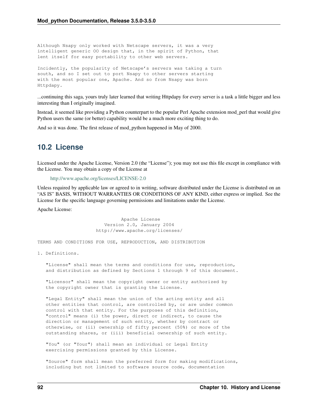Although Nsapy only worked with Netscape servers, it was a very intelligent generic OO design that, in the spirit of Python, that lent itself for easy portability to other web servers.

Incidently, the popularity of Netscape's servers was taking a turn south, and so I set out to port Nsapy to other servers starting with the most popular one, Apache. And so from Nsapy was born Httpdapy.

...continuing this saga, yours truly later learned that writing Httpdapy for every server is a task a little bigger and less interesting than I originally imagined.

Instead, it seemed like providing a Python counterpart to the popular Perl Apache extension mod\_perl that would give Python users the same (or better) capability would be a much more exciting thing to do.

And so it was done. The first release of mod\_python happened in May of 2000.

### **10.2 License**

Licensed under the Apache License, Version 2.0 (the "License"); you may not use this file except in compliance with the License. You may obtain a copy of the License at

```
http://www.apache.org/licenses/LICENSE-2.0
```
Unless required by applicable law or agreed to in writing, software distributed under the License is distributed on an "AS IS" BASIS, WITHOUT WARRANTIES OR CONDITIONS OF ANY KIND, either express or implied. See the License for the specific language governing permissions and limitations under the License.

Apache License:

Apache License Version 2.0, January 2004 http://www.apache.org/licenses/

TERMS AND CONDITIONS FOR USE, REPRODUCTION, AND DISTRIBUTION

1. Definitions.

"License" shall mean the terms and conditions for use, reproduction, and distribution as defined by Sections 1 through 9 of this document.

"Licensor" shall mean the copyright owner or entity authorized by the copyright owner that is granting the License.

"Legal Entity" shall mean the union of the acting entity and all other entities that control, are controlled by, or are under common control with that entity. For the purposes of this definition, "control" means (i) the power, direct or indirect, to cause the direction or management of such entity, whether by contract or otherwise, or (ii) ownership of fifty percent (50%) or more of the outstanding shares, or (iii) beneficial ownership of such entity.

"You" (or "Your") shall mean an individual or Legal Entity exercising permissions granted by this License.

"Source" form shall mean the preferred form for making modifications, including but not limited to software source code, documentation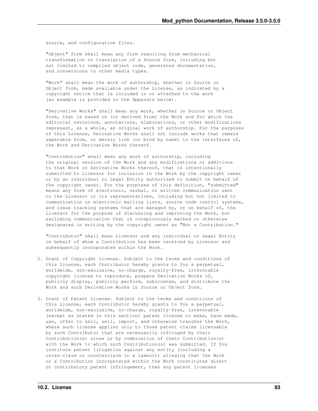source, and configuration files.

"Object" form shall mean any form resulting from mechanical transformation or translation of a Source form, including but not limited to compiled object code, generated documentation, and conversions to other media types.

"Work" shall mean the work of authorship, whether in Source or Object form, made available under the License, as indicated by a copyright notice that is included in or attached to the work (an example is provided in the Appendix below).

"Derivative Works" shall mean any work, whether in Source or Object form, that is based on (or derived from) the Work and for which the editorial revisions, annotations, elaborations, or other modifications represent, as a whole, an original work of authorship. For the purposes of this License, Derivative Works shall not include works that remain separable from, or merely link (or bind by name) to the interfaces of, the Work and Derivative Works thereof.

"Contribution" shall mean any work of authorship, including the original version of the Work and any modifications or additions to that Work or Derivative Works thereof, that is intentionally submitted to Licensor for inclusion in the Work by the copyright owner or by an individual or Legal Entity authorized to submit on behalf of the copyright owner. For the purposes of this definition, "submitted" means any form of electronic, verbal, or written communication sent to the Licensor or its representatives, including but not limited to communication on electronic mailing lists, source code control systems, and issue tracking systems that are managed by, or on behalf of, the Licensor for the purpose of discussing and improving the Work, but excluding communication that is conspicuously marked or otherwise designated in writing by the copyright owner as "Not a Contribution."

"Contributor" shall mean Licensor and any individual or Legal Entity on behalf of whom a Contribution has been received by Licensor and subsequently incorporated within the Work.

- 2. Grant of Copyright License. Subject to the terms and conditions of this License, each Contributor hereby grants to You a perpetual, worldwide, non-exclusive, no-charge, royalty-free, irrevocable copyright license to reproduce, prepare Derivative Works of, publicly display, publicly perform, sublicense, and distribute the Work and such Derivative Works in Source or Object form.
- 3. Grant of Patent License. Subject to the terms and conditions of this License, each Contributor hereby grants to You a perpetual, worldwide, non-exclusive, no-charge, royalty-free, irrevocable (except as stated in this section) patent license to make, have made, use, offer to sell, sell, import, and otherwise transfer the Work, where such license applies only to those patent claims licensable by such Contributor that are necessarily infringed by their Contribution(s) alone or by combination of their Contribution(s) with the Work to which such Contribution(s) was submitted. If You institute patent litigation against any entity (including a cross-claim or counterclaim in a lawsuit) alleging that the Work or a Contribution incorporated within the Work constitutes direct or contributory patent infringement, then any patent licenses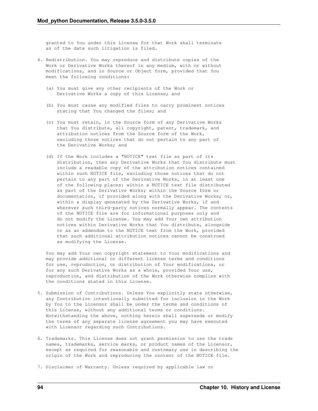granted to You under this License for that Work shall terminate as of the date such litigation is filed.

- 4. Redistribution. You may reproduce and distribute copies of the Work or Derivative Works thereof in any medium, with or without modifications, and in Source or Object form, provided that You meet the following conditions:
	- (a) You must give any other recipients of the Work or Derivative Works a copy of this License; and
	- (b) You must cause any modified files to carry prominent notices stating that You changed the files; and
	- (c) You must retain, in the Source form of any Derivative Works that You distribute, all copyright, patent, trademark, and attribution notices from the Source form of the Work, excluding those notices that do not pertain to any part of the Derivative Works; and
	- (d) If the Work includes a "NOTICE" text file as part of its distribution, then any Derivative Works that You distribute must include a readable copy of the attribution notices contained within such NOTICE file, excluding those notices that do not pertain to any part of the Derivative Works, in at least one of the following places: within a NOTICE text file distributed as part of the Derivative Works; within the Source form or documentation, if provided along with the Derivative Works; or, within a display generated by the Derivative Works, if and wherever such third-party notices normally appear. The contents of the NOTICE file are for informational purposes only and do not modify the License. You may add Your own attribution notices within Derivative Works that You distribute, alongside or as an addendum to the NOTICE text from the Work, provided that such additional attribution notices cannot be construed as modifying the License.

You may add Your own copyright statement to Your modifications and may provide additional or different license terms and conditions for use, reproduction, or distribution of Your modifications, or for any such Derivative Works as a whole, provided Your use, reproduction, and distribution of the Work otherwise complies with the conditions stated in this License.

- 5. Submission of Contributions. Unless You explicitly state otherwise, any Contribution intentionally submitted for inclusion in the Work by You to the Licensor shall be under the terms and conditions of this License, without any additional terms or conditions. Notwithstanding the above, nothing herein shall supersede or modify the terms of any separate license agreement you may have executed with Licensor regarding such Contributions.
- 6. Trademarks. This License does not grant permission to use the trade names, trademarks, service marks, or product names of the Licensor, except as required for reasonable and customary use in describing the origin of the Work and reproducing the content of the NOTICE file.
- 7. Disclaimer of Warranty. Unless required by applicable law or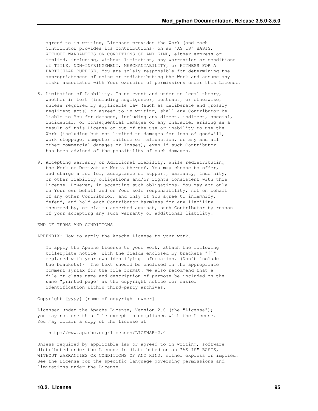agreed to in writing, Licensor provides the Work (and each Contributor provides its Contributions) on an "AS IS" BASIS, WITHOUT WARRANTIES OR CONDITIONS OF ANY KIND, either express or implied, including, without limitation, any warranties or conditions of TITLE, NON-INFRINGEMENT, MERCHANTABILITY, or FITNESS FOR A PARTICULAR PURPOSE. You are solely responsible for determining the appropriateness of using or redistributing the Work and assume any risks associated with Your exercise of permissions under this License.

- 8. Limitation of Liability. In no event and under no legal theory, whether in tort (including negligence), contract, or otherwise, unless required by applicable law (such as deliberate and grossly negligent acts) or agreed to in writing, shall any Contributor be liable to You for damages, including any direct, indirect, special, incidental, or consequential damages of any character arising as a result of this License or out of the use or inability to use the Work (including but not limited to damages for loss of goodwill, work stoppage, computer failure or malfunction, or any and all other commercial damages or losses), even if such Contributor has been advised of the possibility of such damages.
- 9. Accepting Warranty or Additional Liability. While redistributing the Work or Derivative Works thereof, You may choose to offer, and charge a fee for, acceptance of support, warranty, indemnity, or other liability obligations and/or rights consistent with this License. However, in accepting such obligations, You may act only on Your own behalf and on Your sole responsibility, not on behalf of any other Contributor, and only if You agree to indemnify, defend, and hold each Contributor harmless for any liability incurred by, or claims asserted against, such Contributor by reason of your accepting any such warranty or additional liability.

END OF TERMS AND CONDITIONS

APPENDIX: How to apply the Apache License to your work.

To apply the Apache License to your work, attach the following boilerplate notice, with the fields enclosed by brackets "[]" replaced with your own identifying information. (Don't include the brackets!) The text should be enclosed in the appropriate comment syntax for the file format. We also recommend that a file or class name and description of purpose be included on the same "printed page" as the copyright notice for easier identification within third-party archives.

Copyright [yyyy] [name of copyright owner]

Licensed under the Apache License, Version 2.0 (the "License"); you may not use this file except in compliance with the License. You may obtain a copy of the License at

http://www.apache.org/licenses/LICENSE-2.0

Unless required by applicable law or agreed to in writing, software distributed under the License is distributed on an "AS IS" BASIS, WITHOUT WARRANTIES OR CONDITIONS OF ANY KIND, either express or implied. See the License for the specific language governing permissions and limitations under the License.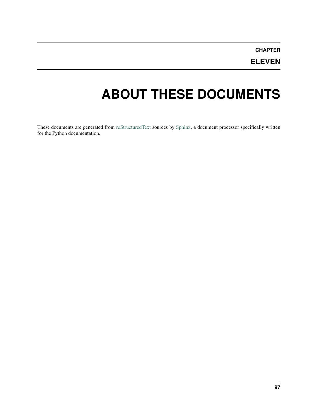**CHAPTER**

**ELEVEN**

# **ABOUT THESE DOCUMENTS**

These documents are generated from [reStructuredText](http://docutils.sf.net/rst.html) sources by [Sphinx,](http://sphinx.pocoo.org/) a document processor specifically written for the Python documentation.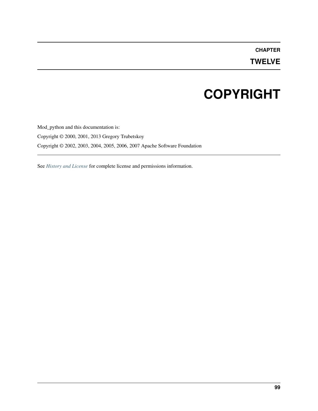## **CHAPTER**

**TWELVE**

# **COPYRIGHT**

Mod\_python and this documentation is: Copyright © 2000, 2001, 2013 Gregory Trubetskoy Copyright © 2002, 2003, 2004, 2005, 2006, 2007 Apache Software Foundation

See *[History and License](#page-106-0)* for complete license and permissions information.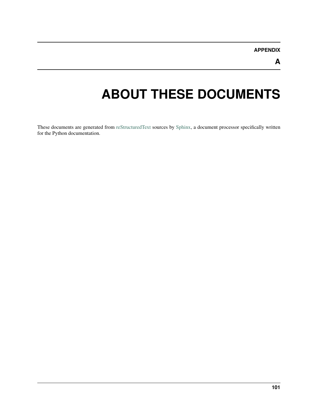**APPENDIX**

**A**

# **ABOUT THESE DOCUMENTS**

These documents are generated from [reStructuredText](http://docutils.sf.net/rst.html) sources by [Sphinx,](http://sphinx.pocoo.org/) a document processor specifically written for the Python documentation.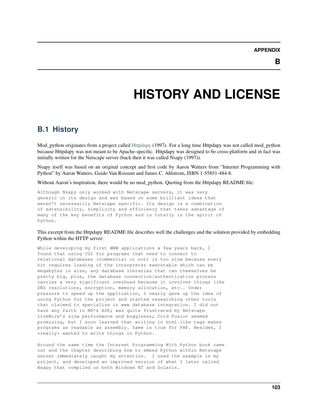# **HISTORY AND LICENSE**

## <span id="page-106-0"></span>**B.1 History**

Mod\_python originates from a project called [Httpdapy](http://www.modpython.org/httpdapy/) (1997). For a long time Httpdapy was not called mod\_python because Httpdapy was not meant to be Apache-specific. Httpdapy was designed to be cross-platform and in fact was initially written for the Netscape server (back then it was called Nsapy (1997)).

Nsapy itself was based on an original concept and first code by Aaron Watters from "Internet Programming with Python" by Aaron Watters, Guido Van Rossum and James C. Ahlstrom, ISBN 1-55851-484-8.

Without Aaron's inspiration, there would be no mod\_python. Quoting from the Httpdapy README file:

```
Although Nsapy only worked with Netscape servers, it was very
generic in its design and was based on some brilliant ideas that
weren't necessarily Netscape specific. Its design is a combination
of extensibility, simplicity and efficiency that takes advantage of
many of the key benefits of Python and is totally in the spirit of
Python.
```
#### This excerpt from the Httpdapy README file describes well the challenges and the solution provided by embedding Python within the HTTP server:

While developing my first WWW applications a few years back, I found that using CGI for programs that need to connect to relational databases (commercial or not) is too slow because every hit requires loading of the interpreter executable which can be megabytes in size, any database libraries that can themselves be pretty big, plus, the database connection/authentication process carries a very significant overhead because it involves things like DNS resolutions, encryption, memory allocation, etc.. Under pressure to speed up the application, I nearly gave up the idea of using Python for the project and started researching other tools that claimed to specialize in www database integration. I did not have any faith in MS's ASP; was quite frustrated by Netscape LiveWire's slow performance and bugginess; Cold Fusion seemed promising, but I soon learned that writing in html-like tags makes programs as readable as assembly. Same is true for PHP. Besides, I \*really\* wanted to write things in Python.

Around the same time the Internet Programming With Python book came out and the chapter describing how to embed Python within Netscape server immediately caught my attention. I used the example in my project, and developed an improved version of what I later called Nsapy that compiled on both Windows NT and Solaris.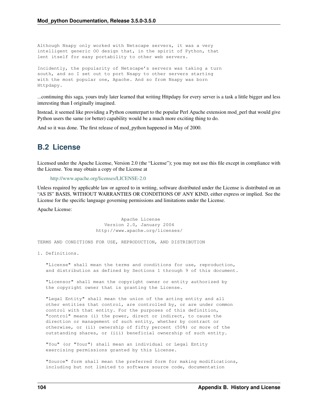Although Nsapy only worked with Netscape servers, it was a very intelligent generic OO design that, in the spirit of Python, that lent itself for easy portability to other web servers.

Incidently, the popularity of Netscape's servers was taking a turn south, and so I set out to port Nsapy to other servers starting with the most popular one, Apache. And so from Nsapy was born Httpdapy.

...continuing this saga, yours truly later learned that writing Httpdapy for every server is a task a little bigger and less interesting than I originally imagined.

Instead, it seemed like providing a Python counterpart to the popular Perl Apache extension mod\_perl that would give Python users the same (or better) capability would be a much more exciting thing to do.

And so it was done. The first release of mod\_python happened in May of 2000.

### **B.2 License**

Licensed under the Apache License, Version 2.0 (the "License"); you may not use this file except in compliance with the License. You may obtain a copy of the License at

```
http://www.apache.org/licenses/LICENSE-2.0
```
Unless required by applicable law or agreed to in writing, software distributed under the License is distributed on an "AS IS" BASIS, WITHOUT WARRANTIES OR CONDITIONS OF ANY KIND, either express or implied. See the License for the specific language governing permissions and limitations under the License.

Apache License:

Apache License Version 2.0, January 2004 http://www.apache.org/licenses/

TERMS AND CONDITIONS FOR USE, REPRODUCTION, AND DISTRIBUTION

1. Definitions.

"License" shall mean the terms and conditions for use, reproduction, and distribution as defined by Sections 1 through 9 of this document.

"Licensor" shall mean the copyright owner or entity authorized by the copyright owner that is granting the License.

"Legal Entity" shall mean the union of the acting entity and all other entities that control, are controlled by, or are under common control with that entity. For the purposes of this definition, "control" means (i) the power, direct or indirect, to cause the direction or management of such entity, whether by contract or otherwise, or (ii) ownership of fifty percent (50%) or more of the outstanding shares, or (iii) beneficial ownership of such entity.

"You" (or "Your") shall mean an individual or Legal Entity exercising permissions granted by this License.

"Source" form shall mean the preferred form for making modifications, including but not limited to software source code, documentation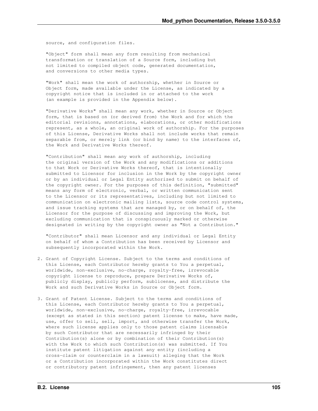source, and configuration files.

"Object" form shall mean any form resulting from mechanical transformation or translation of a Source form, including but not limited to compiled object code, generated documentation, and conversions to other media types.

"Work" shall mean the work of authorship, whether in Source or Object form, made available under the License, as indicated by a copyright notice that is included in or attached to the work (an example is provided in the Appendix below).

"Derivative Works" shall mean any work, whether in Source or Object form, that is based on (or derived from) the Work and for which the editorial revisions, annotations, elaborations, or other modifications represent, as a whole, an original work of authorship. For the purposes of this License, Derivative Works shall not include works that remain separable from, or merely link (or bind by name) to the interfaces of, the Work and Derivative Works thereof.

"Contribution" shall mean any work of authorship, including the original version of the Work and any modifications or additions to that Work or Derivative Works thereof, that is intentionally submitted to Licensor for inclusion in the Work by the copyright owner or by an individual or Legal Entity authorized to submit on behalf of the copyright owner. For the purposes of this definition, "submitted" means any form of electronic, verbal, or written communication sent to the Licensor or its representatives, including but not limited to communication on electronic mailing lists, source code control systems, and issue tracking systems that are managed by, or on behalf of, the Licensor for the purpose of discussing and improving the Work, but excluding communication that is conspicuously marked or otherwise designated in writing by the copyright owner as "Not a Contribution."

"Contributor" shall mean Licensor and any individual or Legal Entity on behalf of whom a Contribution has been received by Licensor and subsequently incorporated within the Work.

- 2. Grant of Copyright License. Subject to the terms and conditions of this License, each Contributor hereby grants to You a perpetual, worldwide, non-exclusive, no-charge, royalty-free, irrevocable copyright license to reproduce, prepare Derivative Works of, publicly display, publicly perform, sublicense, and distribute the Work and such Derivative Works in Source or Object form.
- 3. Grant of Patent License. Subject to the terms and conditions of this License, each Contributor hereby grants to You a perpetual, worldwide, non-exclusive, no-charge, royalty-free, irrevocable (except as stated in this section) patent license to make, have made, use, offer to sell, sell, import, and otherwise transfer the Work, where such license applies only to those patent claims licensable by such Contributor that are necessarily infringed by their Contribution(s) alone or by combination of their Contribution(s) with the Work to which such Contribution(s) was submitted. If You institute patent litigation against any entity (including a cross-claim or counterclaim in a lawsuit) alleging that the Work or a Contribution incorporated within the Work constitutes direct or contributory patent infringement, then any patent licenses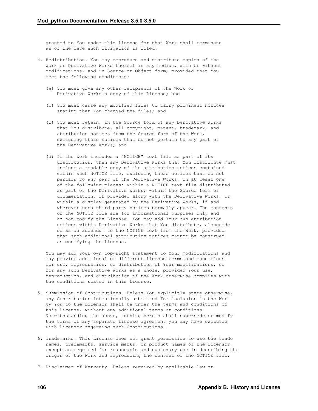granted to You under this License for that Work shall terminate as of the date such litigation is filed.

- 4. Redistribution. You may reproduce and distribute copies of the Work or Derivative Works thereof in any medium, with or without modifications, and in Source or Object form, provided that You meet the following conditions:
	- (a) You must give any other recipients of the Work or Derivative Works a copy of this License; and
	- (b) You must cause any modified files to carry prominent notices stating that You changed the files; and
	- (c) You must retain, in the Source form of any Derivative Works that You distribute, all copyright, patent, trademark, and attribution notices from the Source form of the Work, excluding those notices that do not pertain to any part of the Derivative Works; and
	- (d) If the Work includes a "NOTICE" text file as part of its distribution, then any Derivative Works that You distribute must include a readable copy of the attribution notices contained within such NOTICE file, excluding those notices that do not pertain to any part of the Derivative Works, in at least one of the following places: within a NOTICE text file distributed as part of the Derivative Works; within the Source form or documentation, if provided along with the Derivative Works; or, within a display generated by the Derivative Works, if and wherever such third-party notices normally appear. The contents of the NOTICE file are for informational purposes only and do not modify the License. You may add Your own attribution notices within Derivative Works that You distribute, alongside or as an addendum to the NOTICE text from the Work, provided that such additional attribution notices cannot be construed as modifying the License.

You may add Your own copyright statement to Your modifications and may provide additional or different license terms and conditions for use, reproduction, or distribution of Your modifications, or for any such Derivative Works as a whole, provided Your use, reproduction, and distribution of the Work otherwise complies with the conditions stated in this License.

- 5. Submission of Contributions. Unless You explicitly state otherwise, any Contribution intentionally submitted for inclusion in the Work by You to the Licensor shall be under the terms and conditions of this License, without any additional terms or conditions. Notwithstanding the above, nothing herein shall supersede or modify the terms of any separate license agreement you may have executed with Licensor regarding such Contributions.
- 6. Trademarks. This License does not grant permission to use the trade names, trademarks, service marks, or product names of the Licensor, except as required for reasonable and customary use in describing the origin of the Work and reproducing the content of the NOTICE file.
- 7. Disclaimer of Warranty. Unless required by applicable law or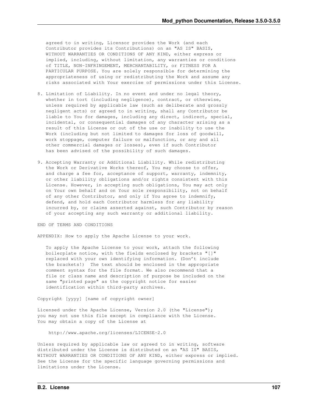agreed to in writing, Licensor provides the Work (and each Contributor provides its Contributions) on an "AS IS" BASIS, WITHOUT WARRANTIES OR CONDITIONS OF ANY KIND, either express or implied, including, without limitation, any warranties or conditions of TITLE, NON-INFRINGEMENT, MERCHANTABILITY, or FITNESS FOR A PARTICULAR PURPOSE. You are solely responsible for determining the appropriateness of using or redistributing the Work and assume any risks associated with Your exercise of permissions under this License.

- 8. Limitation of Liability. In no event and under no legal theory, whether in tort (including negligence), contract, or otherwise, unless required by applicable law (such as deliberate and grossly negligent acts) or agreed to in writing, shall any Contributor be liable to You for damages, including any direct, indirect, special, incidental, or consequential damages of any character arising as a result of this License or out of the use or inability to use the Work (including but not limited to damages for loss of goodwill, work stoppage, computer failure or malfunction, or any and all other commercial damages or losses), even if such Contributor has been advised of the possibility of such damages.
- 9. Accepting Warranty or Additional Liability. While redistributing the Work or Derivative Works thereof, You may choose to offer, and charge a fee for, acceptance of support, warranty, indemnity, or other liability obligations and/or rights consistent with this License. However, in accepting such obligations, You may act only on Your own behalf and on Your sole responsibility, not on behalf of any other Contributor, and only if You agree to indemnify, defend, and hold each Contributor harmless for any liability incurred by, or claims asserted against, such Contributor by reason of your accepting any such warranty or additional liability.

END OF TERMS AND CONDITIONS

APPENDIX: How to apply the Apache License to your work.

To apply the Apache License to your work, attach the following boilerplate notice, with the fields enclosed by brackets "[]" replaced with your own identifying information. (Don't include the brackets!) The text should be enclosed in the appropriate comment syntax for the file format. We also recommend that a file or class name and description of purpose be included on the same "printed page" as the copyright notice for easier identification within third-party archives.

Copyright [yyyy] [name of copyright owner]

Licensed under the Apache License, Version 2.0 (the "License"); you may not use this file except in compliance with the License. You may obtain a copy of the License at

http://www.apache.org/licenses/LICENSE-2.0

Unless required by applicable law or agreed to in writing, software distributed under the License is distributed on an "AS IS" BASIS, WITHOUT WARRANTIES OR CONDITIONS OF ANY KIND, either express or implied. See the License for the specific language governing permissions and limitations under the License.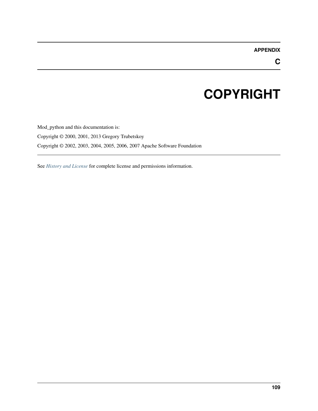#### **APPENDIX**

**C**

# **COPYRIGHT**

Mod\_python and this documentation is: Copyright © 2000, 2001, 2013 Gregory Trubetskoy Copyright © 2002, 2003, 2004, 2005, 2006, 2007 Apache Software Foundation

See *[History and License](#page-106-0)* for complete license and permissions information.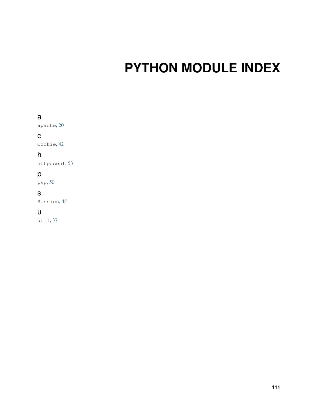# **PYTHON MODULE INDEX**

#### a

apache, [20](#page-23-0)

#### c

Cookie, [42](#page-45-0)

#### h

httpdconf, [53](#page-56-0)

## p

psp, [50](#page-53-0)

## s

Session, [45](#page-48-0)

#### u

util,  $37$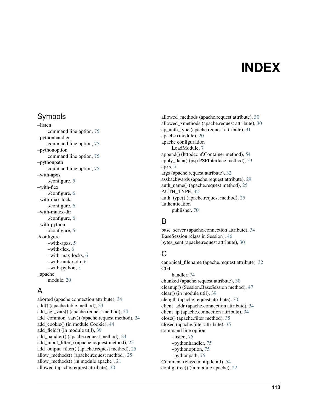# **INDEX**

#### Symbols

–listen command line option, [75](#page-78-0) –pythonhandler command line option, [75](#page-78-0) –pythonoption command line option, [75](#page-78-0) –pythonpath command line option, [75](#page-78-0) –with-apxs ./configure, [5](#page-8-0) –with-flex ./configure, [6](#page-9-0) –with-max-locks ./configure, [6](#page-9-0) –with-mutex-dir ./configure, [6](#page-9-0) –with-python ./configure, [5](#page-8-0) ./configure –with-apxs, [5](#page-8-0) –with-flex, [6](#page-9-0) –with-max-locks, [6](#page-9-0) –with-mutex-dir, [6](#page-9-0) –with-python, [5](#page-8-0) \_apache module, [20](#page-23-1)

## A

aborted (apache.connection attribute), [34](#page-37-0) add() (apache.table method), [24](#page-27-0) add\_cgi\_vars() (apache.request method), [24](#page-27-0) add\_common\_vars() (apache.request method), [24](#page-27-0) add\_cookie() (in module Cookie), [44](#page-47-0) add\_field() (in module util), [39](#page-42-0) add\_handler() (apache.request method), [24](#page-27-0) add\_input\_filter() (apache.request method), [25](#page-28-0) add\_output\_filter() (apache.request method), [25](#page-28-0) allow\_methods() (apache.request method), [25](#page-28-0) allow\_methods() (in module apache), [21](#page-24-0) allowed (apache.request attribute), [30](#page-33-0)

allowed\_methods (apache.request attribute), [30](#page-33-0) allowed\_xmethods (apache.request attribute), [30](#page-33-0) ap\_auth\_type (apache.request attribute), [31](#page-34-0) apache (module), [20](#page-23-1) apache configuration LoadModule, [7](#page-10-0) append() (httpdconf.Container method), [54](#page-57-0) apply\_data() (psp.PSPInterface method), [53](#page-56-1) apxs, [5](#page-8-0) args (apache.request attribute), [32](#page-35-0) assbackwards (apache.request attribute), [29](#page-32-0) auth\_name() (apache.request method), [25](#page-28-0) AUTH\_TYPE, [32](#page-35-0) auth\_type() (apache.request method), [25](#page-28-0) authentication publisher, [70](#page-73-0)

## B

base server (apache.connection attribute), [34](#page-37-0) BaseSession (class in Session), [46](#page-49-0) bytes\_sent (apache.request attribute), [30](#page-33-0)

## C

canonical\_filename (apache.request attribute), [32](#page-35-0) CGI handler, [74](#page-77-0) chunked (apache.request attribute), [30](#page-33-0) cleanup() (Session.BaseSession method), [47](#page-50-0) clear() (in module util), [39](#page-42-0) clength (apache.request attribute), [30](#page-33-0) client\_addr (apache.connection attribute), [34](#page-37-0) client ip (apache.connection attribute), [34](#page-37-0) close() (apache.filter method), [35](#page-38-0) closed (apache.filter attribute), [35](#page-38-0) command line option –listen, [75](#page-78-0) –pythonhandler, [75](#page-78-0) –pythonoption, [75](#page-78-0)

–pythonpath, [75](#page-78-0) Comment (class in httpdconf), [54](#page-57-0) config\_tree() (in module apache), [22](#page-25-0)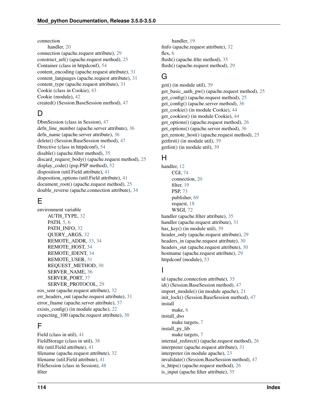connection

handler, [20](#page-23-1) connection (apache.request attribute), [29](#page-32-0) construct\_url() (apache.request method), [25](#page-28-0) Container (class in httpdconf), [54](#page-57-0) content encoding (apache.request attribute), [31](#page-34-0) content languages (apache.request attribute), [31](#page-34-0) content type (apache.request attribute), [31](#page-34-0) Cookie (class in Cookie), [43](#page-46-0) Cookie (module), [42](#page-45-1) created() (Session.BaseSession method), [47](#page-50-0)

## D.

DbmSession (class in Session), [47](#page-50-0) defn\_line\_number (apache.server attribute), [36](#page-39-0) defn\_name (apache.server attribute), [36](#page-39-0) delete() (Session.BaseSession method), [47](#page-50-0) Directive (class in httpdconf), [54](#page-57-0) disable() (apache.filter method), [35](#page-38-0) discard\_request\_body() (apache.request method), [25](#page-28-0) display\_code() (psp.PSP method), [52](#page-55-0) disposition (util.Field attribute), [41](#page-44-0) disposition\_options (util.Field attribute), [41](#page-44-0) document\_root() (apache.request method), [25](#page-28-0) double\_reverse (apache.connection attribute), [34](#page-37-0)

#### E

environment variable AUTH\_TYPE, [32](#page-35-0) PATH, [5,](#page-8-0) [6](#page-9-0) PATH\_INFO, [32](#page-35-0) QUERY\_ARGS, [32](#page-35-0) REMOTE\_ADDR, [33,](#page-36-0) [34](#page-37-0) REMOTE\_HOST, [34](#page-37-0) REMOTE\_IDENT, [34](#page-37-0) REMOTE\_USER, [31](#page-34-0) REQUEST\_METHOD, [30](#page-33-0) SERVER\_NAME, [36](#page-39-0) SERVER\_PORT, [37](#page-40-1) SERVER\_PROTOCOL, [29](#page-32-0) eos\_sent (apache.request attribute), [32](#page-35-0) err\_headers\_out (apache.request attribute), [31](#page-34-0) error\_fname (apache.server attribute), [37](#page-40-1) exists config() (in module apache), [22](#page-25-0) expecting 100 (apache.request attribute), [30](#page-33-0)

#### F

Field (class in util), [41](#page-44-0) FieldStorage (class in util), [38](#page-41-0) file (util.Field attribute), [41](#page-44-0) filename (apache.request attribute), [32](#page-35-0) filename (util.Field attribute), [41](#page-44-0) FileSession (class in Session), [48](#page-51-0) filter

handler, [19](#page-22-0) finfo (apache.request attribute), [32](#page-35-0) flex, [6](#page-9-0) flush() (apache.filte method), [35](#page-38-0) flush() (apache.request method), [29](#page-32-0)

#### G

get() (in module util), [39](#page-42-0) get\_basic\_auth\_pw() (apache.request method), [25](#page-28-0) get\_config() (apache.request method), [25](#page-28-0) get\_config() (apache.server method), [36](#page-39-0) get\_cookie() (in module Cookie), [44](#page-47-0) get\_cookies() (in module Cookie), [44](#page-47-0) get\_options() (apache.request method), [26](#page-29-0) get\_options() (apache.server method), [36](#page-39-0) get\_remote\_host() (apache.request method), [25](#page-28-0) getfirst() (in module util), [39](#page-42-0) getlist() (in module util), [39](#page-42-0)

#### $H$

handler, [12](#page-15-0) CGI, [74](#page-77-0) connection, [20](#page-23-1) filter, [19](#page-22-0) PSP, [73](#page-76-0) publisher, [69](#page-72-0) request, [18](#page-21-0) WSGI, [72](#page-75-0) handler (apache.filter attribute), [35](#page-38-0) handler (apache.request attribute), [31](#page-34-0) has\_key() (in module util), [39](#page-42-0) header\_only (apache.request attribute), [29](#page-32-0) headers in (apache.request attribute), [30](#page-33-0) headers\_out (apache.request attribute), [30](#page-33-0) hostname (apache.request attribute), [29](#page-32-0) httpdconf (module), [53](#page-56-1)

#### I

id (apache.connection attribute), [35](#page-38-0) id() (Session.BaseSession method), [47](#page-50-0) import\_module() (in module apache), [21](#page-24-0) init\_lock() (Session.BaseSession method), [47](#page-50-0) install make, [6](#page-9-0) install\_dso make targets, [7](#page-10-0) install\_py\_lib make targets, [7](#page-10-0) internal redirect() (apache.request method), [26](#page-29-0) interpreter (apache.request attribute), [31](#page-34-0) interpreter (in module apache), [23](#page-26-0) invalidate() (Session.BaseSession method), [47](#page-50-0) is https() (apache.request method), [26](#page-29-0) is input (apache.filter attribute), [35](#page-38-0)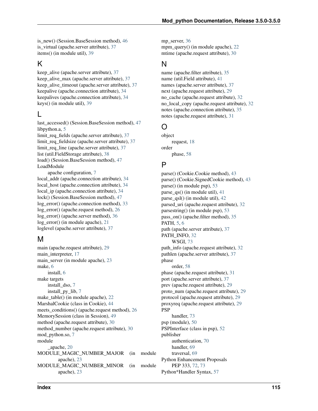is\_new() (Session.BaseSession method), [46](#page-49-0) is virtual (apache.server attribute), [37](#page-40-1) items() (in module util), [39](#page-42-0)

#### K

keep\_alive (apache.server attribute), [37](#page-40-1) keep\_alive\_max (apache.server attribute), [37](#page-40-1) keep\_alive\_timeout (apache.server attribute), [37](#page-40-1) keepalive (apache.connection attribute), [34](#page-37-0) keepalives (apache.connection attribute), [34](#page-37-0) keys() (in module util), [39](#page-42-0)

#### L

last\_accessed() (Session.BaseSession method), [47](#page-50-0) libpython.a, [5](#page-8-0) limit req fields (apache.server attribute), [37](#page-40-1) limit\_req\_fieldsize (apache.server attribute), [37](#page-40-1) limit req line (apache.server attribute), [37](#page-40-1) list (util.FieldStorage attribute), [38](#page-41-0) load() (Session.BaseSession method), [47](#page-50-0) LoadModule apache configuration, [7](#page-10-0) local\_addr (apache.connection attribute), [34](#page-37-0)

local\_host (apache.connection attribute), [34](#page-37-0) local\_ip (apache.connection attribute), [34](#page-37-0) lock() (Session.BaseSession method), [47](#page-50-0) log\_error() (apache.connection method), [33](#page-36-0) log\_error() (apache.request method), [26](#page-29-0) log\_error() (apache.server method), [36](#page-39-0) log\_error() (in module apache), [21](#page-24-0) loglevel (apache.server attribute), [37](#page-40-1)

#### M

main (apache.request attribute), [29](#page-32-0) main\_interpreter, [17](#page-20-0) main server (in module apache), [23](#page-26-0) make, [6](#page-9-0) install, [6](#page-9-0) make targets install\_dso, [7](#page-10-0) install\_py\_lib, [7](#page-10-0) make\_table() (in module apache), [22](#page-25-0) MarshalCookie (class in Cookie), [44](#page-47-0) meets\_conditions() (apache.request method), [26](#page-29-0) MemorySession (class in Session), [49](#page-52-0) method (apache.request attribute), [30](#page-33-0) method\_number (apache.request attribute), [30](#page-33-0) mod\_python.so, [7](#page-10-0) module \_apache, [20](#page-23-1) MODULE MAGIC NUMBER MAJOR (in module apache), [23](#page-26-0) MODULE\_MAGIC\_NUMBER\_MINOR (in module apache), [23](#page-26-0)

mp\_server, [36](#page-39-0) mpm\_query() (in module apache), [22](#page-25-0) mtime (apache.request attribute), [30](#page-33-0)

#### N

name (apache.filter attribute), [35](#page-38-0) name (util.Field attribute), [41](#page-44-0) names (apache.server attribute), [37](#page-40-1) next (apache.request attribute), [29](#page-32-0) no\_cache (apache.request attribute), [32](#page-35-0) no\_local\_copy (apache.request attribute), [32](#page-35-0) notes (apache.connection attribute), [35](#page-38-0) notes (apache.request attribute), [31](#page-34-0)

#### O

object request, [18](#page-21-0) order phase, [58](#page-61-0)

### P

parse() (Cookie.Cookie method), [43](#page-46-0) parse() (Cookie.SignedCookie method), [43](#page-46-0) parse() (in module psp), [53](#page-56-1) parse\_qs() (in module util), [41](#page-44-0) parse\_qsl() (in module util), [42](#page-45-1) parsed\_uri (apache.request attribute), [32](#page-35-0) parsestring() (in module psp), [53](#page-56-1) pass\_on() (apache.filter method), [35](#page-38-0) PATH, [5,](#page-8-0) [6](#page-9-0) path (apache.server attribute), [37](#page-40-1) PATH\_INFO, [32](#page-35-0) WSGI, [73](#page-76-0) path\_info (apache.request attribute), [32](#page-35-0) pathlen (apache.server attribute), [37](#page-40-1) phase order, [58](#page-61-0) phase (apache.request attribute), [31](#page-34-0) port (apache.server attribute), [37](#page-40-1) prev (apache.request attribute), [29](#page-32-0) proto\_num (apache.request attribute), [29](#page-32-0) protocol (apache.request attribute), [29](#page-32-0) proxyreq (apache.request attribute), [29](#page-32-0) PSP handler, [73](#page-76-0) psp (module), [50](#page-53-1) PSPInterface (class in psp), [52](#page-55-0) publisher authentication, [70](#page-73-0) handler, [69](#page-72-0) traversal, [69](#page-72-0) Python Enhancement Proposals PEP 333, [72,](#page-75-0) [73](#page-76-0) Python\*Handler Syntax, [57](#page-60-0)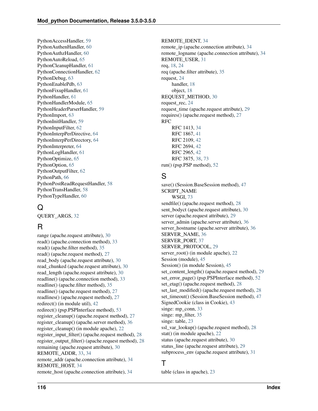PythonAccessHandler, [59](#page-62-0) PythonAuthenHandler, [60](#page-63-0) PythonAuthzHandler, [60](#page-63-0) PythonAutoReload, [65](#page-68-0) PythonCleanupHandler, [61](#page-64-0) PythonConnectionHandler, [62](#page-65-0) PythonDebug, [63](#page-66-0) PythonEnablePdb, [63](#page-66-0) PythonFixupHandler, [61](#page-64-0) PythonHandler, [61](#page-64-0) PythonHandlerModule, [65](#page-68-0) PythonHeaderParserHandler, [59](#page-62-0) PythonImport, [63](#page-66-0) PythonInitHandler, [59](#page-62-0) PythonInputFilter, [62](#page-65-0) PythonInterpPerDirective, [64](#page-67-0) PythonInterpPerDirectory, [64](#page-67-0) PythonInterpreter, [64](#page-67-0) PythonLogHandler, [61](#page-64-0) PythonOptimize, [65](#page-68-0) PythonOption, [65](#page-68-0) PythonOutputFilter, [62](#page-65-0) PythonPath, [66](#page-69-0) PythonPostReadRequestHandler, [58](#page-61-0) PythonTransHandler, [58](#page-61-0) PythonTypeHandler, [60](#page-63-0)

## $\Omega$

QUERY\_ARGS, [32](#page-35-0)

## R

range (apache.request attribute), [30](#page-33-0) read() (apache.connection method), [33](#page-36-0) read() (apache.filter method), [35](#page-38-0) read() (apache.request method), [27](#page-30-0) read\_body (apache.request attribute), [30](#page-33-0) read\_chunked (apache.request attribute), [30](#page-33-0) read\_length (apache.request attribute), [30](#page-33-0) readline() (apache.connection method), [33](#page-36-0) readline() (apache.filter method), [35](#page-38-0) readline() (apache.request method), [27](#page-30-0) readlines() (apache.request method), [27](#page-30-0) redirect() (in module util), [42](#page-45-1) redirect() (psp.PSPInterface method), [53](#page-56-1) register\_cleanup() (apache.request method), [27](#page-30-0) register\_cleanup() (apache.server method), [36](#page-39-0) register\_cleanup() (in module apache), [22](#page-25-0) register\_input\_filter() (apache.request method), [28](#page-31-0) register\_output\_filter() (apache.request method), [28](#page-31-0) remaining (apache.request attribute), [30](#page-33-0) REMOTE\_ADDR, [33,](#page-36-0) [34](#page-37-0) remote\_addr (apache.connection attribute), [34](#page-37-0) REMOTE\_HOST, [34](#page-37-0) remote host (apache.connection attribute), [34](#page-37-0)

REMOTE\_IDENT, [34](#page-37-0) remote ip (apache.connection attribute), [34](#page-37-0) remote logname (apache.connection attribute), [34](#page-37-0) REMOTE\_USER, [31](#page-34-0) req, [18,](#page-21-0) [24](#page-27-0) req (apache.filter attribute), [35](#page-38-0) request, [24](#page-27-0) handler, [18](#page-21-0) object, [18](#page-21-0) REQUEST\_METHOD, [30](#page-33-0) request\_rec, [24](#page-27-0) request\_time (apache.request attribute), [29](#page-32-0) requires() (apache.request method), [27](#page-30-0) RFC RFC 1413, [34](#page-37-0) RFC 1867, [41](#page-44-0) RFC 2109, [42](#page-45-1) RFC 2694, [42](#page-45-1) RFC 2965, [42](#page-45-1) RFC 3875, [38,](#page-41-0) [73](#page-76-0) run() (psp.PSP method), [52](#page-55-0)

## S

save() (Session.BaseSession method), [47](#page-50-0) SCRIPT\_NAME WSGI, [73](#page-76-0) sendfile() (apache.request method), [28](#page-31-0) sent\_bodyct (apache.request attribute), [30](#page-33-0) server (apache.request attribute), [29](#page-32-0) server\_admin (apache.server attribute), [36](#page-39-0) server\_hostname (apache.server attribute), [36](#page-39-0) SERVER\_NAME, [36](#page-39-0) SERVER\_PORT, [37](#page-40-1) SERVER\_PROTOCOL, [29](#page-32-0) server\_root() (in module apache), [22](#page-25-0) Session (module), [45](#page-48-1) Session() (in module Session), [45](#page-48-1) set\_content\_length() (apache.request method), [29](#page-32-0) set\_error\_page() (psp.PSPInterface method), [52](#page-55-0) set\_etag() (apache.request method), [28](#page-31-0) set\_last\_modified() (apache.request method), [28](#page-31-0) set\_timeout() (Session.BaseSession method), [47](#page-50-0) SignedCookie (class in Cookie), [43](#page-46-0) singe: mp\_conn, [33](#page-36-0) singe: mp\_filter, [35](#page-38-0) singe: table, [23](#page-26-0) ssl\_var\_lookup() (apache.request method), [28](#page-31-0) stat() (in module apache), [22](#page-25-0) status (apache.request attribute), [30](#page-33-0) status\_line (apache.request attribute), [29](#page-32-0) subprocess env (apache.request attribute), [31](#page-34-0)

#### T

table (class in apache), [23](#page-26-0)